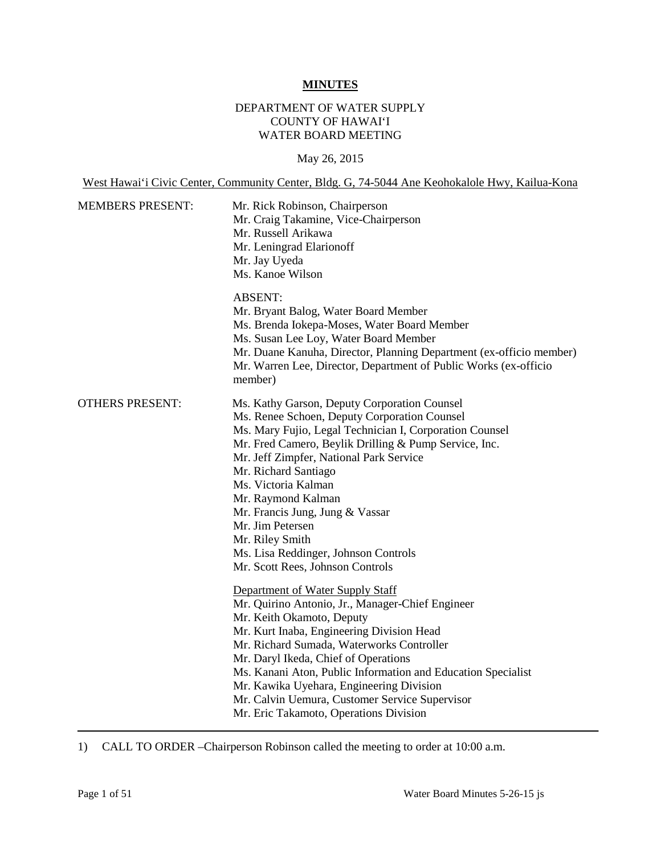#### **MINUTES**

# DEPARTMENT OF WATER SUPPLY COUNTY OF HAWAI'I WATER BOARD MEETING

#### May 26, 2015

West Hawai'i Civic Center, Community Center, Bldg. G, 74-5044 Ane Keohokalole Hwy, Kailua-Kona

| <b>MEMBERS PRESENT:</b> | Mr. Rick Robinson, Chairperson<br>Mr. Craig Takamine, Vice-Chairperson<br>Mr. Russell Arikawa<br>Mr. Leningrad Elarionoff<br>Mr. Jay Uyeda<br>Ms. Kanoe Wilson                                                                                                                                                                                                                                                                                                                                                                                                                                                                                                                                                                                                                                                                                                                                                                                        |
|-------------------------|-------------------------------------------------------------------------------------------------------------------------------------------------------------------------------------------------------------------------------------------------------------------------------------------------------------------------------------------------------------------------------------------------------------------------------------------------------------------------------------------------------------------------------------------------------------------------------------------------------------------------------------------------------------------------------------------------------------------------------------------------------------------------------------------------------------------------------------------------------------------------------------------------------------------------------------------------------|
|                         | <b>ABSENT:</b><br>Mr. Bryant Balog, Water Board Member<br>Ms. Brenda Iokepa-Moses, Water Board Member<br>Ms. Susan Lee Loy, Water Board Member<br>Mr. Duane Kanuha, Director, Planning Department (ex-officio member)<br>Mr. Warren Lee, Director, Department of Public Works (ex-officio<br>member)                                                                                                                                                                                                                                                                                                                                                                                                                                                                                                                                                                                                                                                  |
| <b>OTHERS PRESENT:</b>  | Ms. Kathy Garson, Deputy Corporation Counsel<br>Ms. Renee Schoen, Deputy Corporation Counsel<br>Ms. Mary Fujio, Legal Technician I, Corporation Counsel<br>Mr. Fred Camero, Beylik Drilling & Pump Service, Inc.<br>Mr. Jeff Zimpfer, National Park Service<br>Mr. Richard Santiago<br>Ms. Victoria Kalman<br>Mr. Raymond Kalman<br>Mr. Francis Jung, Jung & Vassar<br>Mr. Jim Petersen<br>Mr. Riley Smith<br>Ms. Lisa Reddinger, Johnson Controls<br>Mr. Scott Rees, Johnson Controls<br>Department of Water Supply Staff<br>Mr. Quirino Antonio, Jr., Manager-Chief Engineer<br>Mr. Keith Okamoto, Deputy<br>Mr. Kurt Inaba, Engineering Division Head<br>Mr. Richard Sumada, Waterworks Controller<br>Mr. Daryl Ikeda, Chief of Operations<br>Ms. Kanani Aton, Public Information and Education Specialist<br>Mr. Kawika Uyehara, Engineering Division<br>Mr. Calvin Uemura, Customer Service Supervisor<br>Mr. Eric Takamoto, Operations Division |

1) CALL TO ORDER –Chairperson Robinson called the meeting to order at 10:00 a.m.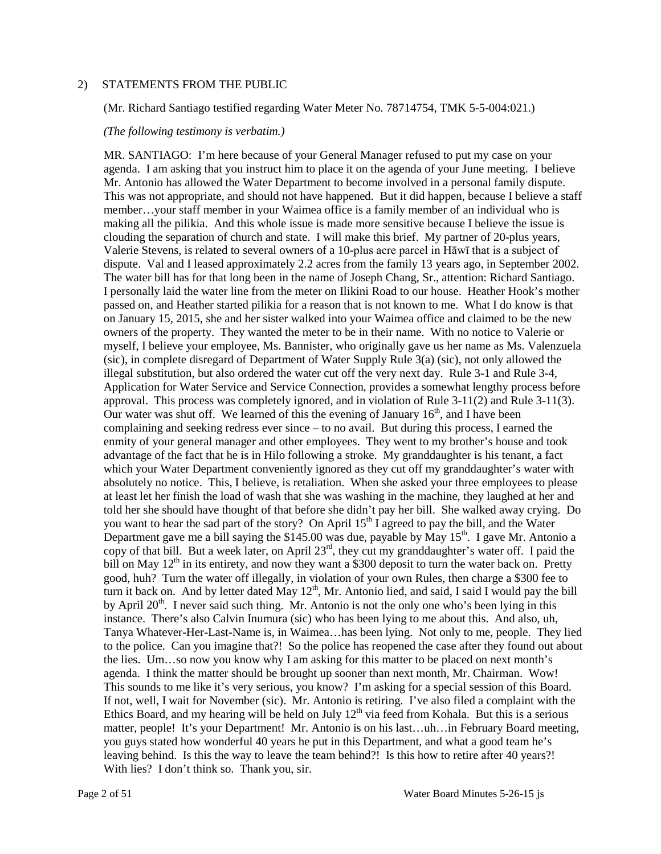#### 2) STATEMENTS FROM THE PUBLIC

(Mr. Richard Santiago testified regarding Water Meter No. 78714754, TMK 5-5-004:021.)

#### *(The following testimony is verbatim.)*

 MR. SANTIAGO: I'm here because of your General Manager refused to put my case on your agenda. I am asking that you instruct him to place it on the agenda of your June meeting. I believe clouding the separation of church and state. I will make this brief. My partner of 20-plus years, Valerie Stevens, is related to several owners of a 10-plus acre parcel in Hāwī that is a subject of The water bill has for that long been in the name of Joseph Chang, Sr., attention: Richard Santiago. myself, I believe your employee, Ms. Bannister, who originally gave us her name as Ms. Valenzuela (sic), in complete disregard of Department of Water Supply Rule 3(a) (sic), not only allowed the approval. This process was completely ignored, and in violation of Rule 3-11(2) and Rule 3-11(3). Our water was shut off. We learned of this the evening of January  $16<sup>th</sup>$ , and I have been complaining and seeking redress ever since – to no avail. But during this process, I earned the enmity of your general manager and other employees. They went to my brother's house and took advantage of the fact that he is in Hilo following a stroke. My granddaughter is his tenant, a fact absolutely no notice. This, I believe, is retaliation. When she asked your three employees to please at least let her finish the load of wash that she was washing in the machine, they laughed at her and Department gave me a bill saying the \$145.00 was due, payable by May  $15^{th}$ . I gave Mr. Antonio a good, huh? Turn the water off illegally, in violation of your own Rules, then charge a \$300 fee to the lies. Um…so now you know why I am asking for this matter to be placed on next month's agenda. I think the matter should be brought up sooner than next month, Mr. Chairman. Wow! agenda. I think the matter should be brought up sooner than next month, Mr. Chairman. Wow! This sounds to me like it's very serious, you know? I'm asking for a special session of this Board. you guys stated how wonderful 40 years he put in this Department, and what a good team he's leaving behind. Is this the way to leave the team behind?! Is this how to retire after 40 years?! Mr. Antonio has allowed the Water Department to become involved in a personal family dispute. This was not appropriate, and should not have happened. But it did happen, because I believe a staff member…your staff member in your Waimea office is a family member of an individual who is making all the pilikia. And this whole issue is made more sensitive because I believe the issue is dispute. Val and I leased approximately 2.2 acres from the family 13 years ago, in September 2002. I personally laid the water line from the meter on Ilikini Road to our house. Heather Hook's mother passed on, and Heather started pilikia for a reason that is not known to me. What I do know is that on January 15, 2015, she and her sister walked into your Waimea office and claimed to be the new owners of the property. They wanted the meter to be in their name. With no notice to Valerie or illegal substitution, but also ordered the water cut off the very next day. Rule 3-1 and Rule 3-4, Application for Water Service and Service Connection, provides a somewhat lengthy process before which your Water Department conveniently ignored as they cut off my granddaughter's water with told her she should have thought of that before she didn't pay her bill. She walked away crying. Do you want to hear the sad part of the story? On April 15<sup>th</sup> I agreed to pay the bill, and the Water copy of that bill. But a week later, on April 23<sup>rd</sup>, they cut my granddaughter's water off. I paid the bill on May  $12<sup>th</sup>$  in its entirety, and now they want a \$300 deposit to turn the water back on. Pretty turn it back on. And by letter dated May  $12<sup>th</sup>$ , Mr. Antonio lied, and said, I said I would pay the bill by April  $20<sup>th</sup>$ . I never said such thing. Mr. Antonio is not the only one who's been lying in this instance. There's also Calvin Inumura (sic) who has been lying to me about this. And also, uh, Tanya Whatever-Her-Last-Name is, in Waimea…has been lying. Not only to me, people. They lied to the police. Can you imagine that?! So the police has reopened the case after they found out about If not, well, I wait for November (sic). Mr. Antonio is retiring. I've also filed a complaint with the Ethics Board, and my hearing will be held on July  $12<sup>th</sup>$  via feed from Kohala. But this is a serious matter, people! It's your Department! Mr. Antonio is on his last...uh...in February Board meeting, With lies? I don't think so. Thank you, sir.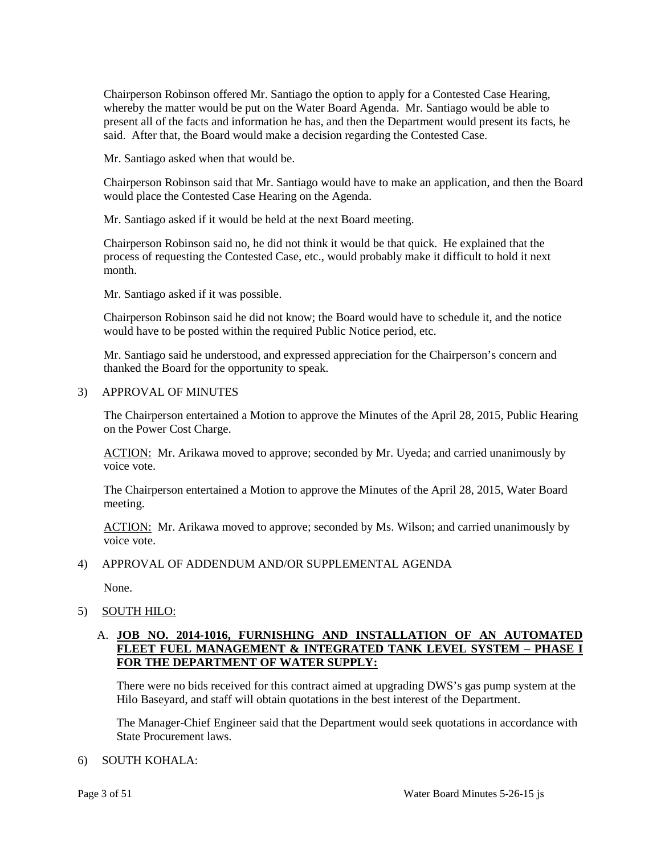whereby the matter would be put on the Water Board Agenda. Mr. Santiago would be able to present all of the facts and information he has, and then the Department would present its facts, he Chairperson Robinson offered Mr. Santiago the option to apply for a Contested Case Hearing, said. After that, the Board would make a decision regarding the Contested Case.

Mr. Santiago asked when that would be.

Chairperson Robinson said that Mr. Santiago would have to make an application, and then the Board would place the Contested Case Hearing on the Agenda.

Mr. Santiago asked if it would be held at the next Board meeting.

 Chairperson Robinson said no, he did not think it would be that quick. He explained that the process of requesting the Contested Case, etc., would probably make it difficult to hold it next month.

Mr. Santiago asked if it was possible.

 Chairperson Robinson said he did not know; the Board would have to schedule it, and the notice would have to be posted within the required Public Notice period, etc.

Mr. Santiago said he understood, and expressed appreciation for the Chairperson's concern and thanked the Board for the opportunity to speak.

#### 3) APPROVAL OF MINUTES

 The Chairperson entertained a Motion to approve the Minutes of the April 28, 2015, Public Hearing on the Power Cost Charge.

ACTION: Mr. Arikawa moved to approve; seconded by Mr. Uyeda; and carried unanimously by voice vote.

 The Chairperson entertained a Motion to approve the Minutes of the April 28, 2015, Water Board meeting.

ACTION: Mr. Arikawa moved to approve; seconded by Ms. Wilson; and carried unanimously by voice vote.

## 4) APPROVAL OF ADDENDUM AND/OR SUPPLEMENTAL AGENDA

None.

## 5) SOUTH HILO:

# A. **JOB NO. 2014-1016, FURNISHING AND INSTALLATION OF AN AUTOMATED FLEET FUEL MANAGEMENT & INTEGRATED TANK LEVEL SYSTEM – PHASE I FOR THE DEPARTMENT OF WATER SUPPLY:**

 There were no bids received for this contract aimed at upgrading DWS's gas pump system at the Hilo Baseyard, and staff will obtain quotations in the best interest of the Department.

The Manager-Chief Engineer said that the Department would seek quotations in accordance with State Procurement laws.

#### 6) SOUTH KOHALA: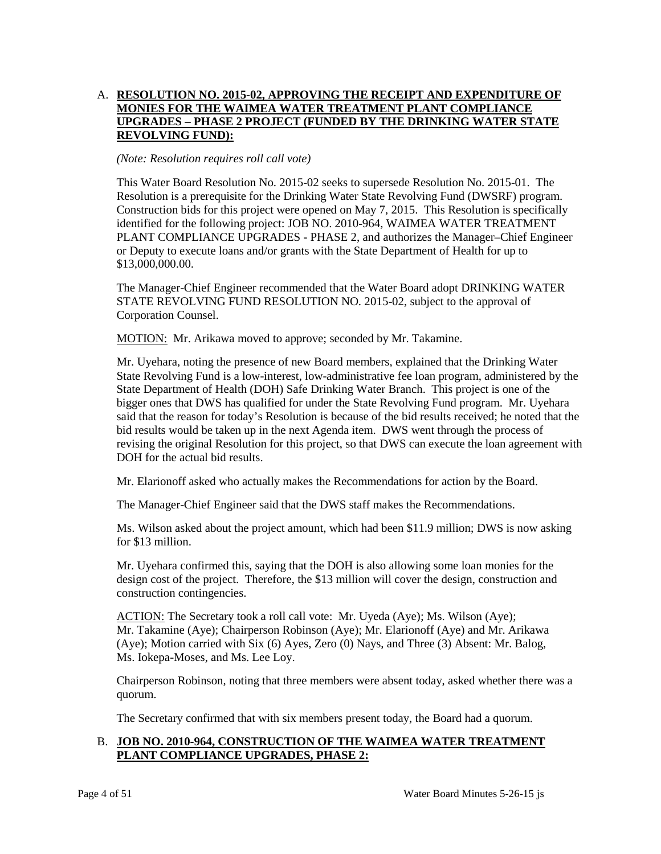# **UPGRADES – PHASE 2 PROJECT (FUNDED BY THE DRINKING WATER STATE**  A. **RESOLUTION NO. 2015-02, APPROVING THE RECEIPT AND EXPENDITURE OF MONIES FOR THE WAIMEA WATER TREATMENT PLANT COMPLIANCE REVOLVING FUND):**

#### *(Note: Resolution requires roll call vote)*

 Resolution is a prerequisite for the Drinking Water State Revolving Fund (DWSRF) program. This Water Board Resolution No. 2015-02 seeks to supersede Resolution No. 2015-01. The Construction bids for this project were opened on May 7, 2015. This Resolution is specifically identified for the following project: JOB NO. 2010-964, WAIMEA WATER TREATMENT PLANT COMPLIANCE UPGRADES - PHASE 2, and authorizes the Manager–Chief Engineer or Deputy to execute loans and/or grants with the State Department of Health for up to \$13,000,000.00.

 The Manager-Chief Engineer recommended that the Water Board adopt DRINKING WATER STATE REVOLVING FUND RESOLUTION NO. 2015-02, subject to the approval of Corporation Counsel.

MOTION: Mr. Arikawa moved to approve; seconded by Mr. Takamine.

 State Department of Health (DOH) Safe Drinking Water Branch. This project is one of the bigger ones that DWS has qualified for under the State Revolving Fund program. Mr. Uyehara said that the reason for today's Resolution is because of the bid results received; he noted that the bid results would be taken up in the next Agenda item. DWS went through the process of revising the original Resolution for this project, so that DWS can execute the loan agreement with Mr. Uyehara, noting the presence of new Board members, explained that the Drinking Water State Revolving Fund is a low-interest, low-administrative fee loan program, administered by the DOH for the actual bid results.

Mr. Elarionoff asked who actually makes the Recommendations for action by the Board.

The Manager-Chief Engineer said that the DWS staff makes the Recommendations.

Ms. Wilson asked about the project amount, which had been \$11.9 million; DWS is now asking for \$13 million.

Mr. Uyehara confirmed this, saying that the DOH is also allowing some loan monies for the design cost of the project. Therefore, the \$13 million will cover the design, construction and construction contingencies.

ACTION: The Secretary took a roll call vote: Mr. Uyeda (Aye); Ms. Wilson (Aye); (Aye); Motion carried with Six (6) Ayes, Zero (0) Nays, and Three (3) Absent: Mr. Balog, Mr. Takamine (Aye); Chairperson Robinson (Aye); Mr. Elarionoff (Aye) and Mr. Arikawa Ms. Iokepa-Moses, and Ms. Lee Loy.

Chairperson Robinson, noting that three members were absent today, asked whether there was a quorum.

The Secretary confirmed that with six members present today, the Board had a quorum.

# B. JOB NO. 2010-964, CONSTRUCTION OF THE WAIMEA WATER TREATMENT **PLANT COMPLIANCE UPGRADES, PHASE 2:**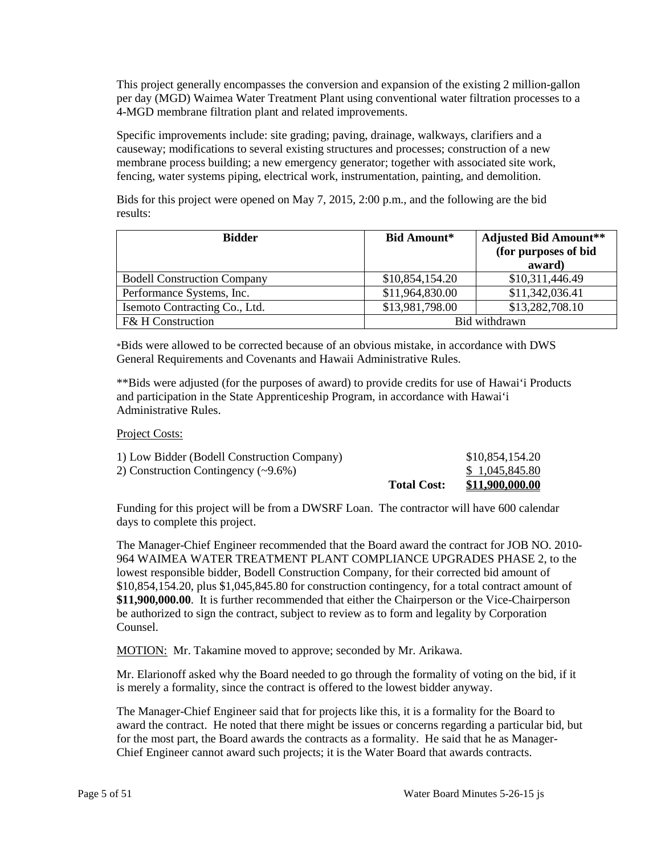This project generally encompasses the conversion and expansion of the existing 2 million-gallon per day (MGD) Waimea Water Treatment Plant using conventional water filtration processes to a 4-MGD membrane filtration plant and related improvements.

 membrane process building; a new emergency generator; together with associated site work, Specific improvements include: site grading; paving, drainage, walkways, clarifiers and a causeway; modifications to several existing structures and processes; construction of a new fencing, water systems piping, electrical work, instrumentation, painting, and demolition.

Bids for this project were opened on May 7, 2015, 2:00 p.m., and the following are the bid results:

| <b>Bidder</b>                      | <b>Bid Amount*</b> | <b>Adjusted Bid Amount**</b><br>(for purposes of bid<br>award) |
|------------------------------------|--------------------|----------------------------------------------------------------|
| <b>Bodell Construction Company</b> | \$10,854,154.20    | \$10,311,446.49                                                |
| Performance Systems, Inc.          | \$11,964,830.00    | \$11,342,036.41                                                |
| Isemoto Contracting Co., Ltd.      | \$13,981,798.00    | \$13,282,708.10                                                |
| <b>F&amp; H Construction</b>       | Bid withdrawn      |                                                                |

\*Bids were allowed to be corrected because of an obvious mistake, in accordance with DWS General Requirements and Covenants and Hawaii Administrative Rules.

 \*\*Bids were adjusted (for the purposes of award) to provide credits for use of Hawai'i Products and participation in the State Apprenticeship Program, in accordance with Hawai'i Administrative Rules.

Project Costs:

|                                             | <b>Total Cost:</b> | \$11,900,000.00 |
|---------------------------------------------|--------------------|-----------------|
| 2) Construction Contingency $(\sim 9.6\%)$  |                    | \$1,045,845.80  |
| 1) Low Bidder (Bodell Construction Company) |                    | \$10,854,154.20 |

Funding for this project will be from a DWSRF Loan. The contractor will have 600 calendar days to complete this project.

 \$10,854,154.20, plus \$1,045,845.80 for construction contingency, for a total contract amount of be authorized to sign the contract, subject to review as to form and legality by Corporation The Manager-Chief Engineer recommended that the Board award the contract for JOB NO. 2010 964 WAIMEA WATER TREATMENT PLANT COMPLIANCE UPGRADES PHASE 2, to the lowest responsible bidder, Bodell Construction Company, for their corrected bid amount of **\$11,900,000.00**. It is further recommended that either the Chairperson or the Vice-Chairperson Counsel.

MOTION: Mr. Takamine moved to approve; seconded by Mr. Arikawa.

 Mr. Elarionoff asked why the Board needed to go through the formality of voting on the bid, if it is merely a formality, since the contract is offered to the lowest bidder anyway.

 award the contract. He noted that there might be issues or concerns regarding a particular bid, but Chief Engineer cannot award such projects; it is the Water Board that awards contracts. The Manager-Chief Engineer said that for projects like this, it is a formality for the Board to for the most part, the Board awards the contracts as a formality. He said that he as Manager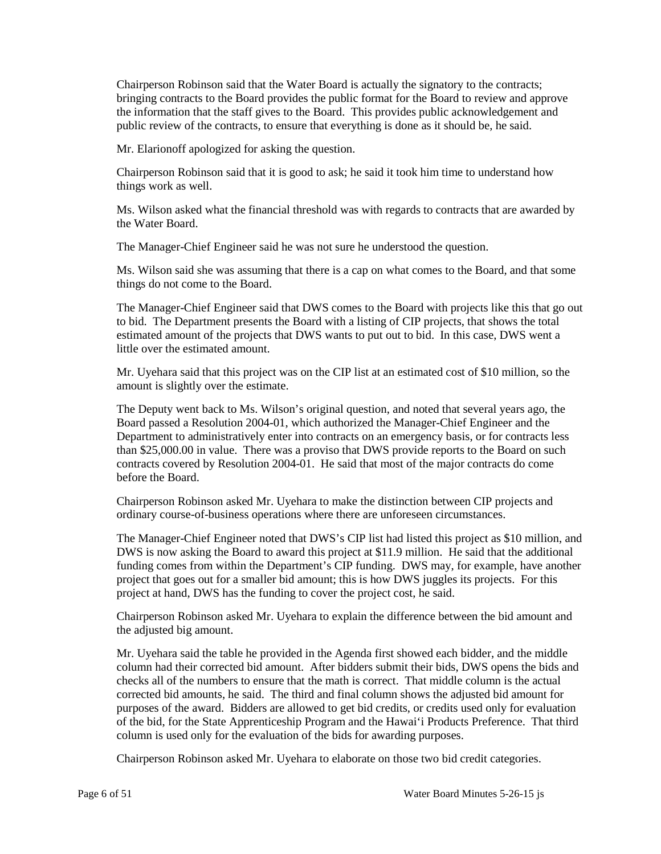bringing contracts to the Board provides the public format for the Board to review and approve the information that the staff gives to the Board. This provides public acknowledgement and public review of the contracts, to ensure that everything is done as it should be, he said. Chairperson Robinson said that the Water Board is actually the signatory to the contracts;

Mr. Elarionoff apologized for asking the question.

Chairperson Robinson said that it is good to ask; he said it took him time to understand how things work as well.

 Ms. Wilson asked what the financial threshold was with regards to contracts that are awarded by the Water Board.

The Manager-Chief Engineer said he was not sure he understood the question.

Ms. Wilson said she was assuming that there is a cap on what comes to the Board, and that some things do not come to the Board.

 The Manager-Chief Engineer said that DWS comes to the Board with projects like this that go out to bid. The Department presents the Board with a listing of CIP projects, that shows the total estimated amount of the projects that DWS wants to put out to bid. In this case, DWS went a little over the estimated amount.

Mr. Uyehara said that this project was on the CIP list at an estimated cost of \$10 million, so the amount is slightly over the estimate.

 The Deputy went back to Ms. Wilson's original question, and noted that several years ago, the Department to administratively enter into contracts on an emergency basis, or for contracts less than \$25,000.00 in value. There was a proviso that DWS provide reports to the Board on such contracts covered by Resolution 2004-01. He said that most of the major contracts do come Board passed a Resolution 2004-01, which authorized the Manager-Chief Engineer and the before the Board.

Chairperson Robinson asked Mr. Uyehara to make the distinction between CIP projects and ordinary course-of-business operations where there are unforeseen circumstances.

 The Manager-Chief Engineer noted that DWS's CIP list had listed this project as \$10 million, and project that goes out for a smaller bid amount; this is how DWS juggles its projects. For this project at hand, DWS has the funding to cover the project cost, he said. DWS is now asking the Board to award this project at \$11.9 million. He said that the additional funding comes from within the Department's CIP funding. DWS may, for example, have another

Chairperson Robinson asked Mr. Uyehara to explain the difference between the bid amount and the adjusted big amount.

 Mr. Uyehara said the table he provided in the Agenda first showed each bidder, and the middle checks all of the numbers to ensure that the math is correct. That middle column is the actual purposes of the award. Bidders are allowed to get bid credits, or credits used only for evaluation of the bid, for the State Apprenticeship Program and the Hawai'i Products Preference. That third column is used only for the evaluation of the bids for awarding purposes. column had their corrected bid amount. After bidders submit their bids, DWS opens the bids and corrected bid amounts, he said. The third and final column shows the adjusted bid amount for

Chairperson Robinson asked Mr. Uyehara to elaborate on those two bid credit categories.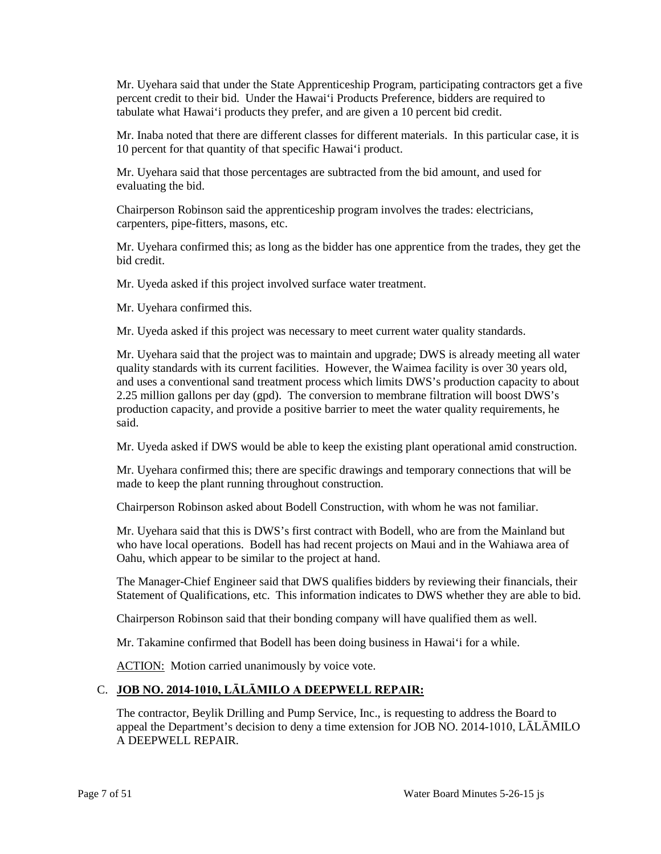Mr. Uyehara said that under the State Apprenticeship Program, participating contractors get a five percent credit to their bid. Under the Hawai'i Products Preference, bidders are required to tabulate what Hawai'i products they prefer, and are given a 10 percent bid credit.

 Mr. Inaba noted that there are different classes for different materials. In this particular case, it is 10 percent for that quantity of that specific Hawai'i product.

 Mr. Uyehara said that those percentages are subtracted from the bid amount, and used for evaluating the bid.

 Chairperson Robinson said the apprenticeship program involves the trades: electricians, carpenters, pipe-fitters, masons, etc.

Mr. Uyehara confirmed this; as long as the bidder has one apprentice from the trades, they get the bid credit.

Mr. Uyeda asked if this project involved surface water treatment.

Mr. Uyehara confirmed this.

Mr. Uyeda asked if this project was necessary to meet current water quality standards.

 quality standards with its current facilities. However, the Waimea facility is over 30 years old, Mr. Uyehara said that the project was to maintain and upgrade; DWS is already meeting all water and uses a conventional sand treatment process which limits DWS's production capacity to about 2.25 million gallons per day (gpd). The conversion to membrane filtration will boost DWS's production capacity, and provide a positive barrier to meet the water quality requirements, he said.

Mr. Uyeda asked if DWS would be able to keep the existing plant operational amid construction.

 made to keep the plant running throughout construction. Mr. Uyehara confirmed this; there are specific drawings and temporary connections that will be

Chairperson Robinson asked about Bodell Construction, with whom he was not familiar.

 who have local operations. Bodell has had recent projects on Maui and in the Wahiawa area of Oahu, which appear to be similar to the project at hand. Mr. Uyehara said that this is DWS's first contract with Bodell, who are from the Mainland but

 The Manager-Chief Engineer said that DWS qualifies bidders by reviewing their financials, their Statement of Qualifications, etc. This information indicates to DWS whether they are able to bid.

Chairperson Robinson said that their bonding company will have qualified them as well.

Mr. Takamine confirmed that Bodell has been doing business in Hawai'i for a while.

ACTION: Motion carried unanimously by voice vote.

## C. **JOB NO. 2014-1010, LĀLĀMILO A DEEPWELL REPAIR:**

The contractor, Beylik Drilling and Pump Service, Inc., is requesting to address the Board to appeal the Department's decision to deny a time extension for JOB NO. 2014-1010, LĀLĀMILO A DEEPWELL REPAIR.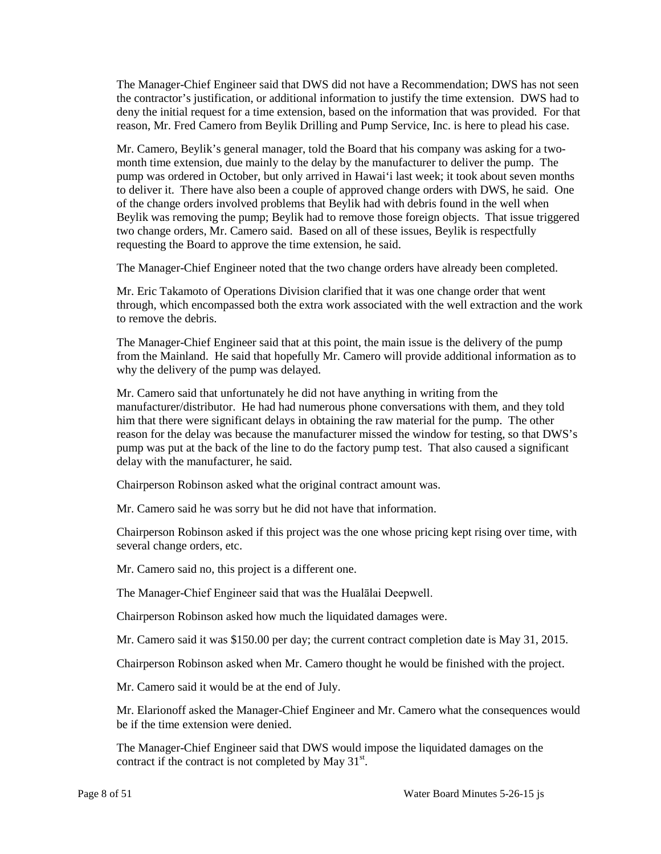deny the initial request for a time extension, based on the information that was provided. For that The Manager-Chief Engineer said that DWS did not have a Recommendation; DWS has not seen the contractor's justification, or additional information to justify the time extension. DWS had to reason, Mr. Fred Camero from Beylik Drilling and Pump Service, Inc. is here to plead his case.

 Mr. Camero, Beylik's general manager, told the Board that his company was asking for a two- month time extension, due mainly to the delay by the manufacturer to deliver the pump. The to deliver it. There have also been a couple of approved change orders with DWS, he said. One of the change orders involved problems that Beylik had with debris found in the well when two change orders, Mr. Camero said. Based on all of these issues, Beylik is respectfully requesting the Board to approve the time extension, he said. pump was ordered in October, but only arrived in Hawai'i last week; it took about seven months Beylik was removing the pump; Beylik had to remove those foreign objects. That issue triggered

The Manager-Chief Engineer noted that the two change orders have already been completed.

 Mr. Eric Takamoto of Operations Division clarified that it was one change order that went through, which encompassed both the extra work associated with the well extraction and the work to remove the debris.

 The Manager-Chief Engineer said that at this point, the main issue is the delivery of the pump from the Mainland. He said that hopefully Mr. Camero will provide additional information as to why the delivery of the pump was delayed.

 delay with the manufacturer, he said. Mr. Camero said that unfortunately he did not have anything in writing from the manufacturer/distributor. He had had numerous phone conversations with them, and they told him that there were significant delays in obtaining the raw material for the pump. The other reason for the delay was because the manufacturer missed the window for testing, so that DWS's pump was put at the back of the line to do the factory pump test. That also caused a significant

Chairperson Robinson asked what the original contract amount was.

Mr. Camero said he was sorry but he did not have that information.

Chairperson Robinson asked if this project was the one whose pricing kept rising over time, with several change orders, etc.

Mr. Camero said no, this project is a different one.

The Manager-Chief Engineer said that was the Hualālai Deepwell.

Chairperson Robinson asked how much the liquidated damages were.

Mr. Camero said it was \$150.00 per day; the current contract completion date is May 31, 2015.

Chairperson Robinson asked when Mr. Camero thought he would be finished with the project.

Mr. Camero said it would be at the end of July.

Mr. Elarionoff asked the Manager-Chief Engineer and Mr. Camero what the consequences would be if the time extension were denied.

 The Manager-Chief Engineer said that DWS would impose the liquidated damages on the contract if the contract is not completed by May  $31<sup>st</sup>$ .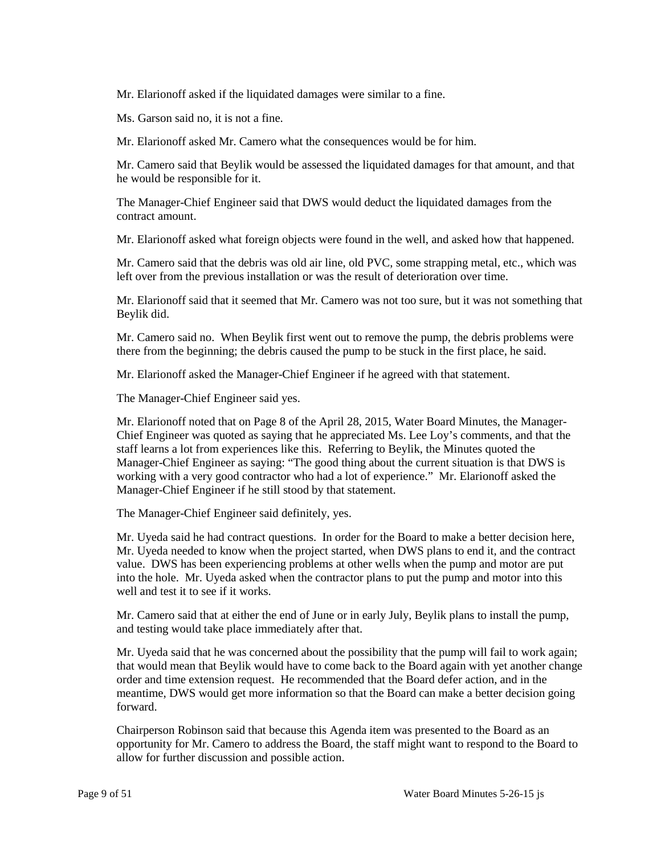Mr. Elarionoff asked if the liquidated damages were similar to a fine.

Ms. Garson said no, it is not a fine.

Mr. Elarionoff asked Mr. Camero what the consequences would be for him.

Mr. Camero said that Beylik would be assessed the liquidated damages for that amount, and that he would be responsible for it.

The Manager-Chief Engineer said that DWS would deduct the liquidated damages from the contract amount.

Mr. Elarionoff asked what foreign objects were found in the well, and asked how that happened.

 Mr. Camero said that the debris was old air line, old PVC, some strapping metal, etc., which was left over from the previous installation or was the result of deterioration over time.

Mr. Elarionoff said that it seemed that Mr. Camero was not too sure, but it was not something that Beylik did.

Mr. Camero said no. When Beylik first went out to remove the pump, the debris problems were there from the beginning; the debris caused the pump to be stuck in the first place, he said.

Mr. Elarionoff asked the Manager-Chief Engineer if he agreed with that statement.

The Manager-Chief Engineer said yes.

 staff learns a lot from experiences like this. Referring to Beylik, the Minutes quoted the Manager-Chief Engineer as saying: "The good thing about the current situation is that DWS is working with a very good contractor who had a lot of experience." Mr. Elarionoff asked the Manager-Chief Engineer if he still stood by that statement. Mr. Elarionoff noted that on Page 8 of the April 28, 2015, Water Board Minutes, the Manager-Chief Engineer was quoted as saying that he appreciated Ms. Lee Loy's comments, and that the

The Manager-Chief Engineer said definitely, yes.

 Mr. Uyeda needed to know when the project started, when DWS plans to end it, and the contract into the hole. Mr. Uyeda asked when the contractor plans to put the pump and motor into this Mr. Uyeda said he had contract questions. In order for the Board to make a better decision here, value. DWS has been experiencing problems at other wells when the pump and motor are put well and test it to see if it works.

 Mr. Camero said that at either the end of June or in early July, Beylik plans to install the pump, and testing would take place immediately after that.

 meantime, DWS would get more information so that the Board can make a better decision going Mr. Uyeda said that he was concerned about the possibility that the pump will fail to work again; that would mean that Beylik would have to come back to the Board again with yet another change order and time extension request. He recommended that the Board defer action, and in the forward.

 Chairperson Robinson said that because this Agenda item was presented to the Board as an allow for further discussion and possible action. opportunity for Mr. Camero to address the Board, the staff might want to respond to the Board to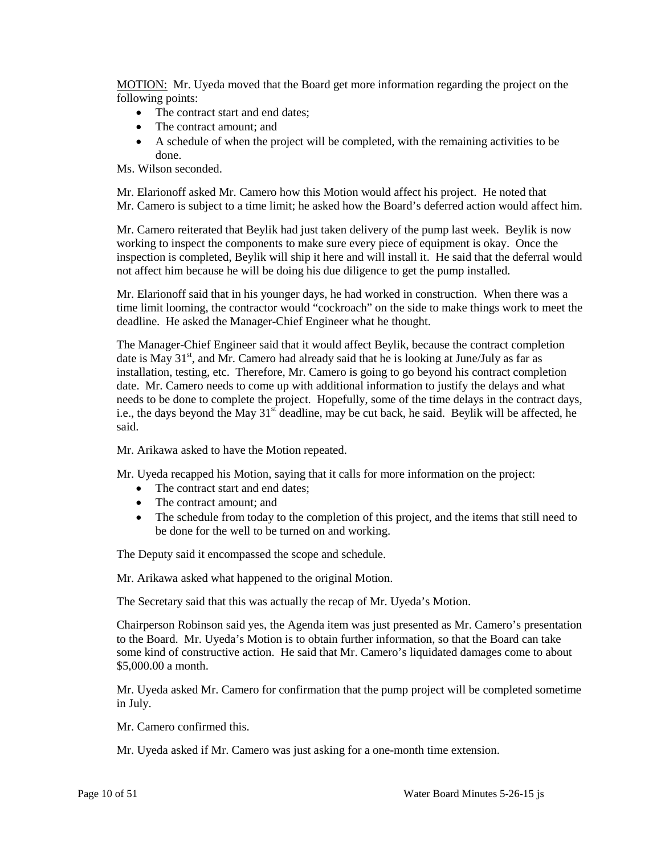MOTION: Mr. Uyeda moved that the Board get more information regarding the project on the following points:

- The contract start and end dates;
- The contract amount: and
- A schedule of when the project will be completed, with the remaining activities to be done.

Ms. Wilson seconded.

 Mr. Elarionoff asked Mr. Camero how this Motion would affect his project. He noted that Mr. Camero is subject to a time limit; he asked how the Board's deferred action would affect him.

 inspection is completed, Beylik will ship it here and will install it. He said that the deferral would not affect him because he will be doing his due diligence to get the pump installed. Mr. Camero reiterated that Beylik had just taken delivery of the pump last week. Beylik is now working to inspect the components to make sure every piece of equipment is okay. Once the

 time limit looming, the contractor would "cockroach" on the side to make things work to meet the deadline. He asked the Manager-Chief Engineer what he thought. Mr. Elarionoff said that in his younger days, he had worked in construction. When there was a

The Manager-Chief Engineer said that it would affect Beylik, because the contract completion date is May  $31<sup>st</sup>$ , and Mr. Camero had already said that he is looking at June/July as far as installation, testing, etc. Therefore, Mr. Camero is going to go beyond his contract completion date. Mr. Camero needs to come up with additional information to justify the delays and what needs to be done to complete the project. Hopefully, some of the time delays in the contract days, i.e., the days beyond the May  $31<sup>st</sup>$  deadline, may be cut back, he said. Beylik will be affected, he said.

Mr. Arikawa asked to have the Motion repeated.

Mr. Uyeda recapped his Motion, saying that it calls for more information on the project:

- The contract start and end dates;
- The contract amount; and
- The schedule from today to the completion of this project, and the items that still need to be done for the well to be turned on and working.

The Deputy said it encompassed the scope and schedule.

Mr. Arikawa asked what happened to the original Motion.

The Secretary said that this was actually the recap of Mr. Uyeda's Motion.

 to the Board. Mr. Uyeda's Motion is to obtain further information, so that the Board can take Chairperson Robinson said yes, the Agenda item was just presented as Mr. Camero's presentation some kind of constructive action. He said that Mr. Camero's liquidated damages come to about \$5,000.00 a month.

 Mr. Uyeda asked Mr. Camero for confirmation that the pump project will be completed sometime in July.

Mr. Camero confirmed this.

Mr. Uyeda asked if Mr. Camero was just asking for a one-month time extension.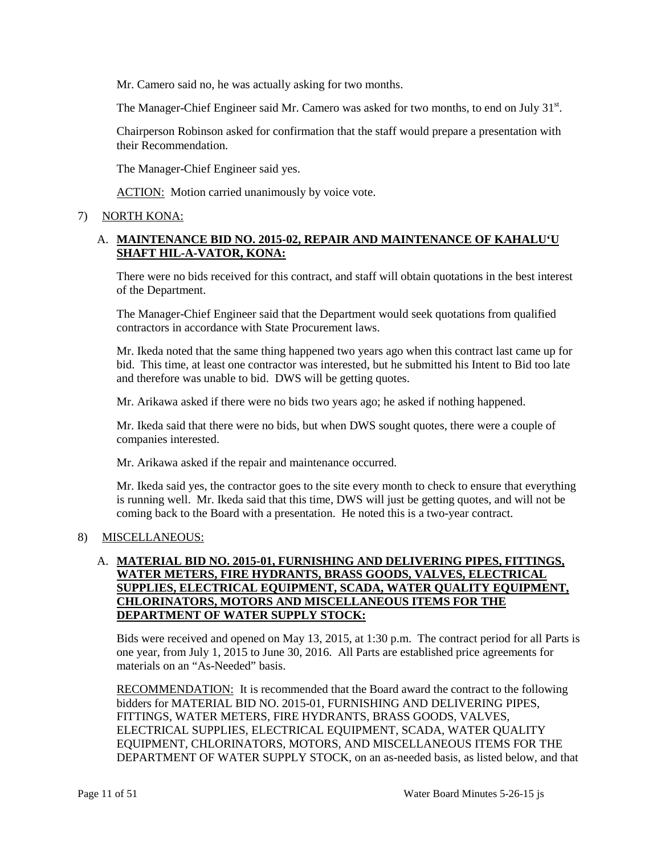Mr. Camero said no, he was actually asking for two months.

The Manager-Chief Engineer said Mr. Camero was asked for two months, to end on July  $31<sup>st</sup>$ .

Chairperson Robinson asked for confirmation that the staff would prepare a presentation with their Recommendation.

The Manager-Chief Engineer said yes.

ACTION: Motion carried unanimously by voice vote.

# 7) NORTH KONA:

# A. **MAINTENANCE BID NO. 2015-02, REPAIR AND MAINTENANCE OF KAHALU'U SHAFT HIL-A-VATOR, KONA:**

There were no bids received for this contract, and staff will obtain quotations in the best interest of the Department.

The Manager-Chief Engineer said that the Department would seek quotations from qualified contractors in accordance with State Procurement laws.

 bid. This time, at least one contractor was interested, but he submitted his Intent to Bid too late Mr. Ikeda noted that the same thing happened two years ago when this contract last came up for and therefore was unable to bid. DWS will be getting quotes.

Mr. Arikawa asked if there were no bids two years ago; he asked if nothing happened.

 Mr. Ikeda said that there were no bids, but when DWS sought quotes, there were a couple of companies interested.

Mr. Arikawa asked if the repair and maintenance occurred.

Mr. Ikeda said yes, the contractor goes to the site every month to check to ensure that everything is running well. Mr. Ikeda said that this time, DWS will just be getting quotes, and will not be coming back to the Board with a presentation. He noted this is a two-year contract.

## 8) MISCELLANEOUS:

# **CHLORINATORS, MOTORS AND MISCELLANEOUS ITEMS FOR THE**  A. **MATERIAL BID NO. 2015-01, FURNISHING AND DELIVERING PIPES, FITTINGS, WATER METERS, FIRE HYDRANTS, BRASS GOODS, VALVES, ELECTRICAL SUPPLIES, ELECTRICAL EQUIPMENT, SCADA, WATER QUALITY EQUIPMENT, DEPARTMENT OF WATER SUPPLY STOCK:**

 Bids were received and opened on May 13, 2015, at 1:30 p.m. The contract period for all Parts is one year, from July 1, 2015 to June 30, 2016. All Parts are established price agreements for materials on an "As-Needed" basis.

RECOMMENDATION: It is recommended that the Board award the contract to the following bidders for MATERIAL BID NO. 2015-01, FURNISHING AND DELIVERING PIPES, FITTINGS, WATER METERS, FIRE HYDRANTS, BRASS GOODS, VALVES, ELECTRICAL SUPPLIES, ELECTRICAL EQUIPMENT, SCADA, WATER QUALITY EQUIPMENT, CHLORINATORS, MOTORS, AND MISCELLANEOUS ITEMS FOR THE DEPARTMENT OF WATER SUPPLY STOCK, on an as-needed basis, as listed below, and that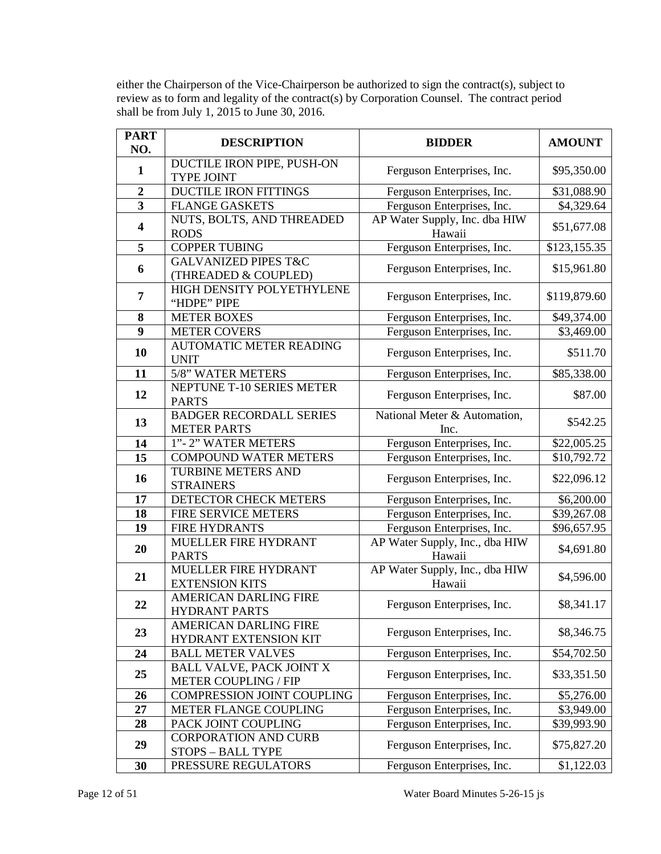either the Chairperson of the Vice-Chairperson be authorized to sign the contract(s), subject to review as to form and legality of the contract(s) by Corporation Counsel. The contract period shall be from July 1, 2015 to June 30, 2016.

| <b>PART</b><br>NO.      | <b>DESCRIPTION</b>                                             | <b>BIDDER</b>                            | <b>AMOUNT</b> |
|-------------------------|----------------------------------------------------------------|------------------------------------------|---------------|
|                         | DUCTILE IRON PIPE, PUSH-ON                                     |                                          |               |
| $\mathbf{1}$            | TYPE JOINT                                                     | Ferguson Enterprises, Inc.               | \$95,350.00   |
| $\overline{2}$          | <b>DUCTILE IRON FITTINGS</b>                                   | Ferguson Enterprises, Inc.               | \$31,088.90   |
| $\overline{\mathbf{3}}$ | <b>FLANGE GASKETS</b>                                          | Ferguson Enterprises, Inc.               | \$4,329.64    |
| $\overline{\mathbf{4}}$ | NUTS, BOLTS, AND THREADED<br><b>RODS</b>                       | AP Water Supply, Inc. dba HIW<br>Hawaii  | \$51,677.08   |
| 5                       | <b>COPPER TUBING</b>                                           | Ferguson Enterprises, Inc.               | \$123,155.35  |
|                         | <b>GALVANIZED PIPES T&amp;C</b>                                |                                          |               |
| 6                       | (THREADED & COUPLED)                                           | Ferguson Enterprises, Inc.               | \$15,961.80   |
| 7                       | HIGH DENSITY POLYETHYLENE<br>"HDPE" PIPE                       | Ferguson Enterprises, Inc.               | \$119,879.60  |
| ${\bf 8}$               | <b>METER BOXES</b>                                             | Ferguson Enterprises, Inc.               | \$49,374.00   |
| 9                       | <b>METER COVERS</b>                                            | Ferguson Enterprises, Inc.               | \$3,469.00    |
|                         | <b>AUTOMATIC METER READING</b>                                 |                                          |               |
| 10                      | <b>UNIT</b>                                                    | Ferguson Enterprises, Inc.               | \$511.70      |
| 11                      | 5/8" WATER METERS                                              | Ferguson Enterprises, Inc.               | \$85,338.00   |
| 12                      | NEPTUNE T-10 SERIES METER<br><b>PARTS</b>                      | Ferguson Enterprises, Inc.               | \$87.00       |
| 13                      | <b>BADGER RECORDALL SERIES</b><br><b>METER PARTS</b>           | National Meter & Automation,<br>Inc.     | \$542.25      |
| 14                      | 1"-2" WATER METERS                                             | Ferguson Enterprises, Inc.               | \$22,005.25   |
| 15                      | <b>COMPOUND WATER METERS</b>                                   | Ferguson Enterprises, Inc.               | \$10,792.72   |
| 16                      | <b>TURBINE METERS AND</b><br><b>STRAINERS</b>                  | Ferguson Enterprises, Inc.               | \$22,096.12   |
| 17                      | DETECTOR CHECK METERS                                          | Ferguson Enterprises, Inc.               | \$6,200.00    |
| 18                      | FIRE SERVICE METERS                                            | Ferguson Enterprises, Inc.               | \$39,267.08   |
| 19                      | <b>FIRE HYDRANTS</b>                                           | Ferguson Enterprises, Inc.               | \$96,657.95   |
|                         | MUELLER FIRE HYDRANT                                           | AP Water Supply, Inc., dba HIW           |               |
| 20                      | <b>PARTS</b>                                                   | Hawaii                                   | \$4,691.80    |
| 21                      | MUELLER FIRE HYDRANT<br><b>EXTENSION KITS</b>                  | AP Water Supply, Inc., dba HIW<br>Hawaii | \$4,596.00    |
| 22                      | <b>AMERICAN DARLING FIRE</b><br><b>HYDRANT PARTS</b>           | Ferguson Enterprises, Inc.               | \$8,341.17    |
| 23                      | AMERICAN DARLING FIRE<br>HYDRANT EXTENSION KIT                 | Ferguson Enterprises, Inc.               | \$8,346.75    |
| 24                      | <b>BALL METER VALVES</b>                                       | Ferguson Enterprises, Inc.               | \$54,702.50   |
| 25                      | <b>BALL VALVE, PACK JOINT X</b><br><b>METER COUPLING / FIP</b> | Ferguson Enterprises, Inc.               | \$33,351.50   |
| 26                      | COMPRESSION JOINT COUPLING                                     | Ferguson Enterprises, Inc.               | \$5,276.00    |
| 27                      | METER FLANGE COUPLING                                          | Ferguson Enterprises, Inc.               | \$3,949.00    |
| 28                      | PACK JOINT COUPLING                                            | Ferguson Enterprises, Inc.               | \$39,993.90   |
| 29                      | <b>CORPORATION AND CURB</b><br>STOPS - BALL TYPE               | Ferguson Enterprises, Inc.               | \$75,827.20   |
| 30                      | PRESSURE REGULATORS                                            | Ferguson Enterprises, Inc.               | \$1,122.03    |
|                         |                                                                |                                          |               |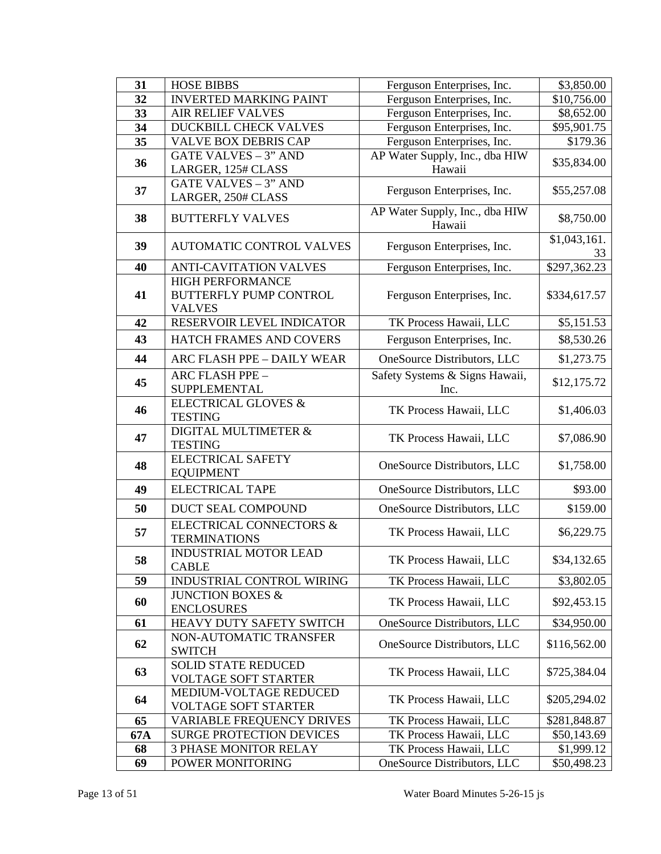| 31  | <b>HOSE BIBBS</b>                                                         | Ferguson Enterprises, Inc.               | \$3,850.00         |
|-----|---------------------------------------------------------------------------|------------------------------------------|--------------------|
| 32  | <b>INVERTED MARKING PAINT</b>                                             | Ferguson Enterprises, Inc.               | \$10,756.00        |
| 33  | <b>AIR RELIEF VALVES</b>                                                  | Ferguson Enterprises, Inc.               | \$8,652.00         |
| 34  | DUCKBILL CHECK VALVES                                                     | Ferguson Enterprises, Inc.               | \$95,901.75        |
| 35  | <b>VALVE BOX DEBRIS CAP</b>                                               | Ferguson Enterprises, Inc.               | \$179.36           |
| 36  | <b>GATE VALVES - 3" AND</b>                                               | AP Water Supply, Inc., dba HIW           | \$35,834.00        |
|     | LARGER, 125# CLASS                                                        | Hawaii                                   |                    |
| 37  | <b>GATE VALVES - 3" AND</b><br>LARGER, 250# CLASS                         | Ferguson Enterprises, Inc.               | \$55,257.08        |
| 38  | <b>BUTTERFLY VALVES</b>                                                   | AP Water Supply, Inc., dba HIW<br>Hawaii | \$8,750.00         |
| 39  | <b>AUTOMATIC CONTROL VALVES</b>                                           | Ferguson Enterprises, Inc.               | \$1,043,161.<br>33 |
| 40  | <b>ANTI-CAVITATION VALVES</b>                                             | Ferguson Enterprises, Inc.               | \$297,362.23       |
| 41  | <b>HIGH PERFORMANCE</b><br><b>BUTTERFLY PUMP CONTROL</b><br><b>VALVES</b> | Ferguson Enterprises, Inc.               | \$334,617.57       |
| 42  | RESERVOIR LEVEL INDICATOR                                                 | TK Process Hawaii, LLC                   | \$5,151.53         |
| 43  | HATCH FRAMES AND COVERS                                                   | Ferguson Enterprises, Inc.               | \$8,530.26         |
| 44  | ARC FLASH PPE - DAILY WEAR                                                | OneSource Distributors, LLC              | \$1,273.75         |
| 45  | <b>ARC FLASH PPE -</b><br>SUPPLEMENTAL                                    | Safety Systems & Signs Hawaii,<br>Inc.   | \$12,175.72        |
| 46  | <b>ELECTRICAL GLOVES &amp;</b><br><b>TESTING</b>                          | TK Process Hawaii, LLC                   | \$1,406.03         |
| 47  | DIGITAL MULTIMETER &<br><b>TESTING</b>                                    | TK Process Hawaii, LLC                   | \$7,086.90         |
| 48  | <b>ELECTRICAL SAFETY</b><br><b>EQUIPMENT</b>                              | OneSource Distributors, LLC              | \$1,758.00         |
| 49  | <b>ELECTRICAL TAPE</b>                                                    | OneSource Distributors, LLC              | \$93.00            |
| 50  | DUCT SEAL COMPOUND                                                        | OneSource Distributors, LLC              | \$159.00           |
| 57  | <b>ELECTRICAL CONNECTORS &amp;</b><br><b>TERMINATIONS</b>                 | TK Process Hawaii, LLC                   | \$6,229.75         |
| 58  | <b>INDUSTRIAL MOTOR LEAD</b><br><b>CABLE</b>                              | TK Process Hawaii, LLC                   | \$34,132.65        |
| 59  | INDUSTRIAL CONTROL WIRING                                                 | TK Process Hawaii, LLC                   | \$3,802.05         |
| 60  | <b>JUNCTION BOXES &amp;</b><br><b>ENCLOSURES</b>                          | TK Process Hawaii, LLC                   | \$92,453.15        |
| 61  | HEAVY DUTY SAFETY SWITCH                                                  | OneSource Distributors, LLC              | \$34,950.00        |
| 62  | NON-AUTOMATIC TRANSFER<br><b>SWITCH</b>                                   | OneSource Distributors, LLC              | \$116,562.00       |
| 63  | <b>SOLID STATE REDUCED</b><br><b>VOLTAGE SOFT STARTER</b>                 | TK Process Hawaii, LLC                   | \$725,384.04       |
| 64  | MEDIUM-VOLTAGE REDUCED<br><b>VOLTAGE SOFT STARTER</b>                     | TK Process Hawaii, LLC                   | \$205,294.02       |
| 65  | <b>VARIABLE FREQUENCY DRIVES</b>                                          | TK Process Hawaii, LLC                   | \$281,848.87       |
| 67A | <b>SURGE PROTECTION DEVICES</b>                                           | TK Process Hawaii, LLC                   | \$50,143.69        |
| 68  | <b>3 PHASE MONITOR RELAY</b>                                              | TK Process Hawaii, LLC                   | \$1,999.12         |
| 69  | POWER MONITORING                                                          | OneSource Distributors, LLC              | \$50,498.23        |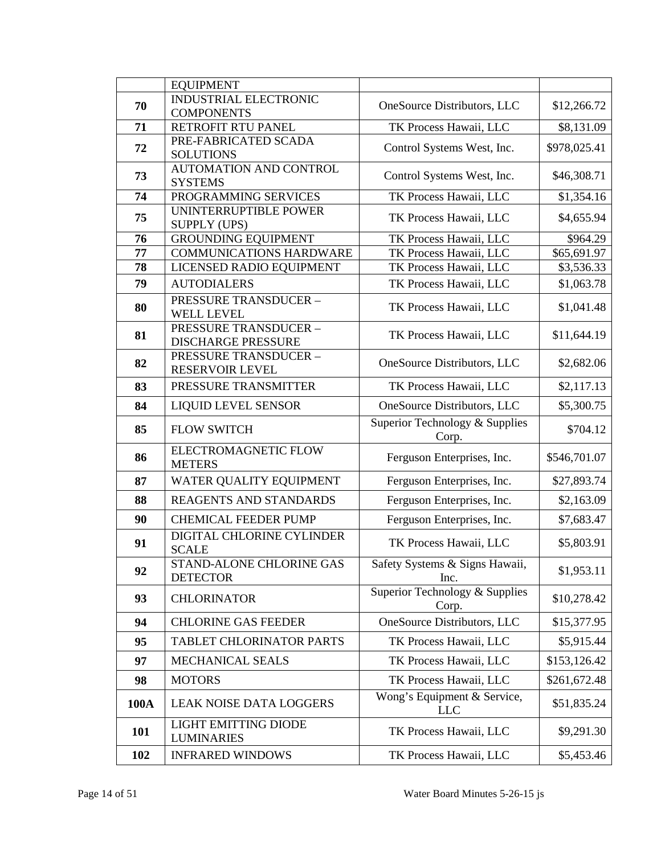|             | <b>EQUIPMENT</b>                                          |                                           |              |
|-------------|-----------------------------------------------------------|-------------------------------------------|--------------|
|             | <b>INDUSTRIAL ELECTRONIC</b>                              |                                           |              |
| 70          | <b>COMPONENTS</b>                                         | OneSource Distributors, LLC               | \$12,266.72  |
| 71          | RETROFIT RTU PANEL                                        | TK Process Hawaii, LLC                    | \$8,131.09   |
| 72          | PRE-FABRICATED SCADA<br><b>SOLUTIONS</b>                  | Control Systems West, Inc.                | \$978,025.41 |
| 73          | <b>AUTOMATION AND CONTROL</b><br><b>SYSTEMS</b>           | Control Systems West, Inc.                | \$46,308.71  |
| 74          | PROGRAMMING SERVICES                                      | TK Process Hawaii, LLC                    | \$1,354.16   |
| 75          | UNINTERRUPTIBLE POWER<br><b>SUPPLY (UPS)</b>              | TK Process Hawaii, LLC                    | \$4,655.94   |
| 76          | <b>GROUNDING EQUIPMENT</b>                                | TK Process Hawaii, LLC                    | \$964.29     |
| 77          | <b>COMMUNICATIONS HARDWARE</b>                            | TK Process Hawaii, LLC                    | \$65,691.97  |
| 78          | LICENSED RADIO EQUIPMENT                                  | TK Process Hawaii, LLC                    | \$3,536.33   |
| 79          | <b>AUTODIALERS</b>                                        | TK Process Hawaii, LLC                    | \$1,063.78   |
| 80          | <b>PRESSURE TRANSDUCER -</b><br><b>WELL LEVEL</b>         | TK Process Hawaii, LLC                    | \$1,041.48   |
| 81          | <b>PRESSURE TRANSDUCER -</b><br><b>DISCHARGE PRESSURE</b> | TK Process Hawaii, LLC                    | \$11,644.19  |
| 82          | <b>PRESSURE TRANSDUCER -</b><br><b>RESERVOIR LEVEL</b>    | OneSource Distributors, LLC               | \$2,682.06   |
| 83          | PRESSURE TRANSMITTER                                      | TK Process Hawaii, LLC                    | \$2,117.13   |
| 84          | <b>LIQUID LEVEL SENSOR</b>                                | OneSource Distributors, LLC               | \$5,300.75   |
| 85          | <b>FLOW SWITCH</b>                                        | Superior Technology & Supplies<br>Corp.   | \$704.12     |
| 86          | ELECTROMAGNETIC FLOW<br><b>METERS</b>                     | Ferguson Enterprises, Inc.                | \$546,701.07 |
| 87          | WATER QUALITY EQUIPMENT                                   | Ferguson Enterprises, Inc.                | \$27,893.74  |
| 88          | <b>REAGENTS AND STANDARDS</b>                             | Ferguson Enterprises, Inc.                | \$2,163.09   |
| 90          | <b>CHEMICAL FEEDER PUMP</b>                               | Ferguson Enterprises, Inc.                | \$7,683.47   |
| 91          | DIGITAL CHLORINE CYLINDER<br><b>SCALE</b>                 | TK Process Hawaii, LLC                    | \$5,803.91   |
| 92          | STAND-ALONE CHLORINE GAS<br><b>DETECTOR</b>               | Safety Systems & Signs Hawaii,<br>Inc.    | \$1,953.11   |
| 93          | <b>CHLORINATOR</b>                                        | Superior Technology & Supplies<br>Corp.   | \$10,278.42  |
| 94          | <b>CHLORINE GAS FEEDER</b>                                | OneSource Distributors, LLC               | \$15,377.95  |
| 95          | TABLET CHLORINATOR PARTS                                  | TK Process Hawaii, LLC                    | \$5,915.44   |
| 97          | MECHANICAL SEALS                                          | TK Process Hawaii, LLC                    | \$153,126.42 |
| 98          | <b>MOTORS</b>                                             | TK Process Hawaii, LLC                    | \$261,672.48 |
| <b>100A</b> | <b>LEAK NOISE DATA LOGGERS</b>                            | Wong's Equipment & Service,<br><b>LLC</b> | \$51,835.24  |
| 101         | <b>LIGHT EMITTING DIODE</b><br><b>LUMINARIES</b>          | TK Process Hawaii, LLC                    | \$9,291.30   |
| 102         | <b>INFRARED WINDOWS</b>                                   | TK Process Hawaii, LLC                    | \$5,453.46   |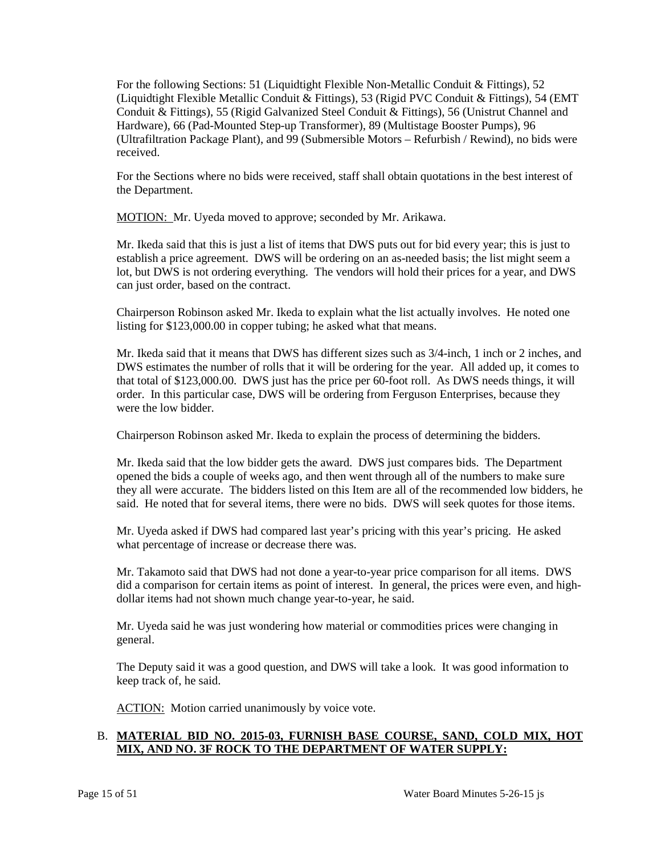(Liquidtight Flexible Metallic Conduit & Fittings), 53 (Rigid PVC Conduit & Fittings), 54 (EMT For the following Sections: 51 (Liquidtight Flexible Non-Metallic Conduit & Fittings), 52 Conduit & Fittings), 55 (Rigid Galvanized Steel Conduit & Fittings), 56 (Unistrut Channel and Hardware), 66 (Pad-Mounted Step-up Transformer), 89 (Multistage Booster Pumps), 96 (Ultrafiltration Package Plant), and 99 (Submersible Motors – Refurbish / Rewind), no bids were received.

 For the Sections where no bids were received, staff shall obtain quotations in the best interest of the Department.

MOTION: Mr. Uyeda moved to approve; seconded by Mr. Arikawa.

 Mr. Ikeda said that this is just a list of items that DWS puts out for bid every year; this is just to establish a price agreement. DWS will be ordering on an as-needed basis; the list might seem a lot, but DWS is not ordering everything. The vendors will hold their prices for a year, and DWS can just order, based on the contract.

 listing for \$123,000.00 in copper tubing; he asked what that means. Chairperson Robinson asked Mr. Ikeda to explain what the list actually involves. He noted one

Mr. Ikeda said that it means that DWS has different sizes such as 3/4-inch, 1 inch or 2 inches, and DWS estimates the number of rolls that it will be ordering for the year. All added up, it comes to that total of \$123,000.00. DWS just has the price per 60-foot roll. As DWS needs things, it will order. In this particular case, DWS will be ordering from Ferguson Enterprises, because they were the low bidder.

Chairperson Robinson asked Mr. Ikeda to explain the process of determining the bidders.

 Mr. Ikeda said that the low bidder gets the award. DWS just compares bids. The Department they all were accurate. The bidders listed on this Item are all of the recommended low bidders, he said. He noted that for several items, there were no bids. DWS will seek quotes for those items. opened the bids a couple of weeks ago, and then went through all of the numbers to make sure

 what percentage of increase or decrease there was. Mr. Uyeda asked if DWS had compared last year's pricing with this year's pricing. He asked

 Mr. Takamoto said that DWS had not done a year-to-year price comparison for all items. DWS did a comparison for certain items as point of interest. In general, the prices were even, and highdollar items had not shown much change year-to-year, he said.

 Mr. Uyeda said he was just wondering how material or commodities prices were changing in general.

The Deputy said it was a good question, and DWS will take a look. It was good information to keep track of, he said.

ACTION: Motion carried unanimously by voice vote.

# B. **MATERIAL BID NO. 2015-03, FURNISH BASE COURSE, SAND, COLD MIX, HOT MIX, AND NO. 3F ROCK TO THE DEPARTMENT OF WATER SUPPLY:**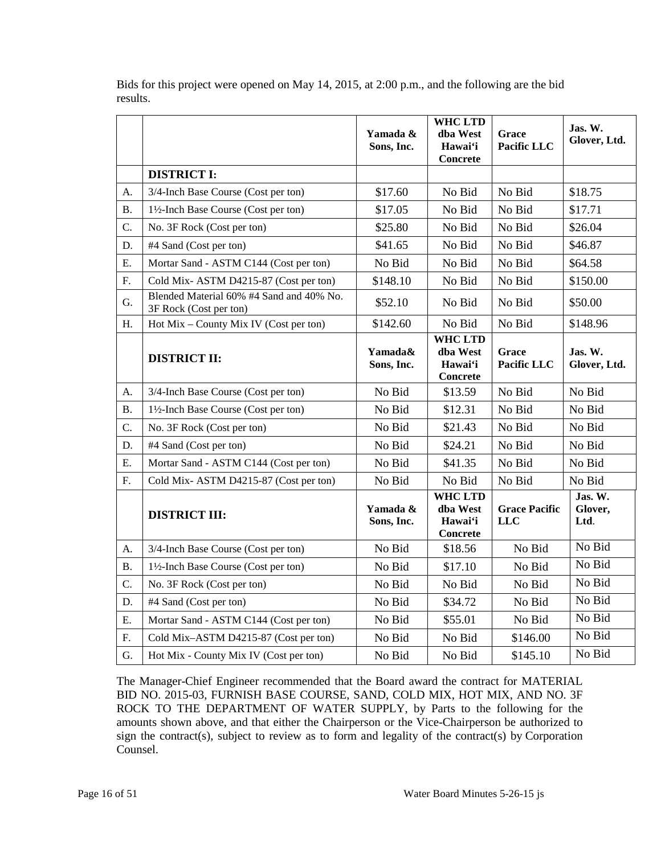|            |                                                                    | Yamada &<br>Sons, Inc. | WHC LTD<br>dba West<br>Hawai'i<br><b>Concrete</b>        | Grace<br>Pacific LLC               | Jas. W.<br>Glover, Ltd.    |
|------------|--------------------------------------------------------------------|------------------------|----------------------------------------------------------|------------------------------------|----------------------------|
|            | <b>DISTRICT I:</b>                                                 |                        |                                                          |                                    |                            |
| A.         | 3/4-Inch Base Course (Cost per ton)                                | \$17.60                | No Bid                                                   | No Bid                             | \$18.75                    |
| <b>B.</b>  | 1½-Inch Base Course (Cost per ton)                                 | \$17.05                | No Bid                                                   | No Bid                             | \$17.71                    |
| C.         | No. 3F Rock (Cost per ton)                                         | \$25.80                | No Bid                                                   | No Bid                             | \$26.04                    |
| D.         | #4 Sand (Cost per ton)                                             | \$41.65                | No Bid                                                   | No Bid                             | \$46.87                    |
| Ε.         | Mortar Sand - ASTM C144 (Cost per ton)                             | No Bid                 | No Bid                                                   | No Bid                             | \$64.58                    |
| F.         | Cold Mix-ASTM D4215-87 (Cost per ton)                              | \$148.10               | No Bid                                                   | No Bid                             | \$150.00                   |
| G.         | Blended Material 60% #4 Sand and 40% No.<br>3F Rock (Cost per ton) | \$52.10                | No Bid                                                   | No Bid                             | \$50.00                    |
| H.         | Hot $Mix - County Mix IV (Cost per ton)$                           | \$142.60               | No Bid                                                   | No Bid                             | \$148.96                   |
|            | <b>DISTRICT II:</b>                                                | Yamada&<br>Sons, Inc.  | <b>WHC LTD</b><br>dba West<br>Hawai'i<br><b>Concrete</b> | Grace<br>Pacific LLC               | Jas. W.<br>Glover, Ltd.    |
| A.         | 3/4-Inch Base Course (Cost per ton)                                | No Bid                 | \$13.59                                                  | No Bid                             | No Bid                     |
| <b>B.</b>  | 1½-Inch Base Course (Cost per ton)                                 | No Bid                 | \$12.31                                                  | No Bid                             | No Bid                     |
| C.         | No. 3F Rock (Cost per ton)                                         | No Bid                 | \$21.43                                                  | No Bid                             | No Bid                     |
| D.         | #4 Sand (Cost per ton)                                             | No Bid                 | \$24.21                                                  | No Bid                             | No Bid                     |
| E.         | Mortar Sand - ASTM C144 (Cost per ton)                             | No Bid                 | \$41.35                                                  | No Bid                             | No Bid                     |
| ${\bf F}.$ | Cold Mix-ASTM D4215-87 (Cost per ton)                              | No Bid                 | No Bid                                                   | No Bid                             | No Bid                     |
|            | <b>DISTRICT III:</b>                                               | Yamada &<br>Sons, Inc. | <b>WHC LTD</b><br>dba West<br>Hawai'i<br><b>Concrete</b> | <b>Grace Pacific</b><br><b>LLC</b> | Jas. W.<br>Glover,<br>Ltd. |
| А.         | 3/4-Inch Base Course (Cost per ton)                                | No Bid                 | \$18.56                                                  | No Bid                             | No Bid                     |
| Β.         | 1½-Inch Base Course (Cost per ton)                                 | No Bid                 | \$17.10                                                  | No Bid                             | No Bid                     |
| C.         | No. 3F Rock (Cost per ton)                                         | No Bid                 | No Bid                                                   | No Bid                             | No Bid                     |
| D.         | #4 Sand (Cost per ton)                                             | No Bid                 | \$34.72                                                  | No Bid                             | No Bid                     |
| E.         | Mortar Sand - ASTM C144 (Cost per ton)                             | No Bid                 | \$55.01                                                  | No Bid                             | No Bid                     |
| F.         | Cold Mix-ASTM D4215-87 (Cost per ton)                              | No Bid                 | No Bid                                                   | \$146.00                           | No Bid                     |
| G.         | Hot Mix - County Mix IV (Cost per ton)                             | No Bid                 | No Bid                                                   | \$145.10                           | No Bid                     |

Bids for this project were opened on May 14, 2015, at 2:00 p.m., and the following are the bid results.

 BID NO. 2015-03, FURNISH BASE COURSE, SAND, COLD MIX, HOT MIX, AND NO. 3F amounts shown above, and that either the Chairperson or the Vice-Chairperson be authorized to sign the contract(s), subject to review as to form and legality of the contract(s) by Corporation The Manager-Chief Engineer recommended that the Board award the contract for MATERIAL ROCK TO THE DEPARTMENT OF WATER SUPPLY, by Parts to the following for the Counsel.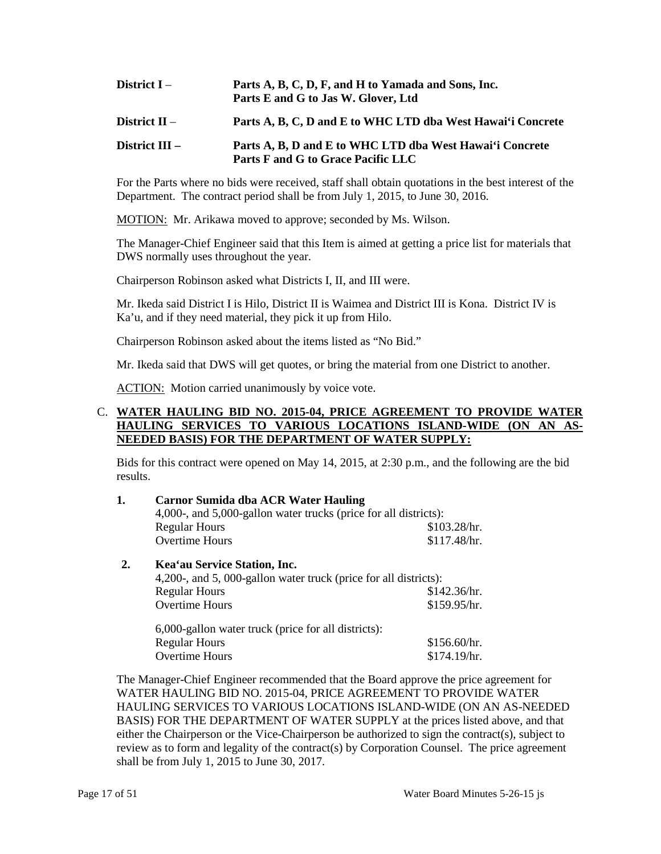| District I –   | Parts A, B, C, D, F, and H to Yamada and Sons, Inc.<br>Parts E and G to Jas W. Glover, Ltd     |
|----------------|------------------------------------------------------------------------------------------------|
| District II –  | Parts A, B, C, D and E to WHC LTD dba West Hawai'i Concrete                                    |
| District III – | Parts A, B, D and E to WHC LTD dba West Hawai'i Concrete<br>Parts F and G to Grace Pacific LLC |

 Department. The contract period shall be from July 1, 2015, to June 30, 2016. For the Parts where no bids were received, staff shall obtain quotations in the best interest of the

MOTION: Mr. Arikawa moved to approve; seconded by Ms. Wilson.

 The Manager-Chief Engineer said that this Item is aimed at getting a price list for materials that DWS normally uses throughout the year.

Chairperson Robinson asked what Districts I, II, and III were.

Mr. Ikeda said District I is Hilo, District II is Waimea and District III is Kona. District IV is Ka'u, and if they need material, they pick it up from Hilo.

Chairperson Robinson asked about the items listed as "No Bid."

Mr. Ikeda said that DWS will get quotes, or bring the material from one District to another.

ACTION: Motion carried unanimously by voice vote.

## C. **WATER HAULING BID NO. 2015-04, PRICE AGREEMENT TO PROVIDE WATER HAULING SERVICES TO VARIOUS LOCATIONS ISLAND-WIDE (ON AN AS-NEEDED BASIS) FOR THE DEPARTMENT OF WATER SUPPLY:**

Bids for this contract were opened on May 14, 2015, at 2:30 p.m., and the following are the bid results.

| 1. | <b>Carnor Sumida dba ACR Water Hauling</b><br>4,000-, and 5,000-gallon water trucks (price for all districts): |              |  |
|----|----------------------------------------------------------------------------------------------------------------|--------------|--|
|    |                                                                                                                |              |  |
|    | <b>Regular Hours</b>                                                                                           | \$103.28/hr. |  |
|    | Overtime Hours                                                                                                 | \$117.48/hr. |  |
| 2. | Kea'au Service Station, Inc.                                                                                   |              |  |
|    | 4,200-, and 5,000-gallon water truck (price for all districts):                                                |              |  |
|    | Regular Hours                                                                                                  | \$142.36/hr. |  |

| 6,000-gallon water truck (price for all districts): |              |
|-----------------------------------------------------|--------------|
| <b>Regular Hours</b>                                | \$156.60/hr. |
| <b>Overtime Hours</b>                               | \$174.19/hr. |

Overtime Hours \$159.95/hr.

 shall be from July 1, 2015 to June 30, 2017. The Manager-Chief Engineer recommended that the Board approve the price agreement for WATER HAULING BID NO. 2015-04, PRICE AGREEMENT TO PROVIDE WATER HAULING SERVICES TO VARIOUS LOCATIONS ISLAND-WIDE (ON AN AS-NEEDED BASIS) FOR THE DEPARTMENT OF WATER SUPPLY at the prices listed above, and that either the Chairperson or the Vice-Chairperson be authorized to sign the contract(s), subject to review as to form and legality of the contract(s) by Corporation Counsel. The price agreement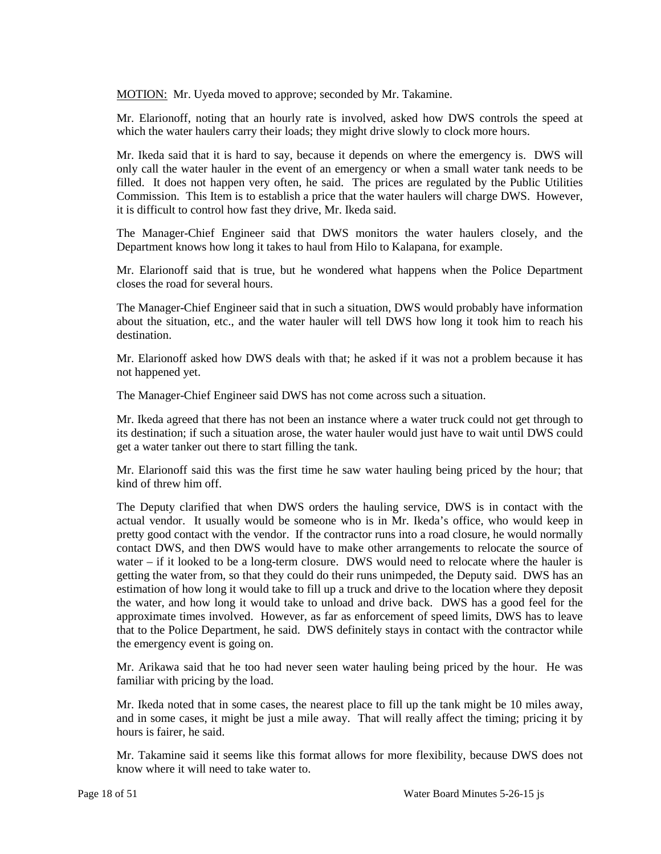MOTION: Mr. Uyeda moved to approve; seconded by Mr. Takamine.

 Mr. Elarionoff, noting that an hourly rate is involved, asked how DWS controls the speed at which the water haulers carry their loads; they might drive slowly to clock more hours.

 only call the water hauler in the event of an emergency or when a small water tank needs to be Mr. Ikeda said that it is hard to say, because it depends on where the emergency is. DWS will filled. It does not happen very often, he said. The prices are regulated by the Public Utilities Commission. This Item is to establish a price that the water haulers will charge DWS. However, it is difficult to control how fast they drive, Mr. Ikeda said.

 Department knows how long it takes to haul from Hilo to Kalapana, for example. The Manager-Chief Engineer said that DWS monitors the water haulers closely, and the

 Mr. Elarionoff said that is true, but he wondered what happens when the Police Department closes the road for several hours.

The Manager-Chief Engineer said that in such a situation, DWS would probably have information about the situation, etc., and the water hauler will tell DWS how long it took him to reach his destination.

 Mr. Elarionoff asked how DWS deals with that; he asked if it was not a problem because it has not happened yet.

The Manager-Chief Engineer said DWS has not come across such a situation.

Mr. Ikeda agreed that there has not been an instance where a water truck could not get through to its destination; if such a situation arose, the water hauler would just have to wait until DWS could get a water tanker out there to start filling the tank.

Mr. Elarionoff said this was the first time he saw water hauling being priced by the hour; that kind of threw him off.

 actual vendor. It usually would be someone who is in Mr. Ikeda's office, who would keep in pretty good contact with the vendor. If the contractor runs into a road closure, he would normally water – if it looked to be a long-term closure. DWS would need to relocate where the hauler is the water, and how long it would take to unload and drive back. DWS has a good feel for the that to the Police Department, he said. DWS definitely stays in contact with the contractor while The Deputy clarified that when DWS orders the hauling service, DWS is in contact with the contact DWS, and then DWS would have to make other arrangements to relocate the source of getting the water from, so that they could do their runs unimpeded, the Deputy said. DWS has an estimation of how long it would take to fill up a truck and drive to the location where they deposit approximate times involved. However, as far as enforcement of speed limits, DWS has to leave the emergency event is going on.

 Mr. Arikawa said that he too had never seen water hauling being priced by the hour. He was familiar with pricing by the load.

 Mr. Ikeda noted that in some cases, the nearest place to fill up the tank might be 10 miles away, and in some cases, it might be just a mile away. That will really affect the timing; pricing it by hours is fairer, he said.

 Mr. Takamine said it seems like this format allows for more flexibility, because DWS does not know where it will need to take water to.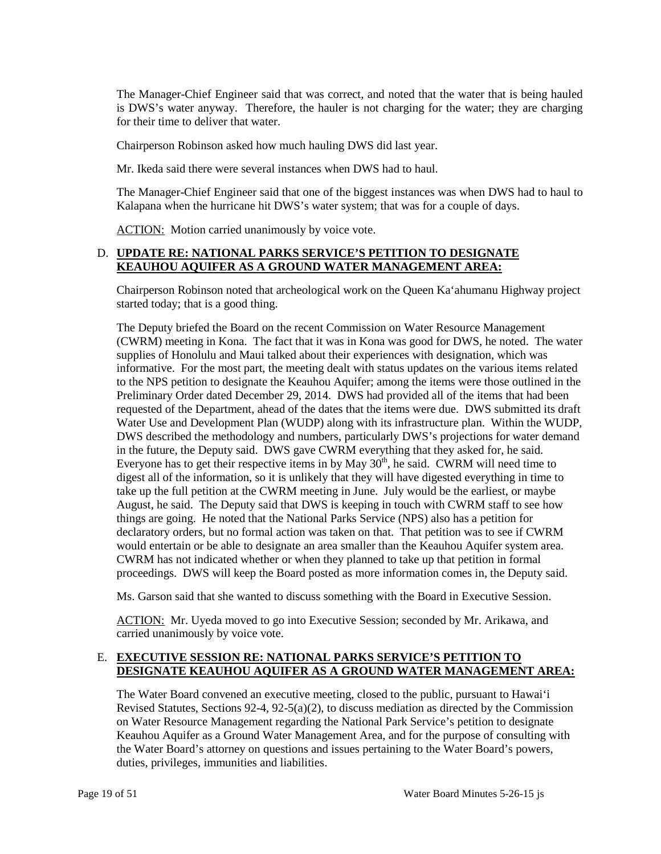for their time to deliver that water. The Manager-Chief Engineer said that was correct, and noted that the water that is being hauled is DWS's water anyway. Therefore, the hauler is not charging for the water; they are charging

Chairperson Robinson asked how much hauling DWS did last year.

Mr. Ikeda said there were several instances when DWS had to haul.

 The Manager-Chief Engineer said that one of the biggest instances was when DWS had to haul to Kalapana when the hurricane hit DWS's water system; that was for a couple of days.

ACTION: Motion carried unanimously by voice vote.

# D. **UPDATE RE: NATIONAL PARKS SERVICE'S PETITION TO DESIGNATE KEAUHOU AQUIFER AS A GROUND WATER MANAGEMENT AREA:**

Chairperson Robinson noted that archeological work on the Queen Ka'ahumanu Highway project started today; that is a good thing.

 (CWRM) meeting in Kona. The fact that it was in Kona was good for DWS, he noted. The water informative. For the most part, the meeting dealt with status updates on the various items related to the NPS petition to designate the Keauhou Aquifer; among the items were those outlined in the requested of the Department, ahead of the dates that the items were due. DWS submitted its draft Water Use and Development Plan (WUDP) along with its infrastructure plan. Within the WUDP, in the future, the Deputy said. DWS gave CWRM everything that they asked for, he said. digest all of the information, so it is unlikely that they will have digested everything in time to August, he said. The Deputy said that DWS is keeping in touch with CWRM staff to see how declaratory orders, but no formal action was taken on that. That petition was to see if CWRM would entertain or be able to designate an area smaller than the Keauhou Aquifer system area. The Deputy briefed the Board on the recent Commission on Water Resource Management supplies of Honolulu and Maui talked about their experiences with designation, which was Preliminary Order dated December 29, 2014. DWS had provided all of the items that had been DWS described the methodology and numbers, particularly DWS's projections for water demand Everyone has to get their respective items in by May  $30<sup>th</sup>$ , he said. CWRM will need time to take up the full petition at the CWRM meeting in June. July would be the earliest, or maybe things are going. He noted that the National Parks Service (NPS) also has a petition for CWRM has not indicated whether or when they planned to take up that petition in formal proceedings. DWS will keep the Board posted as more information comes in, the Deputy said.

Ms. Garson said that she wanted to discuss something with the Board in Executive Session.

ACTION: Mr. Uyeda moved to go into Executive Session; seconded by Mr. Arikawa, and carried unanimously by voice vote.

# E. **EXECUTIVE SESSION RE: NATIONAL PARKS SERVICE'S PETITION TO DESIGNATE KEAUHOU AQUIFER AS A GROUND WATER MANAGEMENT AREA:**

 Keauhou Aquifer as a Ground Water Management Area, and for the purpose of consulting with The Water Board convened an executive meeting, closed to the public, pursuant to Hawai'i Revised Statutes, Sections  $92-4$ ,  $92-5(a)(2)$ , to discuss mediation as directed by the Commission on Water Resource Management regarding the National Park Service's petition to designate the Water Board's attorney on questions and issues pertaining to the Water Board's powers, duties, privileges, immunities and liabilities.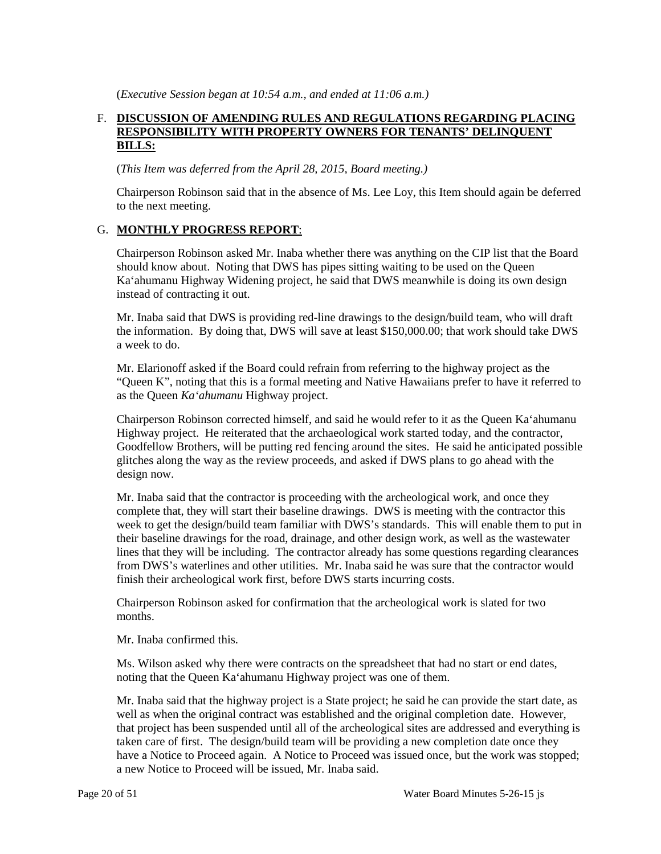(*Executive Session began at 10:54 a.m., and ended at 11:06 a.m.)* 

# F. DISCUSSION OF AMENDING RULES AND REGULATIONS REGARDING PLACING **RESPONSIBILITY WITH PROPERTY OWNERS FOR TENANTS' DELINQUENT BILLS:**

(*This Item was deferred from the April 28, 2015, Board meeting.)* 

 Chairperson Robinson said that in the absence of Ms. Lee Loy, this Item should again be deferred to the next meeting.

## G. **MONTHLY PROGRESS REPORT**:

Chairperson Robinson asked Mr. Inaba whether there was anything on the CIP list that the Board should know about. Noting that DWS has pipes sitting waiting to be used on the Queen Ka'ahumanu Highway Widening project, he said that DWS meanwhile is doing its own design instead of contracting it out.

Mr. Inaba said that DWS is providing red-line drawings to the design/build team, who will draft the information. By doing that, DWS will save at least \$150,000.00; that work should take DWS a week to do.

 Mr. Elarionoff asked if the Board could refrain from referring to the highway project as the "Queen K", noting that this is a formal meeting and Native Hawaiians prefer to have it referred to as the Queen *Ka'ahumanu* Highway project.

 Chairperson Robinson corrected himself, and said he would refer to it as the Queen Ka'ahumanu Highway project. He reiterated that the archaeological work started today, and the contractor, Goodfellow Brothers, will be putting red fencing around the sites. He said he anticipated possible glitches along the way as the review proceeds, and asked if DWS plans to go ahead with the design now.

 complete that, they will start their baseline drawings. DWS is meeting with the contractor this week to get the design/build team familiar with DWS's standards. This will enable them to put in their baseline drawings for the road, drainage, and other design work, as well as the wastewater from DWS's waterlines and other utilities. Mr. Inaba said he was sure that the contractor would finish their archeological work first, before DWS starts incurring costs. Mr. Inaba said that the contractor is proceeding with the archeological work, and once they lines that they will be including. The contractor already has some questions regarding clearances

Chairperson Robinson asked for confirmation that the archeological work is slated for two months.

Mr. Inaba confirmed this.

 Ms. Wilson asked why there were contracts on the spreadsheet that had no start or end dates, noting that the Queen Ka'ahumanu Highway project was one of them.

 Mr. Inaba said that the highway project is a State project; he said he can provide the start date, as taken care of first. The design/build team will be providing a new completion date once they have a Notice to Proceed again. A Notice to Proceed was issued once, but the work was stopped; well as when the original contract was established and the original completion date. However, that project has been suspended until all of the archeological sites are addressed and everything is a new Notice to Proceed will be issued, Mr. Inaba said.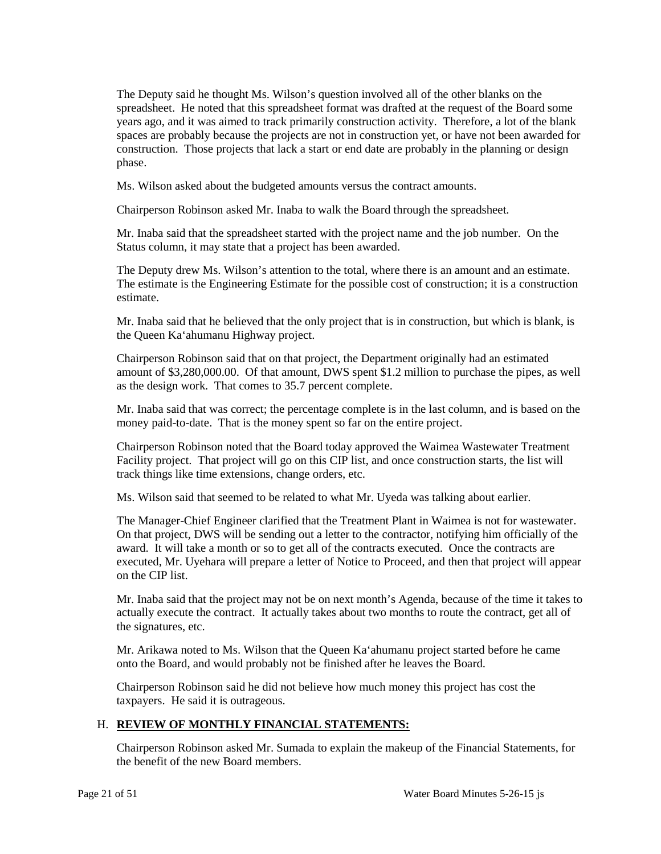spreadsheet. He noted that this spreadsheet format was drafted at the request of the Board some years ago, and it was aimed to track primarily construction activity. Therefore, a lot of the blank spaces are probably because the projects are not in construction yet, or have not been awarded for The Deputy said he thought Ms. Wilson's question involved all of the other blanks on the construction. Those projects that lack a start or end date are probably in the planning or design phase.

Ms. Wilson asked about the budgeted amounts versus the contract amounts.

Chairperson Robinson asked Mr. Inaba to walk the Board through the spreadsheet.

Mr. Inaba said that the spreadsheet started with the project name and the job number. On the Status column, it may state that a project has been awarded.

 The Deputy drew Ms. Wilson's attention to the total, where there is an amount and an estimate. The estimate is the Engineering Estimate for the possible cost of construction; it is a construction estimate.

 Mr. Inaba said that he believed that the only project that is in construction, but which is blank, is the Queen Ka'ahumanu Highway project.

 as the design work. That comes to 35.7 percent complete. Chairperson Robinson said that on that project, the Department originally had an estimated amount of \$3,280,000.00. Of that amount, DWS spent \$1.2 million to purchase the pipes, as well

Mr. Inaba said that was correct; the percentage complete is in the last column, and is based on the money paid-to-date. That is the money spent so far on the entire project.

 Chairperson Robinson noted that the Board today approved the Waimea Wastewater Treatment Facility project. That project will go on this CIP list, and once construction starts, the list will track things like time extensions, change orders, etc.

Ms. Wilson said that seemed to be related to what Mr. Uyeda was talking about earlier.

 The Manager-Chief Engineer clarified that the Treatment Plant in Waimea is not for wastewater. award. It will take a month or so to get all of the contracts executed. Once the contracts are executed, Mr. Uyehara will prepare a letter of Notice to Proceed, and then that project will appear On that project, DWS will be sending out a letter to the contractor, notifying him officially of the on the CIP list.

 Mr. Inaba said that the project may not be on next month's Agenda, because of the time it takes to actually execute the contract. It actually takes about two months to route the contract, get all of the signatures, etc.

Mr. Arikawa noted to Ms. Wilson that the Queen Ka'ahumanu project started before he came onto the Board, and would probably not be finished after he leaves the Board.

Chairperson Robinson said he did not believe how much money this project has cost the taxpayers. He said it is outrageous.

## H. **REVIEW OF MONTHLY FINANCIAL STATEMENTS:**

 the benefit of the new Board members. Chairperson Robinson asked Mr. Sumada to explain the makeup of the Financial Statements, for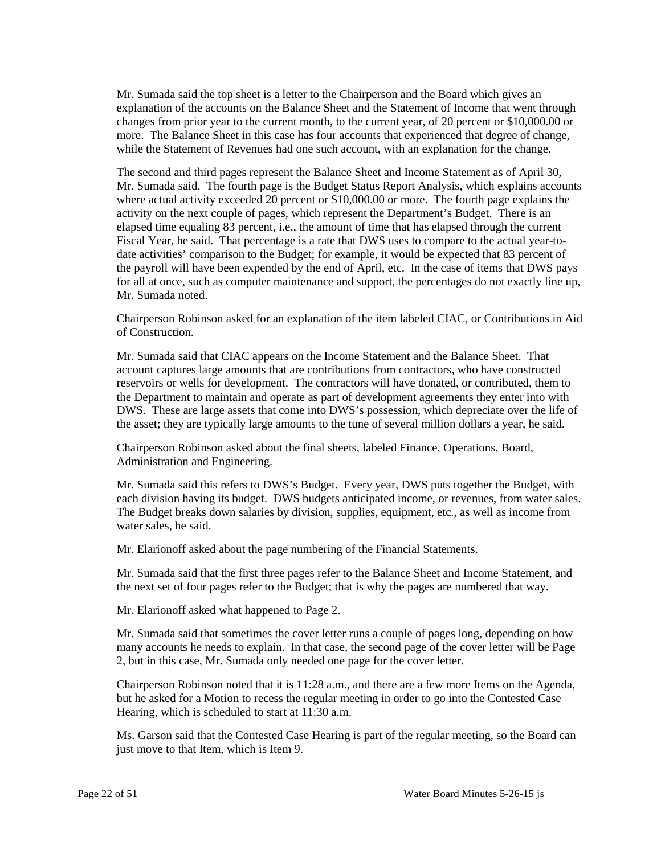Mr. Sumada said the top sheet is a letter to the Chairperson and the Board which gives an explanation of the accounts on the Balance Sheet and the Statement of Income that went through while the Statement of Revenues had one such account, with an explanation for the change. changes from prior year to the current month, to the current year, of 20 percent or \$10,000.00 or more. The Balance Sheet in this case has four accounts that experienced that degree of change,

 activity on the next couple of pages, which represent the Department's Budget. There is an elapsed time equaling 83 percent, i.e., the amount of time that has elapsed through the current Fiscal Year, he said. That percentage is a rate that DWS uses to compare to the actual year-to-The second and third pages represent the Balance Sheet and Income Statement as of April 30, Mr. Sumada said. The fourth page is the Budget Status Report Analysis, which explains accounts where actual activity exceeded 20 percent or \$10,000.00 or more. The fourth page explains the date activities' comparison to the Budget; for example, it would be expected that 83 percent of the payroll will have been expended by the end of April, etc. In the case of items that DWS pays for all at once, such as computer maintenance and support, the percentages do not exactly line up, Mr. Sumada noted.

 Chairperson Robinson asked for an explanation of the item labeled CIAC, or Contributions in Aid of Construction.

 Mr. Sumada said that CIAC appears on the Income Statement and the Balance Sheet. That account captures large amounts that are contributions from contractors, who have constructed reservoirs or wells for development. The contractors will have donated, or contributed, them to DWS. These are large assets that come into DWS's possession, which depreciate over the life of the Department to maintain and operate as part of development agreements they enter into with the asset; they are typically large amounts to the tune of several million dollars a year, he said.

Chairperson Robinson asked about the final sheets, labeled Finance, Operations, Board, Administration and Engineering.

each division having its budget. DWS budgets anticipated income, or revenues, from water sales. Mr. Sumada said this refers to DWS's Budget. Every year, DWS puts together the Budget, with The Budget breaks down salaries by division, supplies, equipment, etc., as well as income from water sales, he said.

Mr. Elarionoff asked about the page numbering of the Financial Statements.

 Mr. Sumada said that the first three pages refer to the Balance Sheet and Income Statement, and the next set of four pages refer to the Budget; that is why the pages are numbered that way.

Mr. Elarionoff asked what happened to Page 2.

 2, but in this case, Mr. Sumada only needed one page for the cover letter. Mr. Sumada said that sometimes the cover letter runs a couple of pages long, depending on how many accounts he needs to explain. In that case, the second page of the cover letter will be Page

 but he asked for a Motion to recess the regular meeting in order to go into the Contested Case Chairperson Robinson noted that it is 11:28 a.m., and there are a few more Items on the Agenda, Hearing, which is scheduled to start at 11:30 a.m.

 Ms. Garson said that the Contested Case Hearing is part of the regular meeting, so the Board can just move to that Item, which is Item 9.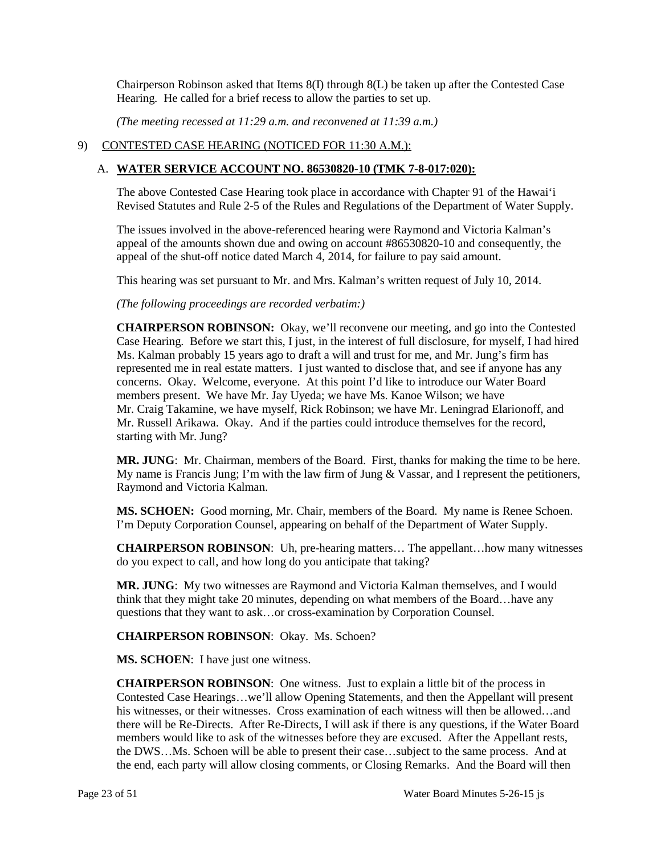Hearing*.* He called for a brief recess to allow the parties to set up. Chairperson Robinson asked that Items 8(I) through 8(L) be taken up after the Contested Case

*(The meeting recessed at 11:29 a.m. and reconvened at 11:39 a.m.)* 

# 9) CONTESTED CASE HEARING (NOTICED FOR 11:30 A.M.):

# A. **WATER SERVICE ACCOUNT NO. 86530820-10 (TMK 7-8-017:020):**

 The above Contested Case Hearing took place in accordance with Chapter 91 of the Hawai'i Revised Statutes and Rule 2-5 of the Rules and Regulations of the Department of Water Supply.

The issues involved in the above-referenced hearing were Raymond and Victoria Kalman's appeal of the amounts shown due and owing on account #86530820-10 and consequently, the appeal of the shut-off notice dated March 4, 2014, for failure to pay said amount.

This hearing was set pursuant to Mr. and Mrs. Kalman's written request of July 10, 2014.

*(The following proceedings are recorded verbatim:)* 

 represented me in real estate matters. I just wanted to disclose that, and see if anyone has any Mr. Craig Takamine, we have myself, Rick Robinson; we have Mr. Leningrad Elarionoff, and **CHAIRPERSON ROBINSON:** Okay, we'll reconvene our meeting, and go into the Contested Case Hearing. Before we start this, I just, in the interest of full disclosure, for myself, I had hired Ms. Kalman probably 15 years ago to draft a will and trust for me, and Mr. Jung's firm has concerns. Okay. Welcome, everyone. At this point I'd like to introduce our Water Board members present. We have Mr. Jay Uyeda; we have Ms. Kanoe Wilson; we have Mr. Russell Arikawa. Okay. And if the parties could introduce themselves for the record, starting with Mr. Jung?

 Raymond and Victoria Kalman. **MR. JUNG**: Mr. Chairman, members of the Board. First, thanks for making the time to be here. My name is Francis Jung; I'm with the law firm of Jung & Vassar, and I represent the petitioners,

 **MS. SCHOEN:** Good morning, Mr. Chair, members of the Board. My name is Renee Schoen. I'm Deputy Corporation Counsel, appearing on behalf of the Department of Water Supply.

 do you expect to call, and how long do you anticipate that taking? **CHAIRPERSON ROBINSON**: Uh, pre-hearing matters… The appellant…how many witnesses

**MR. JUNG**: My two witnesses are Raymond and Victoria Kalman themselves, and I would think that they might take 20 minutes, depending on what members of the Board…have any questions that they want to ask…or cross-examination by Corporation Counsel.

**CHAIRPERSON ROBINSON**: Okay. Ms. Schoen?

**MS. SCHOEN**: I have just one witness.

 **CHAIRPERSON ROBINSON**: One witness. Just to explain a little bit of the process in the DWS…Ms. Schoen will be able to present their case…subject to the same process. And at Contested Case Hearings…we'll allow Opening Statements, and then the Appellant will present his witnesses, or their witnesses. Cross examination of each witness will then be allowed...and there will be Re-Directs. After Re-Directs, I will ask if there is any questions, if the Water Board members would like to ask of the witnesses before they are excused. After the Appellant rests, the end, each party will allow closing comments, or Closing Remarks. And the Board will then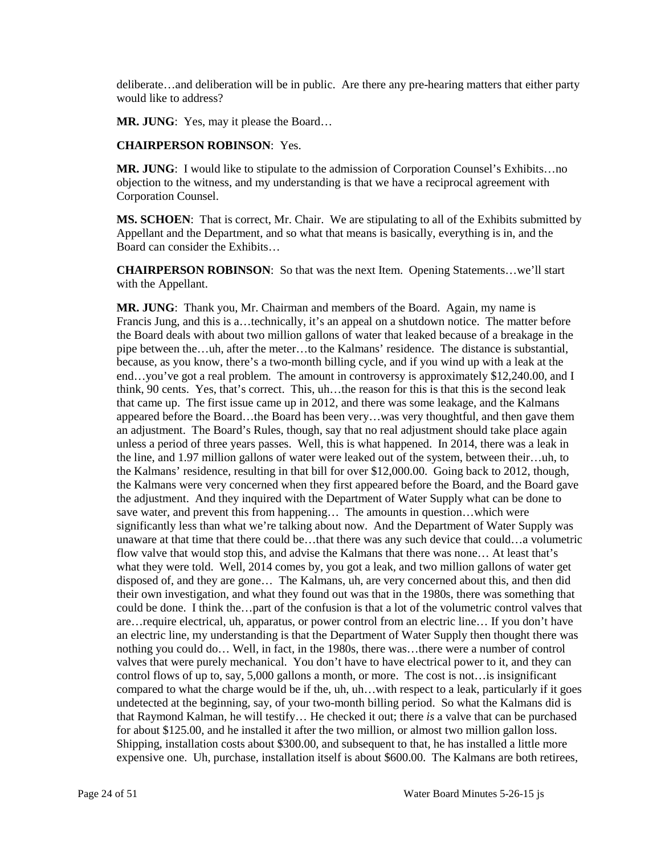deliberate…and deliberation will be in public. Are there any pre-hearing matters that either party would like to address?

**MR. JUNG:** Yes, may it please the Board...

#### **CHAIRPERSON ROBINSON**: Yes.

**MR. JUNG**: I would like to stipulate to the admission of Corporation Counsel's Exhibits…no objection to the witness, and my understanding is that we have a reciprocal agreement with Corporation Counsel.

 **MS. SCHOEN**: That is correct, Mr. Chair. We are stipulating to all of the Exhibits submitted by Appellant and the Department, and so what that means is basically, everything is in, and the Board can consider the Exhibits…

**CHAIRPERSON ROBINSON**: So that was the next Item. Opening Statements…we'll start with the Appellant.

 **MR. JUNG**: Thank you, Mr. Chairman and members of the Board. Again, my name is pipe between the…uh, after the meter…to the Kalmans' residence. The distance is substantial, think, 90 cents. Yes, that's correct. This, uh…the reason for this is that this is the second leak that came up. The first issue came up in 2012, and there was some leakage, and the Kalmans significantly less than what we're talking about now. And the Department of Water Supply was flow valve that would stop this, and advise the Kalmans that there was none… At least that's disposed of, and they are gone… The Kalmans, uh, are very concerned about this, and then did could be done. I think the…part of the confusion is that a lot of the volumetric control valves that valves that were purely mechanical. You don't have to have electrical power to it, and they can control flows of up to, say, 5,000 gallons a month, or more. The cost is not…is insignificant compared to what the charge would be if the, uh, uh…with respect to a leak, particularly if it goes undetected at the beginning, say, of your two-month billing period. So what the Kalmans did is for about \$125.00, and he installed it after the two million, or almost two million gallon loss. expensive one. Uh, purchase, installation itself is about \$600.00. The Kalmans are both retirees, Francis Jung, and this is a…technically, it's an appeal on a shutdown notice. The matter before the Board deals with about two million gallons of water that leaked because of a breakage in the because, as you know, there's a two-month billing cycle, and if you wind up with a leak at the end…you've got a real problem. The amount in controversy is approximately \$12,240.00, and I appeared before the Board…the Board has been very…was very thoughtful, and then gave them an adjustment. The Board's Rules, though, say that no real adjustment should take place again unless a period of three years passes. Well, this is what happened. In 2014, there was a leak in the line, and 1.97 million gallons of water were leaked out of the system, between their…uh, to the Kalmans' residence, resulting in that bill for over \$12,000.00. Going back to 2012, though, the Kalmans were very concerned when they first appeared before the Board, and the Board gave the adjustment. And they inquired with the Department of Water Supply what can be done to save water, and prevent this from happening… The amounts in question…which were unaware at that time that there could be…that there was any such device that could…a volumetric what they were told. Well, 2014 comes by, you got a leak, and two million gallons of water get their own investigation, and what they found out was that in the 1980s, there was something that are…require electrical, uh, apparatus, or power control from an electric line… If you don't have an electric line, my understanding is that the Department of Water Supply then thought there was nothing you could do… Well, in fact, in the 1980s, there was…there were a number of control that Raymond Kalman, he will testify… He checked it out; there *is* a valve that can be purchased Shipping, installation costs about \$300.00, and subsequent to that, he has installed a little more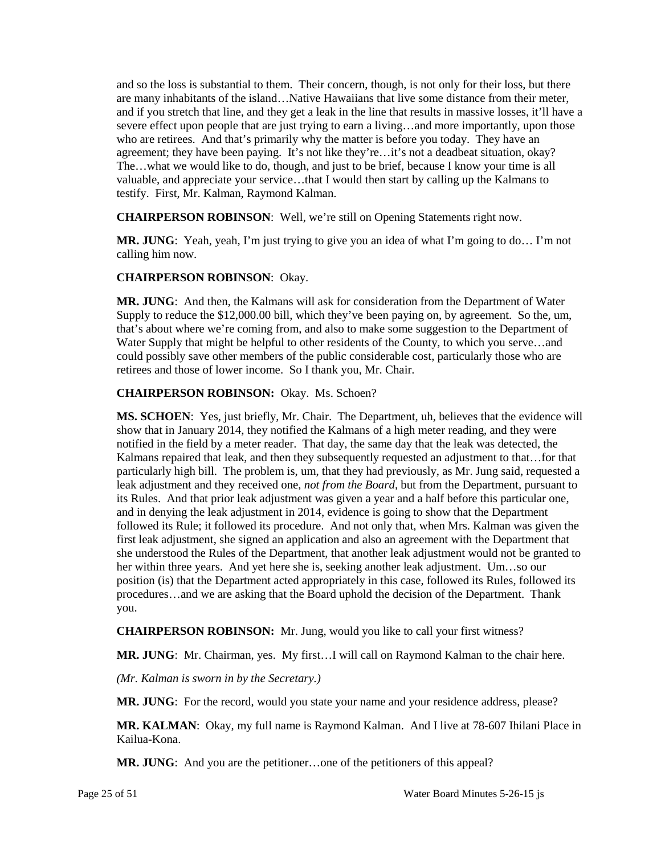and so the loss is substantial to them. Their concern, though, is not only for their loss, but there and if you stretch that line, and they get a leak in the line that results in massive losses, it'll have a agreement; they have been paying. It's not like they're...it's not a deadbeat situation, okay? are many inhabitants of the island…Native Hawaiians that live some distance from their meter, severe effect upon people that are just trying to earn a living...and more importantly, upon those who are retirees. And that's primarily why the matter is before you today. They have an The…what we would like to do, though, and just to be brief, because I know your time is all valuable, and appreciate your service…that I would then start by calling up the Kalmans to testify. First, Mr. Kalman, Raymond Kalman.

**CHAIRPERSON ROBINSON**: Well, we're still on Opening Statements right now.

**MR. JUNG**: Yeah, yeah, I'm just trying to give you an idea of what I'm going to do… I'm not calling him now.

## **CHAIRPERSON ROBINSON**: Okay.

 **MR. JUNG**: And then, the Kalmans will ask for consideration from the Department of Water retirees and those of lower income. So I thank you, Mr. Chair. Supply to reduce the \$12,000.00 bill, which they've been paying on, by agreement. So the, um, that's about where we're coming from, and also to make some suggestion to the Department of Water Supply that might be helpful to other residents of the County, to which you serve...and could possibly save other members of the public considerable cost, particularly those who are

# **CHAIRPERSON ROBINSON:** Okay. Ms. Schoen?

 notified in the field by a meter reader. That day, the same day that the leak was detected, the Kalmans repaired that leak, and then they subsequently requested an adjustment to that…for that particularly high bill. The problem is, um, that they had previously, as Mr. Jung said, requested a first leak adjustment, she signed an application and also an agreement with the Department that position (is) that the Department acted appropriately in this case, followed its Rules, followed its **MS. SCHOEN**: Yes, just briefly, Mr. Chair. The Department, uh, believes that the evidence will show that in January 2014, they notified the Kalmans of a high meter reading, and they were leak adjustment and they received one, *not from the Board,* but from the Department, pursuant to its Rules. And that prior leak adjustment was given a year and a half before this particular one, and in denying the leak adjustment in 2014, evidence is going to show that the Department followed its Rule; it followed its procedure. And not only that, when Mrs. Kalman was given the she understood the Rules of the Department, that another leak adjustment would not be granted to her within three years. And yet here she is, seeking another leak adjustment. Um…so our procedures…and we are asking that the Board uphold the decision of the Department. Thank you.

**CHAIRPERSON ROBINSON:** Mr. Jung, would you like to call your first witness?

**MR. JUNG**: Mr. Chairman, yes. My first…I will call on Raymond Kalman to the chair here.

*(Mr. Kalman is sworn in by the Secretary.)* 

**MR. JUNG**: For the record, would you state your name and your residence address, please?

**MR. KALMAN**: Okay, my full name is Raymond Kalman. And I live at 78-607 Ihilani Place in Kailua-Kona.

MR. JUNG: And you are the petitioner...one of the petitioners of this appeal?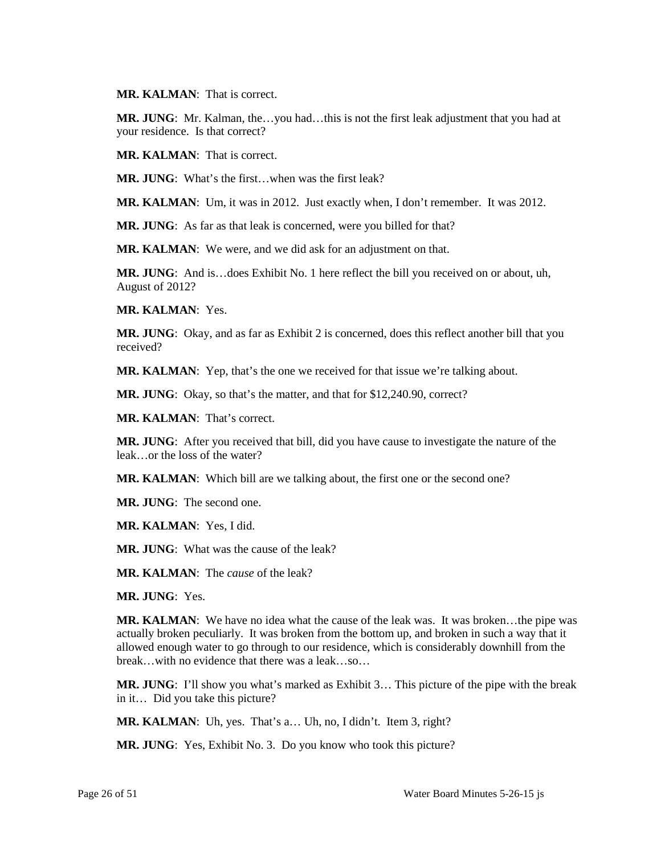**MR. KALMAN**: That is correct.

 **MR. JUNG**: Mr. Kalman, the…you had…this is not the first leak adjustment that you had at your residence. Is that correct?

**MR. KALMAN**: That is correct.

**MR. JUNG**: What's the first…when was the first leak?

**MR. KALMAN**: Um, it was in 2012. Just exactly when, I don't remember. It was 2012.

**MR. JUNG**: As far as that leak is concerned, were you billed for that?

**MR. KALMAN**: We were, and we did ask for an adjustment on that.

**MR. JUNG**: And is…does Exhibit No. 1 here reflect the bill you received on or about, uh, August of 2012?

**MR. KALMAN**: Yes.

 **MR. JUNG**: Okay, and as far as Exhibit 2 is concerned, does this reflect another bill that you received?

**MR. KALMAN**: Yep, that's the one we received for that issue we're talking about.

**MR. JUNG**: Okay, so that's the matter, and that for \$12,240.90, correct?

**MR. KALMAN**: That's correct.

**MR. JUNG**: After you received that bill, did you have cause to investigate the nature of the leak…or the loss of the water?

MR. KALMAN: Which bill are we talking about, the first one or the second one?

**MR. JUNG**: The second one.

**MR. KALMAN**: Yes, I did.

**MR. JUNG**: What was the cause of the leak?

**MR. KALMAN**: The *cause* of the leak?

**MR. JUNG**: Yes.

 actually broken peculiarly. It was broken from the bottom up, and broken in such a way that it **MR. KALMAN:** We have no idea what the cause of the leak was. It was broken...the pipe was allowed enough water to go through to our residence, which is considerably downhill from the break…with no evidence that there was a leak…so…

 in it… Did you take this picture? **MR. JUNG**: I'll show you what's marked as Exhibit 3… This picture of the pipe with the break

**MR. KALMAN**: Uh, yes. That's a… Uh, no, I didn't. Item 3, right?

**MR. JUNG**: Yes, Exhibit No. 3. Do you know who took this picture?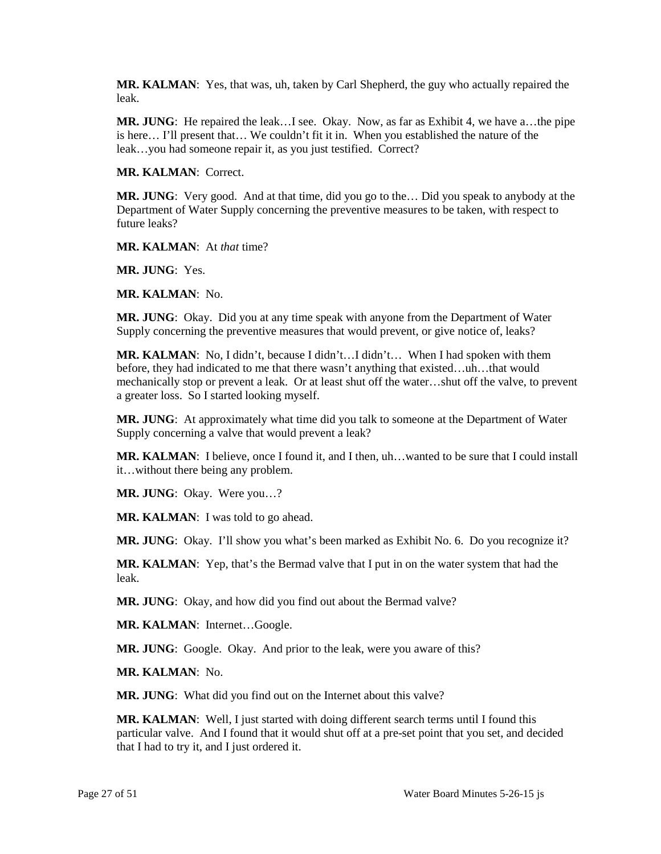**MR. KALMAN**: Yes, that was, uh, taken by Carl Shepherd, the guy who actually repaired the leak.

 is here… I'll present that… We couldn't fit it in. When you established the nature of the leak…you had someone repair it, as you just testified. Correct? **MR. JUNG**: He repaired the leak…I see. Okay. Now, as far as Exhibit 4, we have a…the pipe

**MR. KALMAN**: Correct.

 Department of Water Supply concerning the preventive measures to be taken, with respect to **MR. JUNG**: Very good. And at that time, did you go to the… Did you speak to anybody at the future leaks?

**MR. KALMAN**: At *that* time?

**MR. JUNG**: Yes.

**MR. KALMAN**: No.

**MR. JUNG**: Okay. Did you at any time speak with anyone from the Department of Water Supply concerning the preventive measures that would prevent, or give notice of, leaks?

 mechanically stop or prevent a leak. Or at least shut off the water…shut off the valve, to prevent a greater loss. So I started looking myself. **MR. KALMAN**: No, I didn't, because I didn't…I didn't… When I had spoken with them before, they had indicated to me that there wasn't anything that existed…uh…that would

**MR. JUNG**: At approximately what time did you talk to someone at the Department of Water Supply concerning a valve that would prevent a leak?

**MR. KALMAN**: I believe, once I found it, and I then, uh…wanted to be sure that I could install it…without there being any problem.

**MR. JUNG**: Okay. Were you…?

MR. KALMAN: I was told to go ahead.

**MR. JUNG**: Okay. I'll show you what's been marked as Exhibit No. 6. Do you recognize it?

**MR. KALMAN**: Yep, that's the Bermad valve that I put in on the water system that had the leak.

**MR. JUNG**: Okay, and how did you find out about the Bermad valve?

**MR. KALMAN**: Internet…Google.

**MR. JUNG**: Google. Okay. And prior to the leak, were you aware of this?

**MR. KALMAN**: No.

**MR. JUNG**: What did you find out on the Internet about this valve?

**MR. KALMAN**: Well, I just started with doing different search terms until I found this particular valve. And I found that it would shut off at a pre-set point that you set, and decided that I had to try it, and I just ordered it.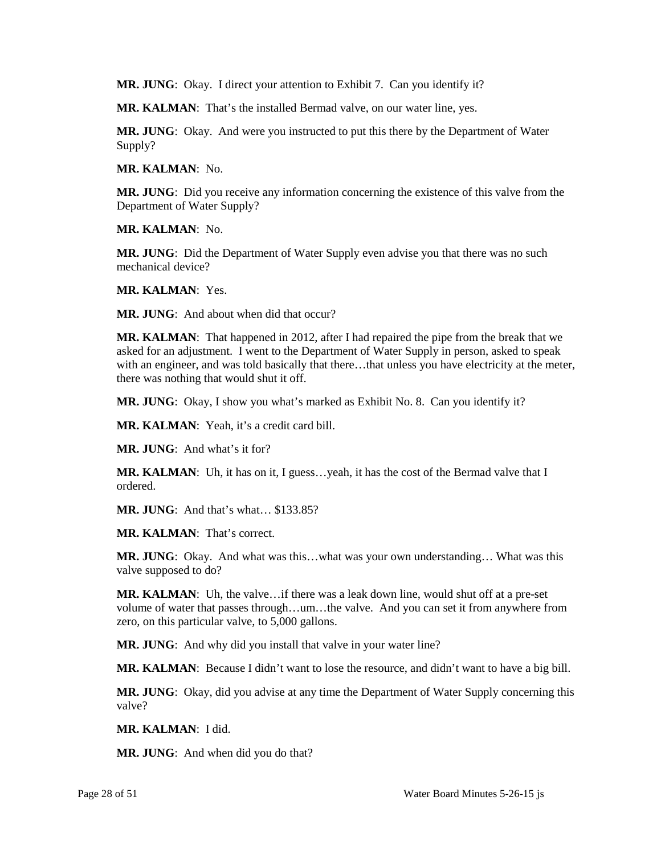**MR. JUNG**: Okay. I direct your attention to Exhibit 7. Can you identify it?

**MR. KALMAN**: That's the installed Bermad valve, on our water line, yes.

**MR. JUNG**: Okay. And were you instructed to put this there by the Department of Water Supply?

**MR. KALMAN**: No.

**MR. JUNG**: Did you receive any information concerning the existence of this valve from the Department of Water Supply?

**MR. KALMAN**: No.

 **MR. JUNG**: Did the Department of Water Supply even advise you that there was no such mechanical device?

**MR. KALMAN**: Yes.

**MR. JUNG**: And about when did that occur?

 **MR. KALMAN**: That happened in 2012, after I had repaired the pipe from the break that we asked for an adjustment. I went to the Department of Water Supply in person, asked to speak with an engineer, and was told basically that there...that unless you have electricity at the meter, there was nothing that would shut it off.

**MR. JUNG**: Okay, I show you what's marked as Exhibit No. 8. Can you identify it?

**MR. KALMAN**: Yeah, it's a credit card bill.

**MR. JUNG**: And what's it for?

 **MR. KALMAN**: Uh, it has on it, I guess…yeah, it has the cost of the Bermad valve that I ordered.

**MR. JUNG:** And that's what... \$133.85?

**MR. KALMAN**: That's correct.

 **MR. JUNG**: Okay. And what was this…what was your own understanding… What was this valve supposed to do?

 **MR. KALMAN**: Uh, the valve…if there was a leak down line, would shut off at a pre-set volume of water that passes through…um…the valve. And you can set it from anywhere from zero, on this particular valve, to 5,000 gallons.

**MR. JUNG**: And why did you install that valve in your water line?

**MR. KALMAN**: Because I didn't want to lose the resource, and didn't want to have a big bill.

**MR. JUNG**: Okay, did you advise at any time the Department of Water Supply concerning this valve?

**MR. KALMAN**: I did.

**MR. JUNG**: And when did you do that?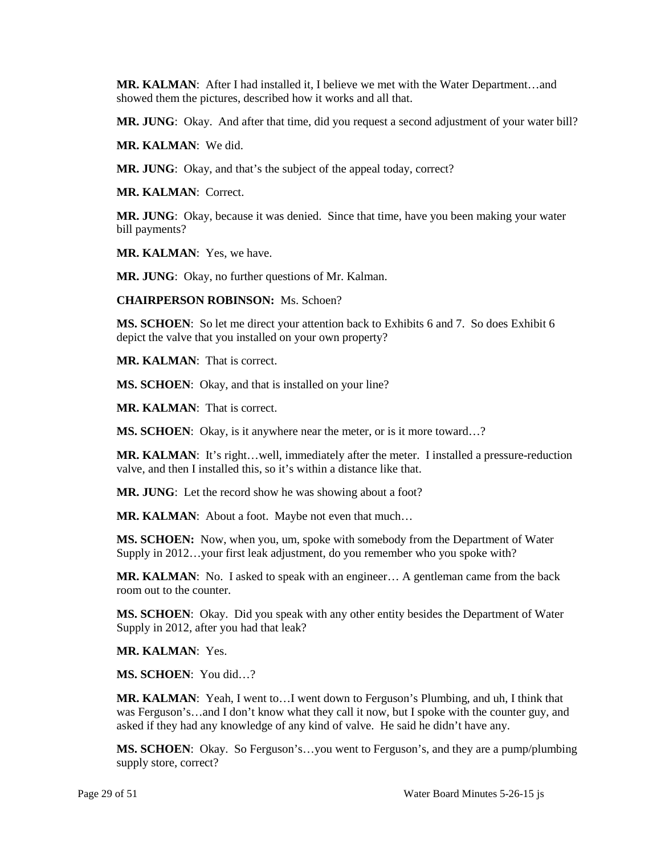**MR. KALMAN**: After I had installed it, I believe we met with the Water Department…and showed them the pictures, described how it works and all that.

**MR. JUNG**: Okay. And after that time, did you request a second adjustment of your water bill?

**MR. KALMAN**: We did.

**MR. JUNG**: Okay, and that's the subject of the appeal today, correct?

**MR. KALMAN**: Correct.

 **MR. JUNG**: Okay, because it was denied. Since that time, have you been making your water bill payments?

**MR. KALMAN**: Yes, we have.

**MR. JUNG**: Okay, no further questions of Mr. Kalman.

**CHAIRPERSON ROBINSON:** Ms. Schoen?

**MS. SCHOEN**: So let me direct your attention back to Exhibits 6 and 7. So does Exhibit 6 depict the valve that you installed on your own property?

**MR. KALMAN**: That is correct.

MS. SCHOEN: Okay, and that is installed on your line?

**MR. KALMAN**: That is correct.

**MS. SCHOEN**: Okay, is it anywhere near the meter, or is it more toward…?

**MR. KALMAN**: It's right…well, immediately after the meter. I installed a pressure-reduction valve, and then I installed this, so it's within a distance like that.

**MR. JUNG**: Let the record show he was showing about a foot?

MR. KALMAN: About a foot. Maybe not even that much...

 **MS. SCHOEN:** Now, when you, um, spoke with somebody from the Department of Water Supply in 2012…your first leak adjustment, do you remember who you spoke with?

 room out to the counter. **MR. KALMAN**: No. I asked to speak with an engineer… A gentleman came from the back

 **MS. SCHOEN**: Okay. Did you speak with any other entity besides the Department of Water Supply in 2012, after you had that leak?

**MR. KALMAN**: Yes.

**MS. SCHOEN**: You did…?

 was Ferguson's…and I don't know what they call it now, but I spoke with the counter guy, and **MR. KALMAN**: Yeah, I went to…I went down to Ferguson's Plumbing, and uh, I think that asked if they had any knowledge of any kind of valve. He said he didn't have any.

**MS. SCHOEN**: Okay. So Ferguson's…you went to Ferguson's, and they are a pump/plumbing supply store, correct?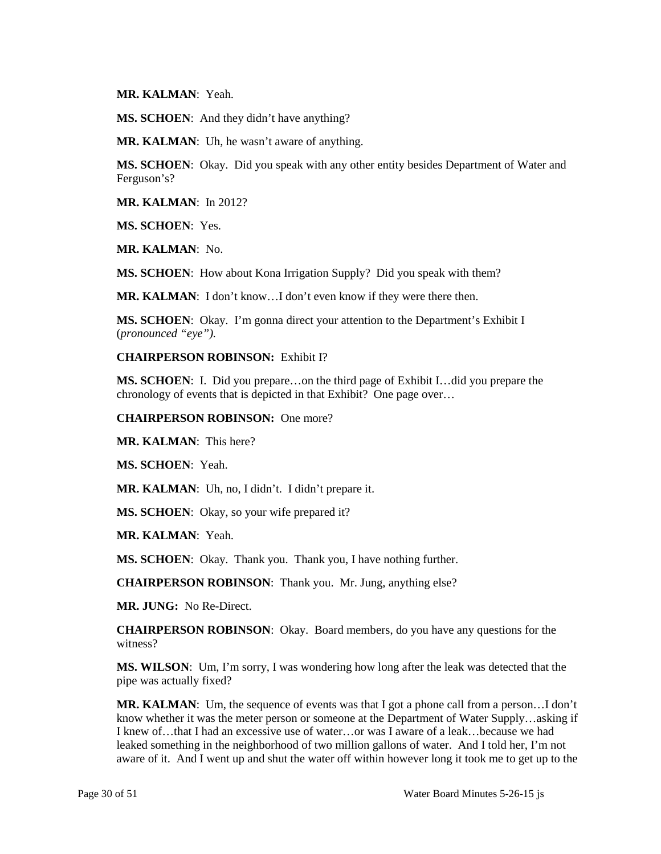**MR. KALMAN**: Yeah.

**MS. SCHOEN**: And they didn't have anything?

**MR. KALMAN**: Uh, he wasn't aware of anything.

**MS. SCHOEN**: Okay. Did you speak with any other entity besides Department of Water and Ferguson's?

**MR. KALMAN**: In 2012?

**MS. SCHOEN**: Yes.

**MR. KALMAN**: No.

**MS. SCHOEN**: How about Kona Irrigation Supply? Did you speak with them?

**MR. KALMAN**: I don't know…I don't even know if they were there then.

**MS. SCHOEN:** Okay. I'm gonna direct your attention to the Department's Exhibit I (*pronounced "eye").* 

#### **CHAIRPERSON ROBINSON:** Exhibit I?

 **MS. SCHOEN**: I. Did you prepare…on the third page of Exhibit I…did you prepare the chronology of events that is depicted in that Exhibit? One page over…

**CHAIRPERSON ROBINSON:** One more?

**MR. KALMAN**: This here?

**MS. SCHOEN**: Yeah.

**MR. KALMAN**: Uh, no, I didn't. I didn't prepare it.

**MS. SCHOEN**: Okay, so your wife prepared it?

**MR. KALMAN**: Yeah.

**MS. SCHOEN**: Okay. Thank you. Thank you, I have nothing further.

**CHAIRPERSON ROBINSON**: Thank you. Mr. Jung, anything else?

**MR. JUNG:** No Re-Direct.

**CHAIRPERSON ROBINSON**: Okay. Board members, do you have any questions for the witness?

 **MS. WILSON**: Um, I'm sorry, I was wondering how long after the leak was detected that the pipe was actually fixed?

**MR. KALMAN**: Um, the sequence of events was that I got a phone call from a person…I don't know whether it was the meter person or someone at the Department of Water Supply…asking if I knew of…that I had an excessive use of water…or was I aware of a leak…because we had leaked something in the neighborhood of two million gallons of water. And I told her, I'm not aware of it. And I went up and shut the water off within however long it took me to get up to the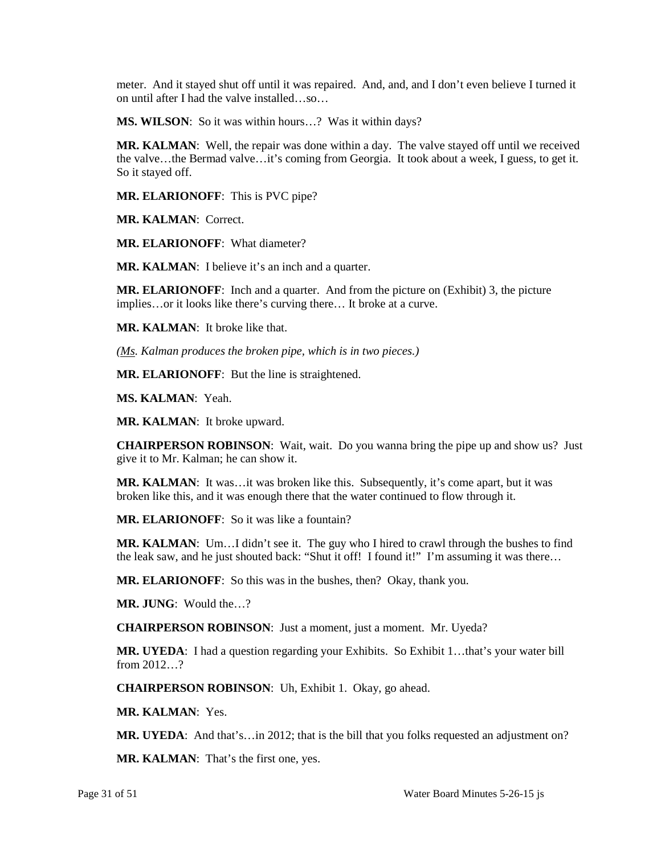meter. And it stayed shut off until it was repaired. And, and, and I don't even believe I turned it on until after I had the valve installed…so…

**MS. WILSON**: So it was within hours…? Was it within days?

 the valve…the Bermad valve…it's coming from Georgia. It took about a week, I guess, to get it. So it stayed off. **MR. KALMAN**: Well, the repair was done within a day. The valve stayed off until we received

**MR. ELARIONOFF**: This is PVC pipe?

**MR. KALMAN**: Correct.

**MR. ELARIONOFF**: What diameter?

**MR. KALMAN:** I believe it's an inch and a quarter.

 implies…or it looks like there's curving there… It broke at a curve. **MR. ELARIONOFF**: Inch and a quarter. And from the picture on (Exhibit) 3, the picture

**MR. KALMAN**: It broke like that.

*(Ms. Kalman produces the broken pipe, which is in two pieces.)* 

**MR. ELARIONOFF**: But the line is straightened.

**MS. KALMAN**: Yeah.

**MR. KALMAN**: It broke upward.

 **CHAIRPERSON ROBINSON**: Wait, wait. Do you wanna bring the pipe up and show us? Just give it to Mr. Kalman; he can show it.

**MR. KALMAN:** It was...it was broken like this. Subsequently, it's come apart, but it was broken like this, and it was enough there that the water continued to flow through it.

**MR. ELARIONOFF**: So it was like a fountain?

 **MR. KALMAN**: Um…I didn't see it. The guy who I hired to crawl through the bushes to find the leak saw, and he just shouted back: "Shut it off! I found it!" I'm assuming it was there…

**MR. ELARIONOFF**: So this was in the bushes, then? Okay, thank you.

**MR. JUNG**: Would the…?

**CHAIRPERSON ROBINSON**: Just a moment, just a moment. Mr. Uyeda?

**MR. UYEDA**: I had a question regarding your Exhibits. So Exhibit 1…that's your water bill from 2012…?

**CHAIRPERSON ROBINSON**: Uh, Exhibit 1. Okay, go ahead.

**MR. KALMAN**: Yes.

**MR. UYEDA**: And that's…in 2012; that is the bill that you folks requested an adjustment on?

**MR. KALMAN**: That's the first one, yes.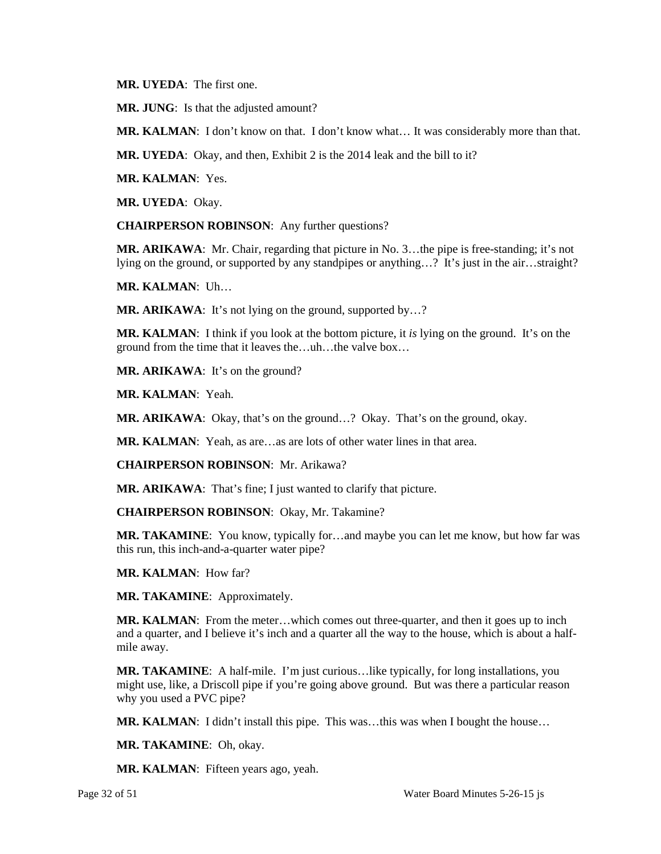**MR. UYEDA**: The first one.

**MR. JUNG**: Is that the adjusted amount?

**MR. KALMAN**: I don't know on that. I don't know what… It was considerably more than that.

**MR. UYEDA**: Okay, and then, Exhibit 2 is the 2014 leak and the bill to it?

**MR. KALMAN**: Yes.

**MR. UYEDA**: Okay.

**CHAIRPERSON ROBINSON**: Any further questions?

 **MR. ARIKAWA**: Mr. Chair, regarding that picture in No. 3…the pipe is free-standing; it's not lying on the ground, or supported by any standpipes or anything…? It's just in the air…straight?

**MR. KALMAN**: Uh…

**MR. ARIKAWA:** It's not lying on the ground, supported by...?

 ground from the time that it leaves the…uh…the valve box… **MR. KALMAN**: I think if you look at the bottom picture, it *is* lying on the ground. It's on the

**MR. ARIKAWA**: It's on the ground?

**MR. KALMAN**: Yeah.

**MR. ARIKAWA**: Okay, that's on the ground…? Okay. That's on the ground, okay.

**MR. KALMAN**: Yeah, as are…as are lots of other water lines in that area.

**CHAIRPERSON ROBINSON**: Mr. Arikawa?

**MR. ARIKAWA**: That's fine; I just wanted to clarify that picture.

**CHAIRPERSON ROBINSON**: Okay, Mr. Takamine?

**MR. TAKAMINE**: You know, typically for…and maybe you can let me know, but how far was this run, this inch-and-a-quarter water pipe?

**MR. KALMAN**: How far?

**MR. TAKAMINE**: Approximately.

 **MR. KALMAN**: From the meter…which comes out three-quarter, and then it goes up to inch and a quarter, and I believe it's inch and a quarter all the way to the house, which is about a halfmile away.

 might use, like, a Driscoll pipe if you're going above ground. But was there a particular reason **MR. TAKAMINE**: A half-mile. I'm just curious…like typically, for long installations, you why you used a PVC pipe?

**MR. KALMAN**: I didn't install this pipe. This was…this was when I bought the house…

**MR. TAKAMINE**: Oh, okay.

**MR. KALMAN**: Fifteen years ago, yeah.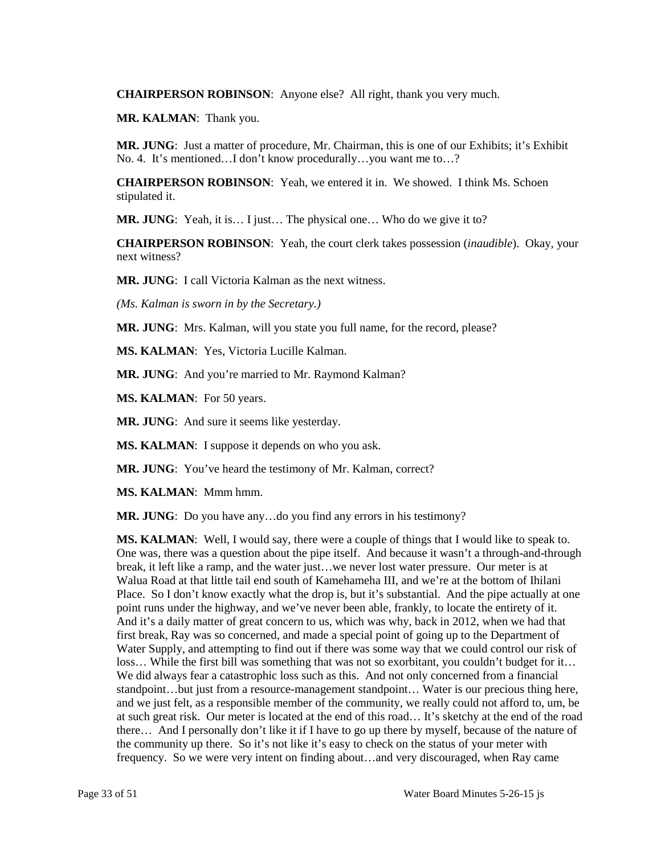**CHAIRPERSON ROBINSON**: Anyone else? All right, thank you very much.

**MR. KALMAN**: Thank you.

 **MR. JUNG**: Just a matter of procedure, Mr. Chairman, this is one of our Exhibits; it's Exhibit No. 4. It's mentioned…I don't know procedurally…you want me to…?

**CHAIRPERSON ROBINSON**: Yeah, we entered it in. We showed. I think Ms. Schoen stipulated it.

**MR. JUNG**: Yeah, it is… I just… The physical one… Who do we give it to?

**CHAIRPERSON ROBINSON**: Yeah, the court clerk takes possession (*inaudible*). Okay, your next witness?

**MR. JUNG**: I call Victoria Kalman as the next witness.

*(Ms. Kalman is sworn in by the Secretary.)* 

**MR. JUNG**: Mrs. Kalman, will you state you full name, for the record, please?

**MS. KALMAN**: Yes, Victoria Lucille Kalman.

**MR. JUNG**: And you're married to Mr. Raymond Kalman?

**MS. KALMAN**: For 50 years.

**MR. JUNG**: And sure it seems like yesterday.

**MS. KALMAN:** I suppose it depends on who you ask.

**MR. JUNG:** You've heard the testimony of Mr. Kalman, correct?

**MS. KALMAN**: Mmm hmm.

**MR. JUNG**: Do you have any…do you find any errors in his testimony?

 Walua Road at that little tail end south of Kamehameha III, and we're at the bottom of Ihilani We did always fear a catastrophic loss such as this. And not only concerned from a financial standpoint…but just from a resource-management standpoint… Water is our precious thing here, and we just felt, as a responsible member of the community, we really could not afford to, um, be at such great risk. Our meter is located at the end of this road… It's sketchy at the end of the road there… And I personally don't like it if I have to go up there by myself, because of the nature of **MS. KALMAN:** Well, I would say, there were a couple of things that I would like to speak to. One was, there was a question about the pipe itself. And because it wasn't a through-and-through break, it left like a ramp, and the water just…we never lost water pressure. Our meter is at Place. So I don't know exactly what the drop is, but it's substantial. And the pipe actually at one point runs under the highway, and we've never been able, frankly, to locate the entirety of it. And it's a daily matter of great concern to us, which was why, back in 2012, when we had that first break, Ray was so concerned, and made a special point of going up to the Department of Water Supply, and attempting to find out if there was some way that we could control our risk of loss… While the first bill was something that was not so exorbitant, you couldn't budget for it… the community up there. So it's not like it's easy to check on the status of your meter with frequency. So we were very intent on finding about…and very discouraged, when Ray came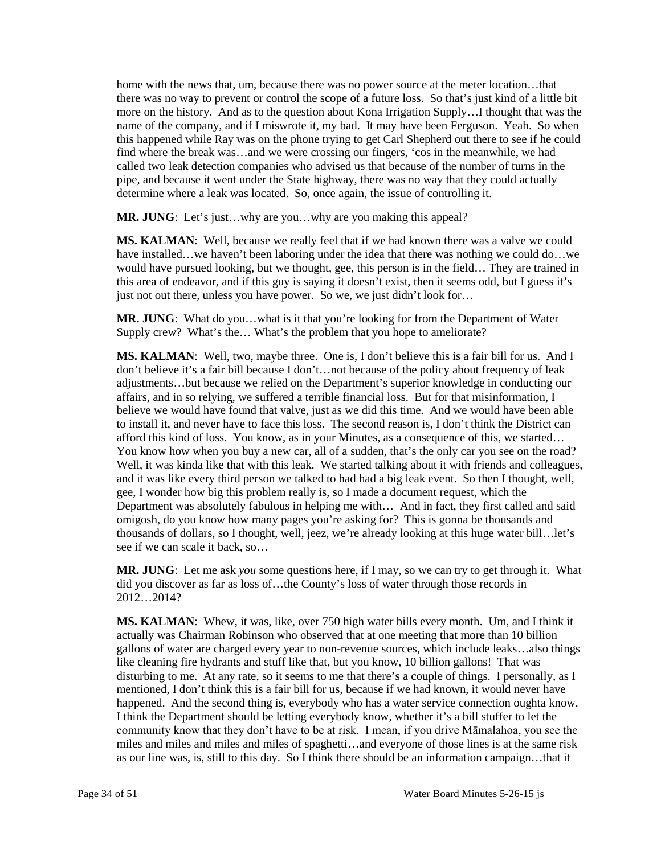more on the history. And as to the question about Kona Irrigation Supply…I thought that was the name of the company, and if I miswrote it, my bad. It may have been Ferguson. Yeah. So when this happened while Ray was on the phone trying to get Carl Shepherd out there to see if he could home with the news that, um, because there was no power source at the meter location...that there was no way to prevent or control the scope of a future loss. So that's just kind of a little bit find where the break was…and we were crossing our fingers, 'cos in the meanwhile, we had called two leak detection companies who advised us that because of the number of turns in the pipe, and because it went under the State highway, there was no way that they could actually determine where a leak was located. So, once again, the issue of controlling it.

**MR. JUNG:** Let's just...why are you...why are you making this appeal?

 **MS. KALMAN**: Well, because we really feel that if we had known there was a valve we could have installed…we haven't been laboring under the idea that there was nothing we could do…we just not out there, unless you have power. So we, we just didn't look for… would have pursued looking, but we thought, gee, this person is in the field… They are trained in this area of endeavor, and if this guy is saying it doesn't exist, then it seems odd, but I guess it's

 **MR. JUNG**: What do you…what is it that you're looking for from the Department of Water Supply crew? What's the… What's the problem that you hope to ameliorate?

 **MS. KALMAN**: Well, two, maybe three. One is, I don't believe this is a fair bill for us. And I don't believe it's a fair bill because I don't…not because of the policy about frequency of leak affairs, and in so relying, we suffered a terrible financial loss. But for that misinformation, I to install it, and never have to face this loss. The second reason is, I don't think the District can You know how when you buy a new car, all of a sudden, that's the only car you see on the road? You know how when you buy a new car, all of a sudden, that's the only car you see on the road? Well, it was kinda like that with this leak. We started talking about it with friends and colleagues, and it was like every third person we talked to had had a big leak event. So then I thought, well, omigosh, do you know how many pages you're asking for? This is gonna be thousands and thousands of dollars, so I thought, well, jeez, we're already looking at this huge water bill…let's adjustments…but because we relied on the Department's superior knowledge in conducting our believe we would have found that valve, just as we did this time. And we would have been able afford this kind of loss. You know, as in your Minutes, as a consequence of this, we started… gee, I wonder how big this problem really is, so I made a document request, which the Department was absolutely fabulous in helping me with… And in fact, they first called and said see if we can scale it back, so…

 **MR. JUNG**: Let me ask *you* some questions here, if I may, so we can try to get through it. What did you discover as far as loss of…the County's loss of water through those records in 2012…2014?

 actually was Chairman Robinson who observed that at one meeting that more than 10 billion like cleaning fire hydrants and stuff like that, but you know, 10 billion gallons! That was mentioned, I don't think this is a fair bill for us, because if we had known, it would never have I think the Department should be letting everybody know, whether it's a bill stuffer to let the community know that they don't have to be at risk. I mean, if you drive Māmalahoa, you see the as our line was, is, still to this day. So I think there should be an information campaign…that it **MS. KALMAN**: Whew, it was, like, over 750 high water bills every month. Um, and I think it gallons of water are charged every year to non-revenue sources, which include leaks…also things disturbing to me. At any rate, so it seems to me that there's a couple of things. I personally, as I happened. And the second thing is, everybody who has a water service connection oughta know. miles and miles and miles and miles of spaghetti…and everyone of those lines is at the same risk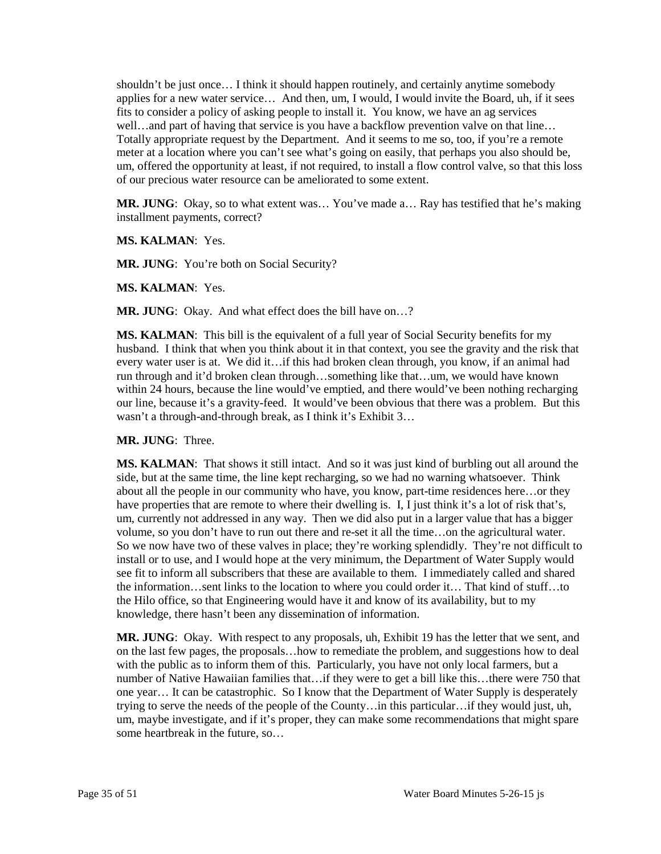fits to consider a policy of asking people to install it. You know, we have an ag services Totally appropriate request by the Department. And it seems to me so, too, if you're a remote um, offered the opportunity at least, if not required, to install a flow control valve, so that this loss shouldn't be just once… I think it should happen routinely, and certainly anytime somebody applies for a new water service… And then, um, I would, I would invite the Board, uh, if it sees well…and part of having that service is you have a backflow prevention valve on that line… meter at a location where you can't see what's going on easily, that perhaps you also should be, of our precious water resource can be ameliorated to some extent.

**MR. JUNG**: Okay, so to what extent was… You've made a… Ray has testified that he's making installment payments, correct?

**MS. KALMAN**: Yes.

**MR. JUNG:** You're both on Social Security?

**MS. KALMAN**: Yes.

**MR. JUNG**: Okay. And what effect does the bill have on…?

 **MS. KALMAN**: This bill is the equivalent of a full year of Social Security benefits for my husband. I think that when you think about it in that context, you see the gravity and the risk that every water user is at. We did it…if this had broken clean through, you know, if an animal had run through and it'd broken clean through…something like that…um, we would have known within 24 hours, because the line would've emptied, and there would've been nothing recharging our line, because it's a gravity-feed. It would've been obvious that there was a problem. But this wasn't a through-and-through break, as I think it's Exhibit 3…

**MR. JUNG**: Three.

 **MS. KALMAN**: That shows it still intact. And so it was just kind of burbling out all around the side, but at the same time, the line kept recharging, so we had no warning whatsoever. Think about all the people in our community who have, you know, part-time residences here…or they have properties that are remote to where their dwelling is. I, I just think it's a lot of risk that's, um, currently not addressed in any way. Then we did also put in a larger value that has a bigger see fit to inform all subscribers that these are available to them. I immediately called and shared the Hilo office, so that Engineering would have it and know of its availability, but to my volume, so you don't have to run out there and re-set it all the time…on the agricultural water. So we now have two of these valves in place; they're working splendidly. They're not difficult to install or to use, and I would hope at the very minimum, the Department of Water Supply would the information…sent links to the location to where you could order it… That kind of stuff…to knowledge, there hasn't been any dissemination of information.

 um, maybe investigate, and if it's proper, they can make some recommendations that might spare **MR. JUNG**: Okay. With respect to any proposals, uh, Exhibit 19 has the letter that we sent, and on the last few pages, the proposals…how to remediate the problem, and suggestions how to deal with the public as to inform them of this. Particularly, you have not only local farmers, but a number of Native Hawaiian families that…if they were to get a bill like this…there were 750 that one year… It can be catastrophic. So I know that the Department of Water Supply is desperately trying to serve the needs of the people of the County…in this particular…if they would just, uh, some heartbreak in the future, so…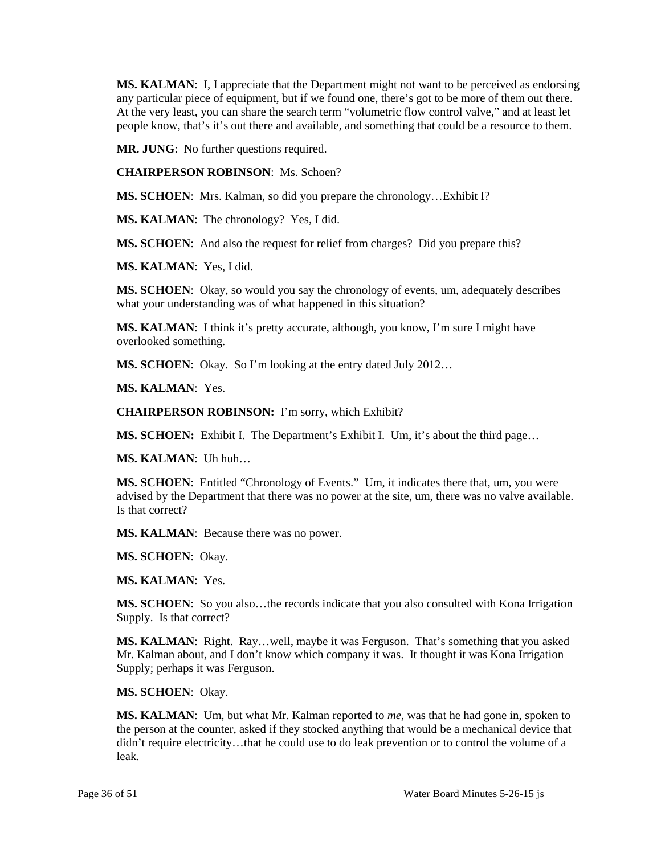people know, that's it's out there and available, and something that could be a resource to them. **MS. KALMAN**: I, I appreciate that the Department might not want to be perceived as endorsing any particular piece of equipment, but if we found one, there's got to be more of them out there. At the very least, you can share the search term "volumetric flow control valve," and at least let

**MR. JUNG**: No further questions required.

**CHAIRPERSON ROBINSON**: Ms. Schoen?

**MS. SCHOEN**: Mrs. Kalman, so did you prepare the chronology…Exhibit I?

**MS. KALMAN**: The chronology? Yes, I did.

**MS. SCHOEN**: And also the request for relief from charges? Did you prepare this?

**MS. KALMAN**: Yes, I did.

 what your understanding was of what happened in this situation? **MS. SCHOEN**: Okay, so would you say the chronology of events, um, adequately describes

 **MS. KALMAN**: I think it's pretty accurate, although, you know, I'm sure I might have overlooked something.

**MS. SCHOEN**: Okay. So I'm looking at the entry dated July 2012…

**MS. KALMAN**: Yes.

**CHAIRPERSON ROBINSON:** I'm sorry, which Exhibit?

**MS. SCHOEN:** Exhibit I. The Department's Exhibit I. Um, it's about the third page…

**MS. KALMAN**: Uh huh…

 **MS. SCHOEN**: Entitled "Chronology of Events." Um, it indicates there that, um, you were advised by the Department that there was no power at the site, um, there was no valve available. Is that correct?

**MS. KALMAN**: Because there was no power.

**MS. SCHOEN**: Okay.

**MS. KALMAN**: Yes.

 **MS. SCHOEN**: So you also…the records indicate that you also consulted with Kona Irrigation Supply. Is that correct?

**MS. KALMAN**: Right. Ray…well, maybe it was Ferguson. That's something that you asked Mr. Kalman about, and I don't know which company it was. It thought it was Kona Irrigation Supply; perhaps it was Ferguson.

**MS. SCHOEN**: Okay.

**MS. KALMAN**: Um, but what Mr. Kalman reported to *me*, was that he had gone in, spoken to the person at the counter, asked if they stocked anything that would be a mechanical device that didn't require electricity…that he could use to do leak prevention or to control the volume of a leak.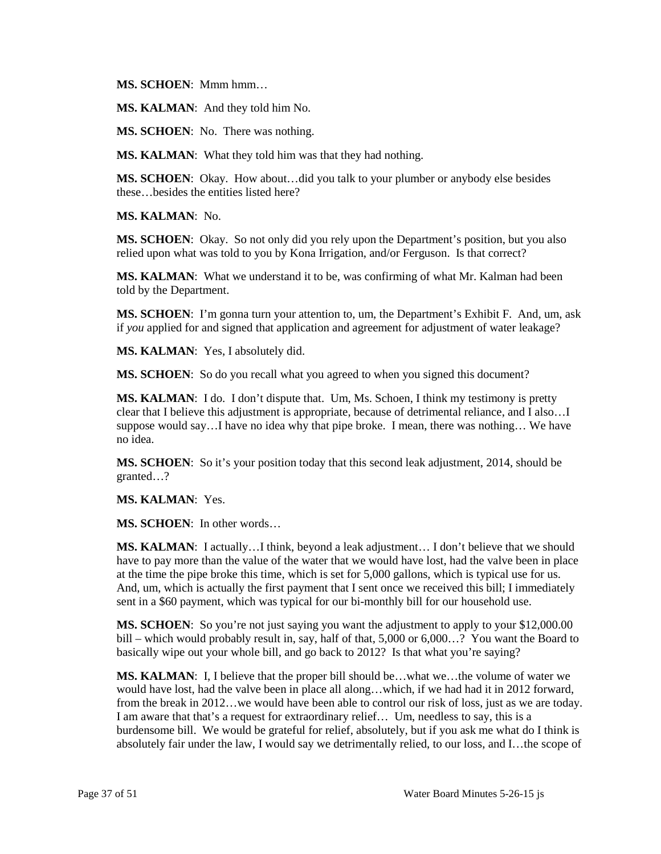**MS. SCHOEN**: Mmm hmm…

**MS. KALMAN**: And they told him No.

**MS. SCHOEN**: No. There was nothing.

**MS. KALMAN**: What they told him was that they had nothing.

 these…besides the entities listed here? **MS. SCHOEN**: Okay. How about…did you talk to your plumber or anybody else besides

**MS. KALMAN**: No.

**MS. SCHOEN**: Okay. So not only did you rely upon the Department's position, but you also relied upon what was told to you by Kona Irrigation, and/or Ferguson. Is that correct?

**MS. KALMAN**: What we understand it to be, was confirming of what Mr. Kalman had been told by the Department.

 if *you* applied for and signed that application and agreement for adjustment of water leakage? **MS. SCHOEN**: I'm gonna turn your attention to, um, the Department's Exhibit F. And, um, ask

**MS. KALMAN**: Yes, I absolutely did.

**MS. SCHOEN:** So do you recall what you agreed to when you signed this document?

 clear that I believe this adjustment is appropriate, because of detrimental reliance, and I also…I **MS. KALMAN**: I do. I don't dispute that. Um, Ms. Schoen, I think my testimony is pretty suppose would say...I have no idea why that pipe broke. I mean, there was nothing... We have no idea.

**MS. SCHOEN**: So it's your position today that this second leak adjustment, 2014, should be granted…?

**MS. KALMAN**: Yes.

**MS. SCHOEN**: In other words…

 have to pay more than the value of the water that we would have lost, had the valve been in place at the time the pipe broke this time, which is set for 5,000 gallons, which is typical use for us. **MS. KALMAN**: I actually…I think, beyond a leak adjustment… I don't believe that we should And, um, which is actually the first payment that I sent once we received this bill; I immediately sent in a \$60 payment, which was typical for our bi-monthly bill for our household use.

**MS. SCHOEN:** So you're not just saying you want the adjustment to apply to your \$12,000.00 bill – which would probably result in, say, half of that, 5,000 or 6,000…? You want the Board to basically wipe out your whole bill, and go back to 2012? Is that what you're saying?

 from the break in 2012…we would have been able to control our risk of loss, just as we are today. absolutely fair under the law, I would say we detrimentally relied, to our loss, and I…the scope of **MS. KALMAN**: I, I believe that the proper bill should be…what we…the volume of water we would have lost, had the valve been in place all along…which, if we had had it in 2012 forward, I am aware that that's a request for extraordinary relief… Um, needless to say, this is a burdensome bill. We would be grateful for relief, absolutely, but if you ask me what do I think is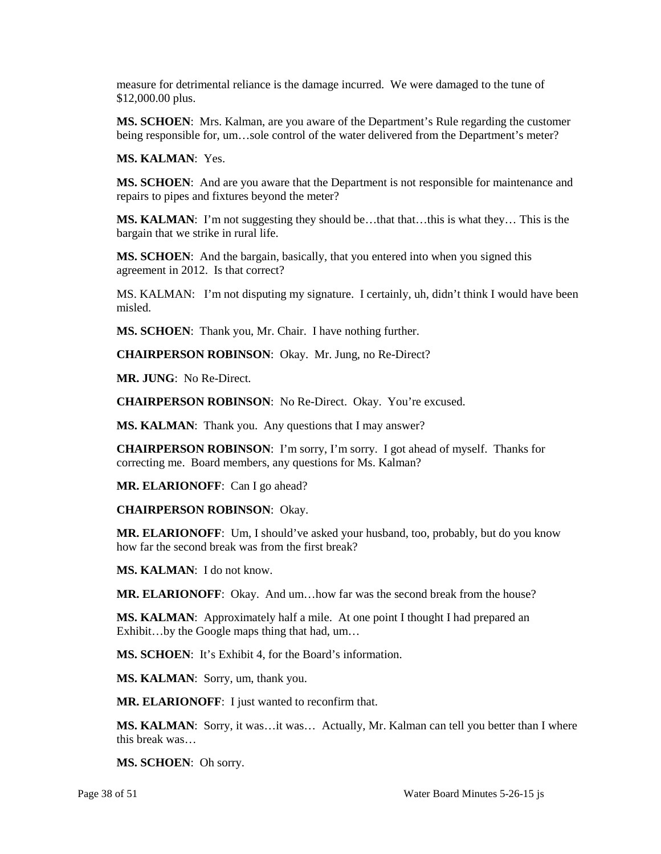measure for detrimental reliance is the damage incurred. We were damaged to the tune of \$12,000.00 plus.

 **MS. SCHOEN**: Mrs. Kalman, are you aware of the Department's Rule regarding the customer being responsible for, um…sole control of the water delivered from the Department's meter?

**MS. KALMAN**: Yes.

**MS. SCHOEN**: And are you aware that the Department is not responsible for maintenance and repairs to pipes and fixtures beyond the meter?

 **MS. KALMAN**: I'm not suggesting they should be…that that…this is what they… This is the bargain that we strike in rural life.

 agreement in 2012. Is that correct? **MS. SCHOEN**: And the bargain, basically, that you entered into when you signed this

 MS. KALMAN: I'm not disputing my signature. I certainly, uh, didn't think I would have been misled.

**MS. SCHOEN**: Thank you, Mr. Chair. I have nothing further.

**CHAIRPERSON ROBINSON**: Okay. Mr. Jung, no Re-Direct?

**MR. JUNG**: No Re-Direct.

**CHAIRPERSON ROBINSON**: No Re-Direct. Okay. You're excused.

**MS. KALMAN**: Thank you. Any questions that I may answer?

**CHAIRPERSON ROBINSON**: I'm sorry, I'm sorry. I got ahead of myself. Thanks for correcting me. Board members, any questions for Ms. Kalman?

**MR. ELARIONOFF**: Can I go ahead?

**CHAIRPERSON ROBINSON**: Okay.

**MR. ELARIONOFF**: Um, I should've asked your husband, too, probably, but do you know how far the second break was from the first break?

**MS. KALMAN**: I do not know.

**MR. ELARIONOFF**: Okay. And um…how far was the second break from the house?

**MS. KALMAN**: Approximately half a mile. At one point I thought I had prepared an Exhibit...by the Google maps thing that had, um...

**MS. SCHOEN**: It's Exhibit 4, for the Board's information.

**MS. KALMAN**: Sorry, um, thank you.

**MR. ELARIONOFF**: I just wanted to reconfirm that.

**MS. KALMAN**: Sorry, it was…it was… Actually, Mr. Kalman can tell you better than I where this break was…

**MS. SCHOEN**: Oh sorry.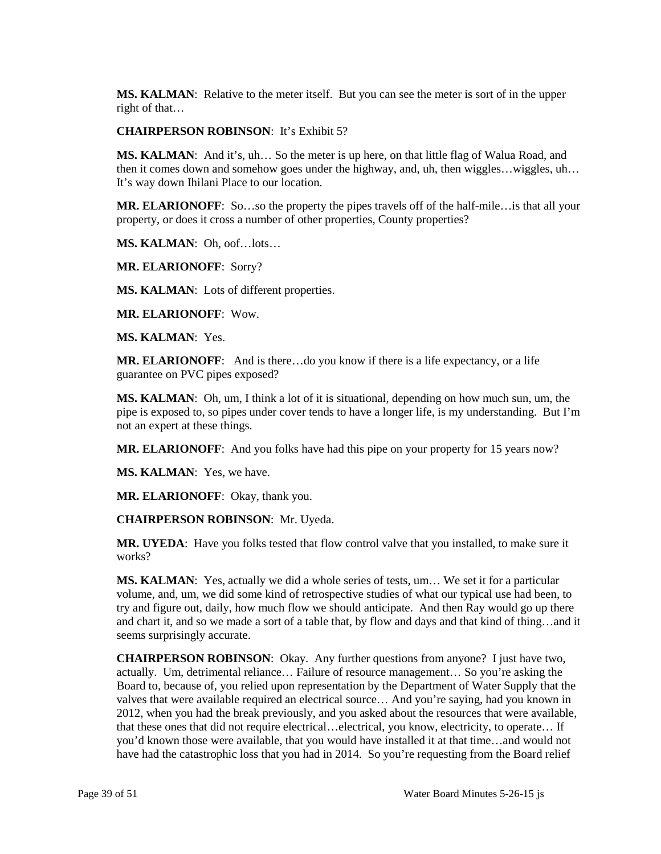**MS. KALMAN**: Relative to the meter itself. But you can see the meter is sort of in the upper right of that…

**CHAIRPERSON ROBINSON**: It's Exhibit 5?

 **MS. KALMAN**: And it's, uh… So the meter is up here, on that little flag of Walua Road, and then it comes down and somehow goes under the highway, and, uh, then wiggles…wiggles, uh… It's way down Ihilani Place to our location.

 **MR. ELARIONOFF**: So…so the property the pipes travels off of the half-mile…is that all your property, or does it cross a number of other properties, County properties?

**MS. KALMAN**: Oh, oof…lots…

**MR. ELARIONOFF**: Sorry?

**MS. KALMAN**: Lots of different properties.

**MR. ELARIONOFF**: Wow.

**MS. KALMAN**: Yes.

**MR. ELARIONOFF**: And is there…do you know if there is a life expectancy, or a life guarantee on PVC pipes exposed?

 not an expert at these things. **MS. KALMAN**: Oh, um, I think a lot of it is situational, depending on how much sun, um, the pipe is exposed to, so pipes under cover tends to have a longer life, is my understanding. But I'm

**MR. ELARIONOFF**: And you folks have had this pipe on your property for 15 years now?

**MS. KALMAN**: Yes, we have.

**MR. ELARIONOFF**: Okay, thank you.

**CHAIRPERSON ROBINSON**: Mr. Uyeda.

 **MR. UYEDA**: Have you folks tested that flow control valve that you installed, to make sure it works?

 **MS. KALMAN**: Yes, actually we did a whole series of tests, um… We set it for a particular volume, and, um, we did some kind of retrospective studies of what our typical use had been, to try and figure out, daily, how much flow we should anticipate. And then Ray would go up there and chart it, and so we made a sort of a table that, by flow and days and that kind of thing…and it seems surprisingly accurate.

 Board to, because of, you relied upon representation by the Department of Water Supply that the that these ones that did not require electrical…electrical, you know, electricity, to operate… If **CHAIRPERSON ROBINSON**: Okay. Any further questions from anyone? I just have two, actually. Um, detrimental reliance… Failure of resource management… So you're asking the valves that were available required an electrical source… And you're saying, had you known in 2012, when you had the break previously, and you asked about the resources that were available, you'd known those were available, that you would have installed it at that time…and would not have had the catastrophic loss that you had in 2014. So you're requesting from the Board relief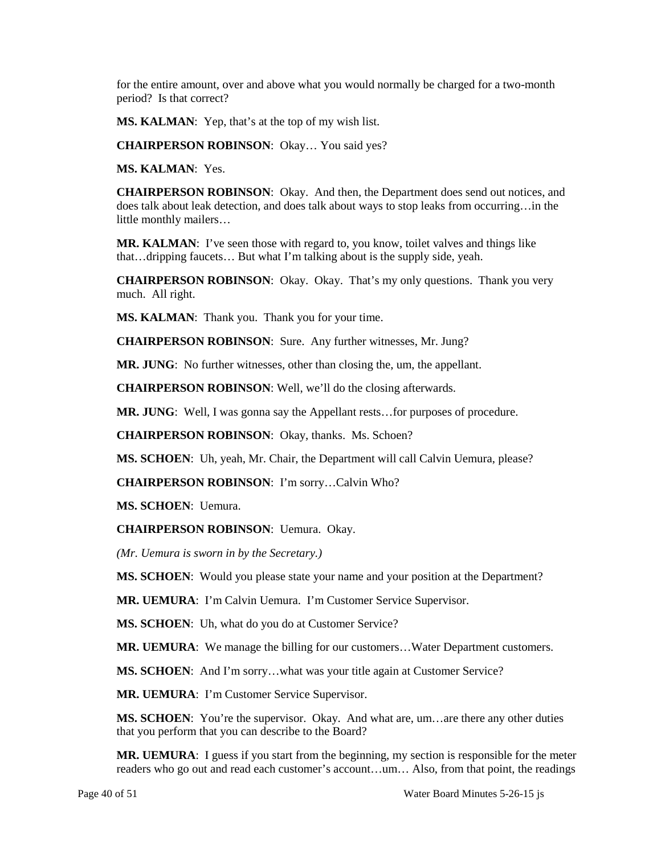for the entire amount, over and above what you would normally be charged for a two-month period? Is that correct?

**MS. KALMAN**: Yep, that's at the top of my wish list.

**CHAIRPERSON ROBINSON**: Okay… You said yes?

**MS. KALMAN**: Yes.

 does talk about leak detection, and does talk about ways to stop leaks from occurring…in the **CHAIRPERSON ROBINSON**: Okay. And then, the Department does send out notices, and little monthly mailers…

**MR. KALMAN**: I've seen those with regard to, you know, toilet valves and things like that…dripping faucets… But what I'm talking about is the supply side, yeah.

 **CHAIRPERSON ROBINSON**: Okay. Okay. That's my only questions. Thank you very much. All right.

**MS. KALMAN**: Thank you. Thank you for your time.

**CHAIRPERSON ROBINSON**: Sure. Any further witnesses, Mr. Jung?

**MR. JUNG**: No further witnesses, other than closing the, um, the appellant.

**CHAIRPERSON ROBINSON**: Well, we'll do the closing afterwards.

**MR. JUNG**: Well, I was gonna say the Appellant rests…for purposes of procedure.

**CHAIRPERSON ROBINSON**: Okay, thanks. Ms. Schoen?

**MS. SCHOEN**: Uh, yeah, Mr. Chair, the Department will call Calvin Uemura, please?

**CHAIRPERSON ROBINSON**: I'm sorry…Calvin Who?

**MS. SCHOEN**: Uemura.

**CHAIRPERSON ROBINSON**: Uemura. Okay.

 *(Mr. Uemura is sworn in by the Secretary.)* 

**MS. SCHOEN**: Would you please state your name and your position at the Department?

**MR. UEMURA**: I'm Calvin Uemura. I'm Customer Service Supervisor.

**MS. SCHOEN**: Uh, what do you do at Customer Service?

**MR. UEMURA**: We manage the billing for our customers…Water Department customers.

**MS. SCHOEN:** And I'm sorry...what was your title again at Customer Service?

**MR. UEMURA**: I'm Customer Service Supervisor.

 **MS. SCHOEN**: You're the supervisor. Okay. And what are, um…are there any other duties that you perform that you can describe to the Board?

 **MR. UEMURA**: I guess if you start from the beginning, my section is responsible for the meter readers who go out and read each customer's account…um… Also, from that point, the readings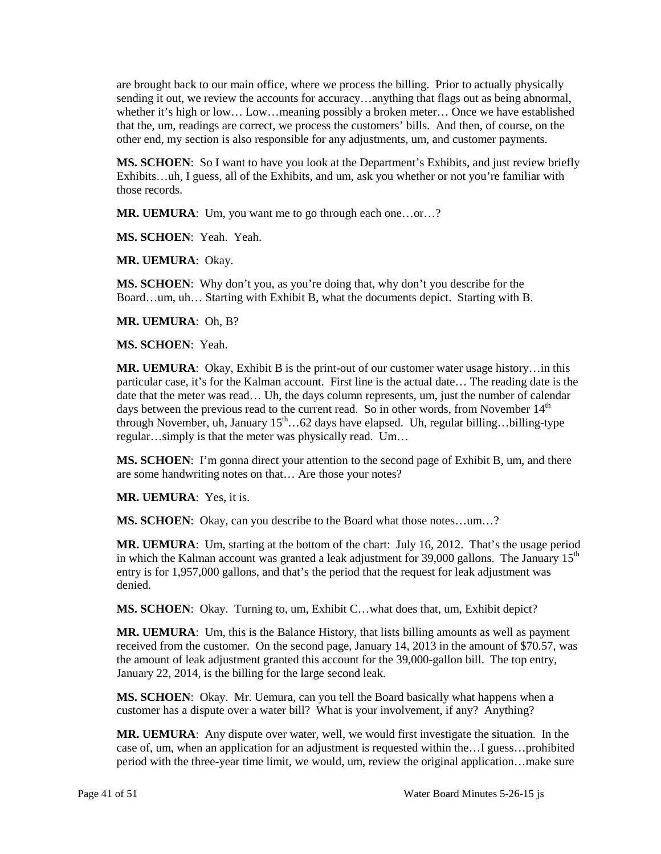are brought back to our main office, where we process the billing. Prior to actually physically sending it out, we review the accounts for accuracy…anything that flags out as being abnormal, whether it's high or low... Low...meaning possibly a broken meter... Once we have established that the, um, readings are correct, we process the customers' bills. And then, of course, on the other end, my section is also responsible for any adjustments, um, and customer payments.

**MS. SCHOEN**: So I want to have you look at the Department's Exhibits, and just review briefly Exhibits…uh, I guess, all of the Exhibits, and um, ask you whether or not you're familiar with those records.

**MR. UEMURA**: Um, you want me to go through each one…or…?

**MS. SCHOEN**: Yeah. Yeah.

**MR. UEMURA**: Okay.

 **MS. SCHOEN**: Why don't you, as you're doing that, why don't you describe for the Board…um, uh… Starting with Exhibit B, what the documents depict. Starting with B.

**MR. UEMURA**: Oh, B?

**MS. SCHOEN**: Yeah.

 **MR. UEMURA**: Okay, Exhibit B is the print-out of our customer water usage history…in this particular case, it's for the Kalman account. First line is the actual date… The reading date is the date that the meter was read… Uh, the days column represents, um, just the number of calendar regular…simply is that the meter was physically read. Um… days between the previous read to the current read. So in other words, from November  $14<sup>th</sup>$ through November, uh, January  $15^{\text{th}}$ …62 days have elapsed. Uh, regular billing…billing-type

**MS. SCHOEN**: I'm gonna direct your attention to the second page of Exhibit B, um, and there are some handwriting notes on that… Are those your notes?

**MR. UEMURA**: Yes, it is.

**MS. SCHOEN**: Okay, can you describe to the Board what those notes…um…?

 **MR. UEMURA**: Um, starting at the bottom of the chart: July 16, 2012. That's the usage period in which the Kalman account was granted a leak adjustment for 39,000 gallons. The January  $15<sup>th</sup>$  entry is for 1,957,000 gallons, and that's the period that the request for leak adjustment was denied.

**MS. SCHOEN**: Okay. Turning to, um, Exhibit C…what does that, um, Exhibit depict?

 January 22, 2014, is the billing for the large second leak. **MR. UEMURA**: Um, this is the Balance History, that lists billing amounts as well as payment received from the customer. On the second page, January 14, 2013 in the amount of \$70.57, was the amount of leak adjustment granted this account for the 39,000-gallon bill. The top entry,

 **MS. SCHOEN**: Okay. Mr. Uemura, can you tell the Board basically what happens when a customer has a dispute over a water bill? What is your involvement, if any? Anything?

 **MR. UEMURA**: Any dispute over water, well, we would first investigate the situation. In the case of, um, when an application for an adjustment is requested within the…I guess…prohibited period with the three-year time limit, we would, um, review the original application…make sure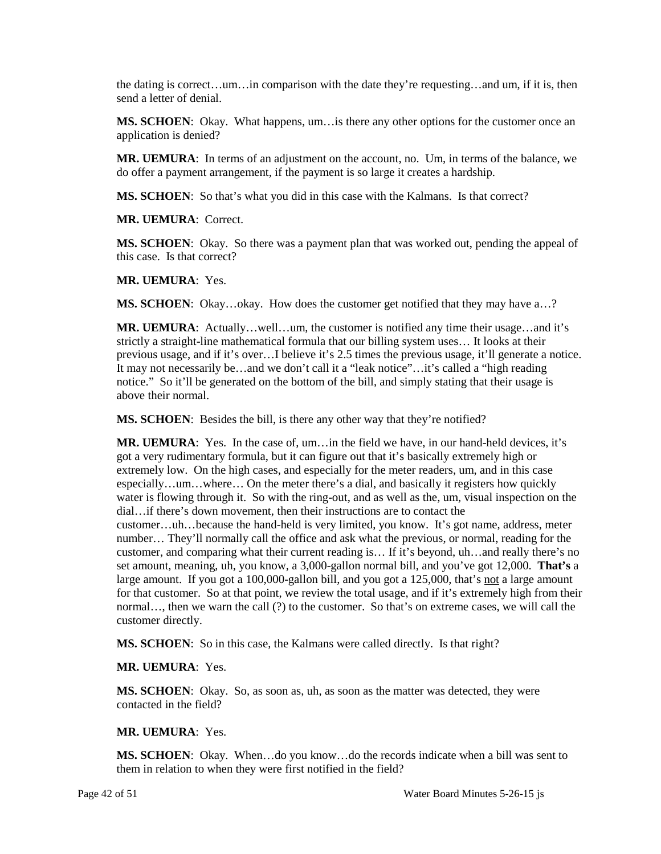the dating is correct…um…in comparison with the date they're requesting…and um, if it is, then send a letter of denial.

 **MS. SCHOEN**: Okay. What happens, um…is there any other options for the customer once an application is denied?

 do offer a payment arrangement, if the payment is so large it creates a hardship. **MR. UEMURA**: In terms of an adjustment on the account, no. Um, in terms of the balance, we

**MS. SCHOEN**: So that's what you did in this case with the Kalmans. Is that correct?

**MR. UEMURA**: Correct.

**MS. SCHOEN**: Okay. So there was a payment plan that was worked out, pending the appeal of this case. Is that correct?

**MR. UEMURA**: Yes.

**MS. SCHOEN:** Okay...okay. How does the customer get notified that they may have a...?

 **MR. UEMURA**: Actually…well…um, the customer is notified any time their usage…and it's previous usage, and if it's over...I believe it's 2.5 times the previous usage, it'll generate a notice. notice." So it'll be generated on the bottom of the bill, and simply stating that their usage is strictly a straight-line mathematical formula that our billing system uses… It looks at their It may not necessarily be...and we don't call it a "leak notice"…it's called a "high reading above their normal.

**MS. SCHOEN**: Besides the bill, is there any other way that they're notified?

 dial…if there's down movement, then their instructions are to contact the for that customer. So at that point, we review the total usage, and if it's extremely high from their normal…, then we warn the call (?) to the customer. So that's on extreme cases, we will call the **MR. UEMURA**: Yes. In the case of, um…in the field we have, in our hand-held devices, it's got a very rudimentary formula, but it can figure out that it's basically extremely high or extremely low. On the high cases, and especially for the meter readers, um, and in this case especially…um…where… On the meter there's a dial, and basically it registers how quickly water is flowing through it. So with the ring-out, and as well as the, um, visual inspection on the customer…uh…because the hand-held is very limited, you know. It's got name, address, meter number… They'll normally call the office and ask what the previous, or normal, reading for the customer, and comparing what their current reading is… If it's beyond, uh…and really there's no set amount, meaning, uh, you know, a 3,000-gallon normal bill, and you've got 12,000. **That's** a large amount. If you got a 100,000-gallon bill, and you got a 125,000, that's not a large amount customer directly.

**MS. SCHOEN**: So in this case, the Kalmans were called directly. Is that right?

## **MR. UEMURA**: Yes.

**MS. SCHOEN**: Okay. So, as soon as, uh, as soon as the matter was detected, they were contacted in the field?

## **MR. UEMURA**: Yes.

**MS. SCHOEN**: Okay. When…do you know…do the records indicate when a bill was sent to them in relation to when they were first notified in the field?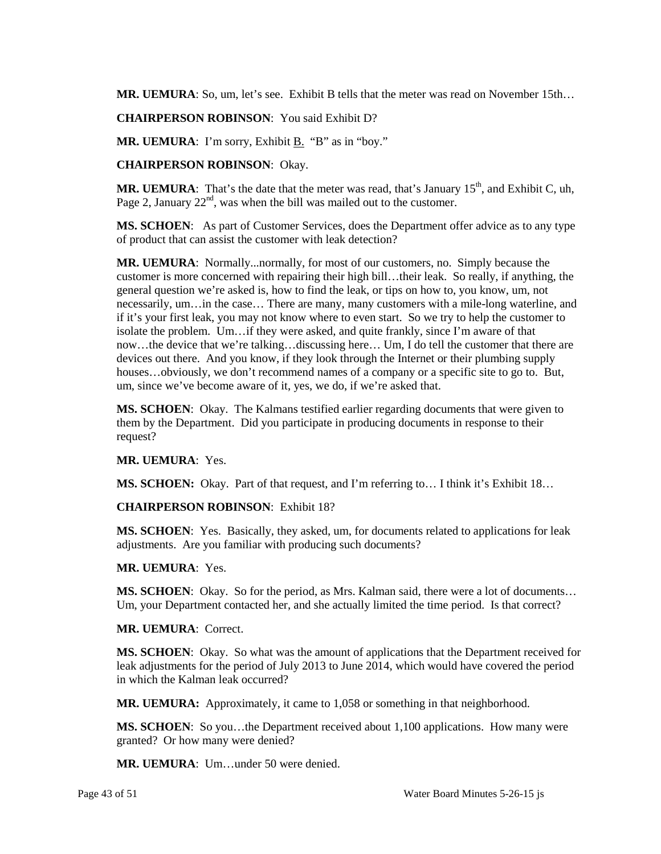**MR. UEMURA**: So, um, let's see. Exhibit B tells that the meter was read on November 15th…

**CHAIRPERSON ROBINSON**: You said Exhibit D?

**MR. UEMURA**: I'm sorry, Exhibit **B**. "B" as in "boy."

**CHAIRPERSON ROBINSON**: Okay.

MR. UEMURA: That's the date that the meter was read, that's January 15<sup>th</sup>, and Exhibit C, uh, Page 2, January  $22<sup>nd</sup>$ , was when the bill was mailed out to the customer.

**MS. SCHOEN**: As part of Customer Services, does the Department offer advice as to any type of product that can assist the customer with leak detection?

 general question we're asked is, how to find the leak, or tips on how to, you know, um, not necessarily, um…in the case… There are many, many customers with a mile-long waterline, and if it's your first leak, you may not know where to even start. So we try to help the customer to now…the device that we're talking…discussing here… Um, I do tell the customer that there are devices out there. And you know, if they look through the Internet or their plumbing supply **MR. UEMURA**: Normally...normally, for most of our customers, no. Simply because the customer is more concerned with repairing their high bill…their leak. So really, if anything, the isolate the problem. Um…if they were asked, and quite frankly, since I'm aware of that houses...obviously, we don't recommend names of a company or a specific site to go to. But, um, since we've become aware of it, yes, we do, if we're asked that.

 **MS. SCHOEN**: Okay. The Kalmans testified earlier regarding documents that were given to them by the Department. Did you participate in producing documents in response to their request?

#### **MR. UEMURA**: Yes.

**MS. SCHOEN:** Okay. Part of that request, and I'm referring to… I think it's Exhibit 18…

#### **CHAIRPERSON ROBINSON**: Exhibit 18?

 **MS. SCHOEN**: Yes. Basically, they asked, um, for documents related to applications for leak adjustments. Are you familiar with producing such documents?

#### **MR. UEMURA**: Yes.

 **MS. SCHOEN**: Okay. So for the period, as Mrs. Kalman said, there were a lot of documents… Um, your Department contacted her, and she actually limited the time period. Is that correct?

#### **MR. UEMURA**: Correct.

**MS. SCHOEN**: Okay. So what was the amount of applications that the Department received for leak adjustments for the period of July 2013 to June 2014, which would have covered the period in which the Kalman leak occurred?

**MR. UEMURA:** Approximately, it came to 1,058 or something in that neighborhood.

**MS. SCHOEN**: So you…the Department received about 1,100 applications. How many were granted? Or how many were denied?

**MR. UEMURA**: Um…under 50 were denied.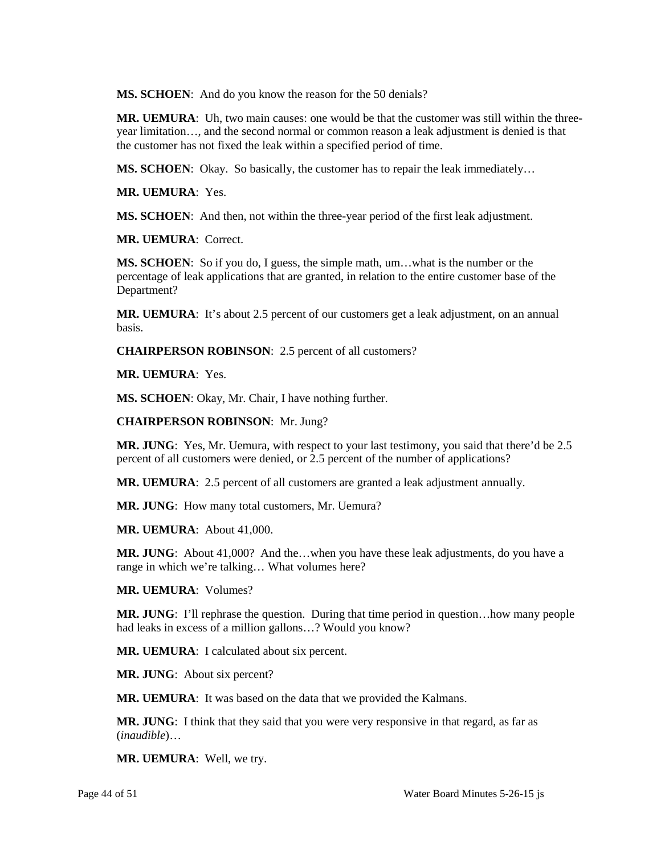**MS. SCHOEN**: And do you know the reason for the 50 denials?

 the customer has not fixed the leak within a specified period of time. **MR. UEMURA**: Uh, two main causes: one would be that the customer was still within the threeyear limitation…, and the second normal or common reason a leak adjustment is denied is that

**MS. SCHOEN**: Okay. So basically, the customer has to repair the leak immediately…

**MR. UEMURA**: Yes.

**MS. SCHOEN**: And then, not within the three-year period of the first leak adjustment.

**MR. UEMURA**: Correct.

 **MS. SCHOEN**: So if you do, I guess, the simple math, um…what is the number or the percentage of leak applications that are granted, in relation to the entire customer base of the Department?

**MR. UEMURA**: It's about 2.5 percent of our customers get a leak adjustment, on an annual basis.

**CHAIRPERSON ROBINSON**: 2.5 percent of all customers?

**MR. UEMURA**: Yes.

**MS. SCHOEN**: Okay, Mr. Chair, I have nothing further.

**CHAIRPERSON ROBINSON**: Mr. Jung?

 **MR. JUNG**: Yes, Mr. Uemura, with respect to your last testimony, you said that there'd be 2.5 percent of all customers were denied, or 2.5 percent of the number of applications?

**MR. UEMURA**: 2.5 percent of all customers are granted a leak adjustment annually.

**MR. JUNG**: How many total customers, Mr. Uemura?

**MR. UEMURA**: About 41,000.

**MR. JUNG**: About 41,000? And the…when you have these leak adjustments, do you have a range in which we're talking… What volumes here?

**MR. UEMURA**: Volumes?

**MR. JUNG**: I'll rephrase the question. During that time period in question…how many people had leaks in excess of a million gallons...? Would you know?

**MR. UEMURA**: I calculated about six percent.

**MR. JUNG**: About six percent?

**MR. UEMURA**: It was based on the data that we provided the Kalmans.

**MR. JUNG**: I think that they said that you were very responsive in that regard, as far as (*inaudible*)…

**MR. UEMURA**: Well, we try.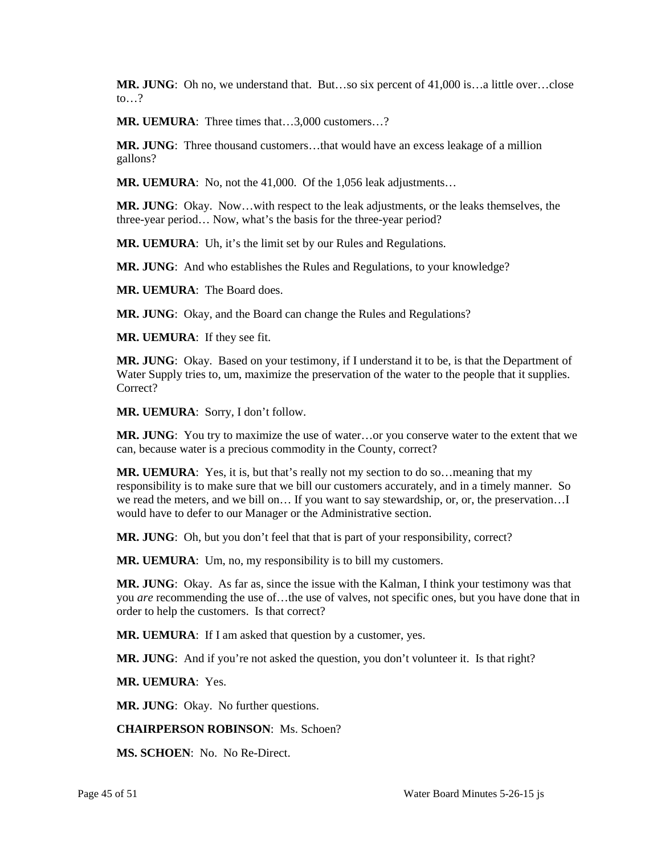**MR. JUNG**: Oh no, we understand that. But…so six percent of 41,000 is…a little over…close to… $?$ 

**MR. UEMURA**: Three times that…3,000 customers…?

 **MR. JUNG**: Three thousand customers…that would have an excess leakage of a million gallons?

**MR. UEMURA**: No, not the 41,000. Of the 1,056 leak adjustments…

**MR. JUNG**: Okay. Now…with respect to the leak adjustments, or the leaks themselves, the three-year period… Now, what's the basis for the three-year period?

**MR. UEMURA**: Uh, it's the limit set by our Rules and Regulations.

**MR. JUNG**: And who establishes the Rules and Regulations, to your knowledge?

**MR. UEMURA**: The Board does.

**MR. JUNG**: Okay, and the Board can change the Rules and Regulations?

**MR. UEMURA**: If they see fit.

 **MR. JUNG**: Okay. Based on your testimony, if I understand it to be, is that the Department of Water Supply tries to, um, maximize the preservation of the water to the people that it supplies. Correct?

**MR. UEMURA**: Sorry, I don't follow.

 **MR. JUNG**: You try to maximize the use of water…or you conserve water to the extent that we can, because water is a precious commodity in the County, correct?

 **MR. UEMURA**: Yes, it is, but that's really not my section to do so…meaning that my would have to defer to our Manager or the Administrative section. responsibility is to make sure that we bill our customers accurately, and in a timely manner. So we read the meters, and we bill on… If you want to say stewardship, or, or, the preservation…I

**MR. JUNG**: Oh, but you don't feel that that is part of your responsibility, correct?

**MR. UEMURA**: Um, no, my responsibility is to bill my customers.

**MR. JUNG**: Okay. As far as, since the issue with the Kalman, I think your testimony was that you *are* recommending the use of…the use of valves, not specific ones, but you have done that in order to help the customers. Is that correct?

**MR. UEMURA**: If I am asked that question by a customer, yes.

**MR. JUNG**: And if you're not asked the question, you don't volunteer it. Is that right?

**MR. UEMURA**: Yes.

**MR. JUNG**: Okay. No further questions.

**CHAIRPERSON ROBINSON**: Ms. Schoen?

**MS. SCHOEN**: No. No Re-Direct.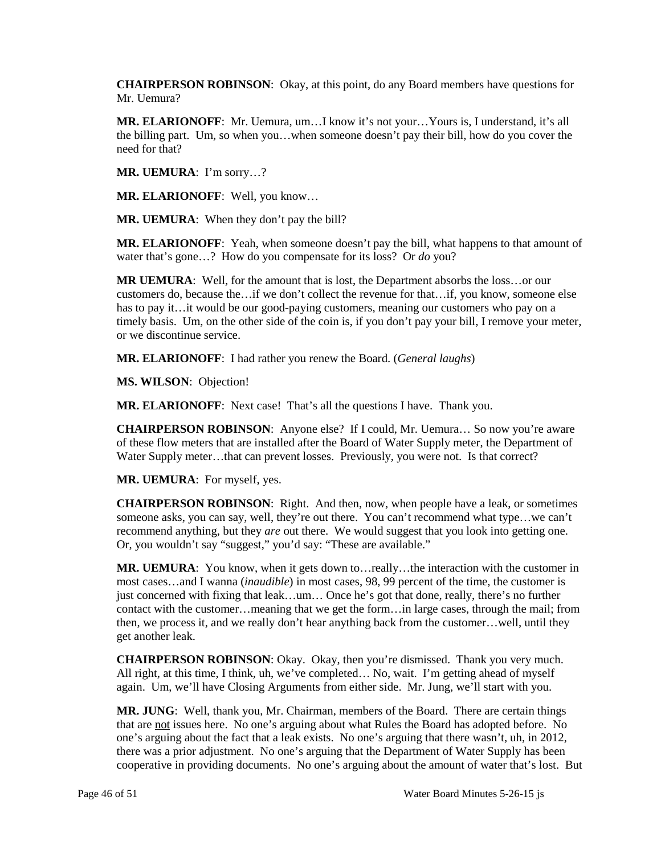**CHAIRPERSON ROBINSON**: Okay, at this point, do any Board members have questions for Mr. Hemura?

 **MR. ELARIONOFF**: Mr. Uemura, um…I know it's not your…Yours is, I understand, it's all the billing part. Um, so when you…when someone doesn't pay their bill, how do you cover the need for that?

**MR. UEMURA**: I'm sorry…?

**MR. ELARIONOFF**: Well, you know…

**MR. UEMURA**: When they don't pay the bill?

**MR. ELARIONOFF**: Yeah, when someone doesn't pay the bill, what happens to that amount of water that's gone…? How do you compensate for its loss? Or *do* you?

 **MR UEMURA**: Well, for the amount that is lost, the Department absorbs the loss…or our timely basis. Um, on the other side of the coin is, if you don't pay your bill, I remove your meter, customers do, because the…if we don't collect the revenue for that…if, you know, someone else has to pay it…it would be our good-paying customers, meaning our customers who pay on a or we discontinue service.

**MR. ELARIONOFF**: I had rather you renew the Board. (*General laughs*)

**MS. WILSON**: Objection!

**MR. ELARIONOFF**: Next case! That's all the questions I have. Thank you.

 of these flow meters that are installed after the Board of Water Supply meter, the Department of Water Supply meter…that can prevent losses. Previously, you were not. Is that correct? **CHAIRPERSON ROBINSON**: Anyone else? If I could, Mr. Uemura… So now you're aware

**MR. UEMURA**: For myself, yes.

 recommend anything, but they *are* out there. We would suggest that you look into getting one. Or, you wouldn't say "suggest," you'd say: "These are available." **CHAIRPERSON ROBINSON**: Right. And then, now, when people have a leak, or sometimes someone asks, you can say, well, they're out there. You can't recommend what type…we can't

 then, we process it, and we really don't hear anything back from the customer…well, until they **MR. UEMURA**: You know, when it gets down to…really…the interaction with the customer in most cases…and I wanna (*inaudible*) in most cases, 98, 99 percent of the time, the customer is just concerned with fixing that leak…um… Once he's got that done, really, there's no further contact with the customer…meaning that we get the form…in large cases, through the mail; from get another leak.

 All right, at this time, I think, uh, we've completed… No, wait. I'm getting ahead of myself again. Um, we'll have Closing Arguments from either side. Mr. Jung, we'll start with you. **CHAIRPERSON ROBINSON**: Okay. Okay, then you're dismissed. Thank you very much.

that are not issues here. No one's arguing about what Rules the Board has adopted before. No one's arguing about the fact that a leak exists. No one's arguing that there wasn't, uh, in 2012, there was a prior adjustment. No one's arguing that the Department of Water Supply has been cooperative in providing documents. No one's arguing about the amount of water that's lost. But **MR. JUNG**: Well, thank you, Mr. Chairman, members of the Board. There are certain things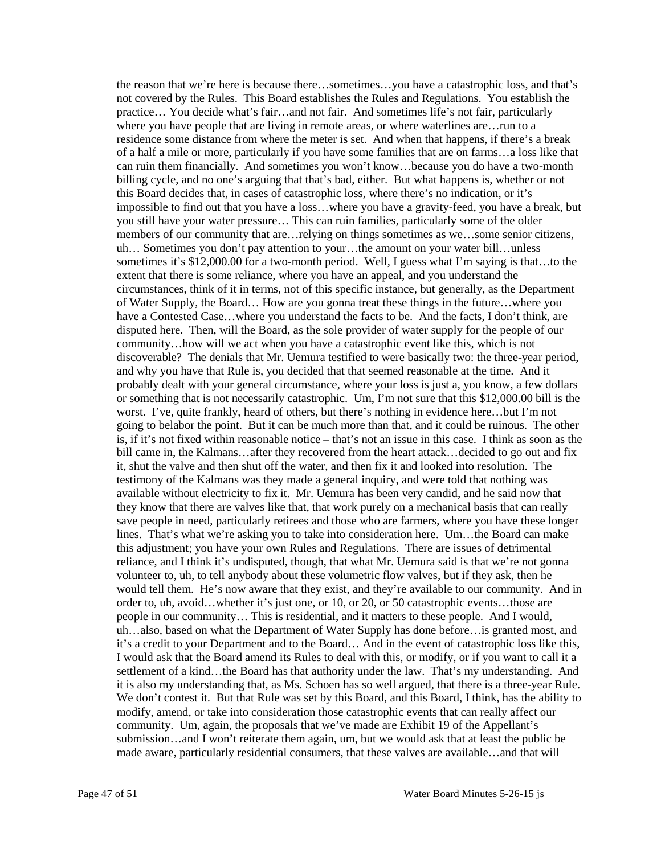practice… You decide what's fair…and not fair. And sometimes life's not fair, particularly residence some distance from where the meter is set. And when that happens, if there's a break this Board decides that, in cases of catastrophic loss, where there's no indication, or it's you still have your water pressure… This can ruin families, particularly some of the older circumstances, think of it in terms, not of this specific instance, but generally, as the Department have a Contested Case...where you understand the facts to be. And the facts, I don't think, are probably dealt with your general circumstance, where your loss is just a, you know, a few dollars worst. I've, quite frankly, heard of others, but there's nothing in evidence here…but I'm not going to belabor the point. But it can be much more than that, and it could be ruinous. The other is, if it's not fixed within reasonable notice – that's not an issue in this case. I think as soon as the testimony of the Kalmans was they made a general inquiry, and were told that nothing was available without electricity to fix it. Mr. Uemura has been very candid, and he said now that lines. That's what we're asking you to take into consideration here. Um…the Board can make volunteer to, uh, to tell anybody about these volumetric flow valves, but if they ask, then he would tell them. He's now aware that they exist, and they're available to our community. And in order to, uh, avoid…whether it's just one, or 10, or 20, or 50 catastrophic events…those are I would ask that the Board amend its Rules to deal with this, or modify, or if you want to call it a it is also my understanding that, as Ms. Schoen has so well argued, that there is a three-year Rule. modify, amend, or take into consideration those catastrophic events that can really affect our submission…and I won't reiterate them again, um, but we would ask that at least the public be the reason that we're here is because there…sometimes…you have a catastrophic loss, and that's not covered by the Rules. This Board establishes the Rules and Regulations. You establish the where you have people that are living in remote areas, or where waterlines are...run to a of a half a mile or more, particularly if you have some families that are on farms…a loss like that can ruin them financially. And sometimes you won't know…because you do have a two-month billing cycle, and no one's arguing that that's bad, either. But what happens is, whether or not impossible to find out that you have a loss…where you have a gravity-feed, you have a break, but members of our community that are…relying on things sometimes as we…some senior citizens, uh… Sometimes you don't pay attention to your…the amount on your water bill…unless sometimes it's \$12,000.00 for a two-month period. Well, I guess what I'm saying is that…to the extent that there is some reliance, where you have an appeal, and you understand the of Water Supply, the Board… How are you gonna treat these things in the future…where you disputed here. Then, will the Board, as the sole provider of water supply for the people of our community…how will we act when you have a catastrophic event like this, which is not discoverable? The denials that Mr. Uemura testified to were basically two: the three-year period, and why you have that Rule is, you decided that that seemed reasonable at the time. And it or something that is not necessarily catastrophic. Um, I'm not sure that this \$12,000.00 bill is the bill came in, the Kalmans…after they recovered from the heart attack…decided to go out and fix it, shut the valve and then shut off the water, and then fix it and looked into resolution. The they know that there are valves like that, that work purely on a mechanical basis that can really save people in need, particularly retirees and those who are farmers, where you have these longer this adjustment; you have your own Rules and Regulations. There are issues of detrimental reliance, and I think it's undisputed, though, that what Mr. Uemura said is that we're not gonna people in our community… This is residential, and it matters to these people. And I would, uh…also, based on what the Department of Water Supply has done before…is granted most, and it's a credit to your Department and to the Board… And in the event of catastrophic loss like this, settlement of a kind…the Board has that authority under the law. That's my understanding. And We don't contest it. But that Rule was set by this Board, and this Board, I think, has the ability to community. Um, again, the proposals that we've made are Exhibit 19 of the Appellant's made aware, particularly residential consumers, that these valves are available…and that will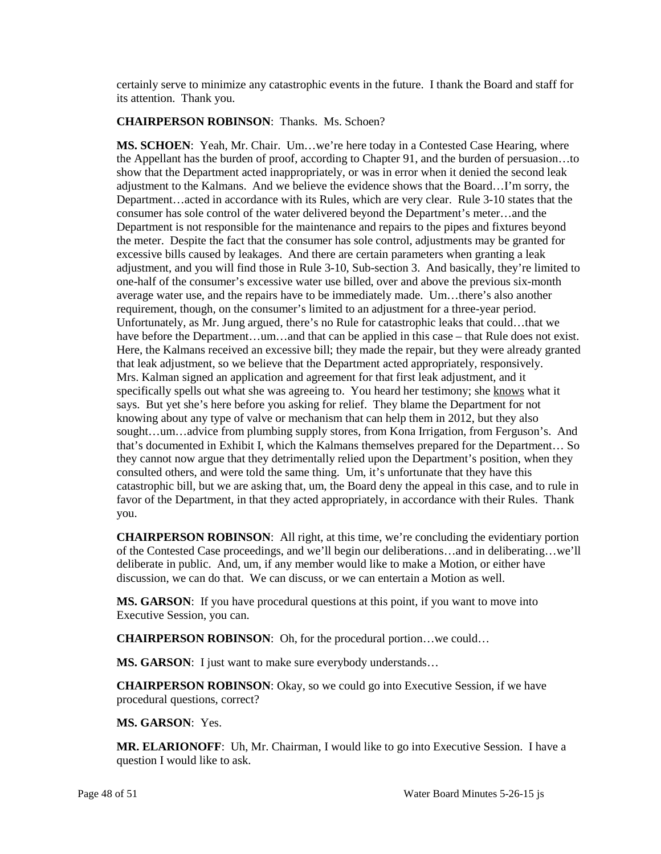certainly serve to minimize any catastrophic events in the future. I thank the Board and staff for its attention. Thank you.

# **CHAIRPERSON ROBINSON**: Thanks. Ms. Schoen?

 show that the Department acted inappropriately, or was in error when it denied the second leak Department is not responsible for the maintenance and repairs to the pipes and fixtures beyond requirement, though, on the consumer's limited to an adjustment for a three-year period. requirement, though, on the consumer's limited to an adjustment for a three-year period. Unfortunately, as Mr. Jung argued, there's no Rule for catastrophic leaks that could…that we have before the Department...um...and that can be applied in this case – that Rule does not exist. that leak adjustment, so we believe that the Department acted appropriately, responsively. that leak adjustment, so we believe that the Department acted appropriately, responsively. Mrs. Kalman signed an application and agreement for that first leak adjustment, and it specifically spells out what she was agreeing to. You heard her testimony; she knows what it consulted others, and were told the same thing. Um, it's unfortunate that they have this **MS. SCHOEN**: Yeah, Mr. Chair. Um…we're here today in a Contested Case Hearing, where the Appellant has the burden of proof, according to Chapter 91, and the burden of persuasion…to adjustment to the Kalmans. And we believe the evidence shows that the Board…I'm sorry, the Department…acted in accordance with its Rules, which are very clear. Rule 3-10 states that the consumer has sole control of the water delivered beyond the Department's meter…and the the meter. Despite the fact that the consumer has sole control, adjustments may be granted for excessive bills caused by leakages. And there are certain parameters when granting a leak adjustment, and you will find those in Rule 3-10, Sub-section 3. And basically, they're limited to one-half of the consumer's excessive water use billed, over and above the previous six-month average water use, and the repairs have to be immediately made. Um…there's also another Here, the Kalmans received an excessive bill; they made the repair, but they were already granted says. But yet she's here before you asking for relief. They blame the Department for not knowing about any type of valve or mechanism that can help them in 2012, but they also sought…um…advice from plumbing supply stores, from Kona Irrigation, from Ferguson's. And that's documented in Exhibit I, which the Kalmans themselves prepared for the Department… So they cannot now argue that they detrimentally relied upon the Department's position, when they catastrophic bill, but we are asking that, um, the Board deny the appeal in this case, and to rule in favor of the Department, in that they acted appropriately, in accordance with their Rules. Thank you.

 deliberate in public. And, um, if any member would like to make a Motion, or either have discussion, we can do that. We can discuss, or we can entertain a Motion as well. **CHAIRPERSON ROBINSON**: All right, at this time, we're concluding the evidentiary portion of the Contested Case proceedings, and we'll begin our deliberations…and in deliberating…we'll

 **MS. GARSON**: If you have procedural questions at this point, if you want to move into Executive Session, you can.

**CHAIRPERSON ROBINSON**: Oh, for the procedural portion…we could…

**MS. GARSON:** I just want to make sure everybody understands...

**CHAIRPERSON ROBINSON**: Okay, so we could go into Executive Session, if we have procedural questions, correct?

**MS. GARSON**: Yes.

**MR. ELARIONOFF**: Uh, Mr. Chairman, I would like to go into Executive Session. I have a question I would like to ask.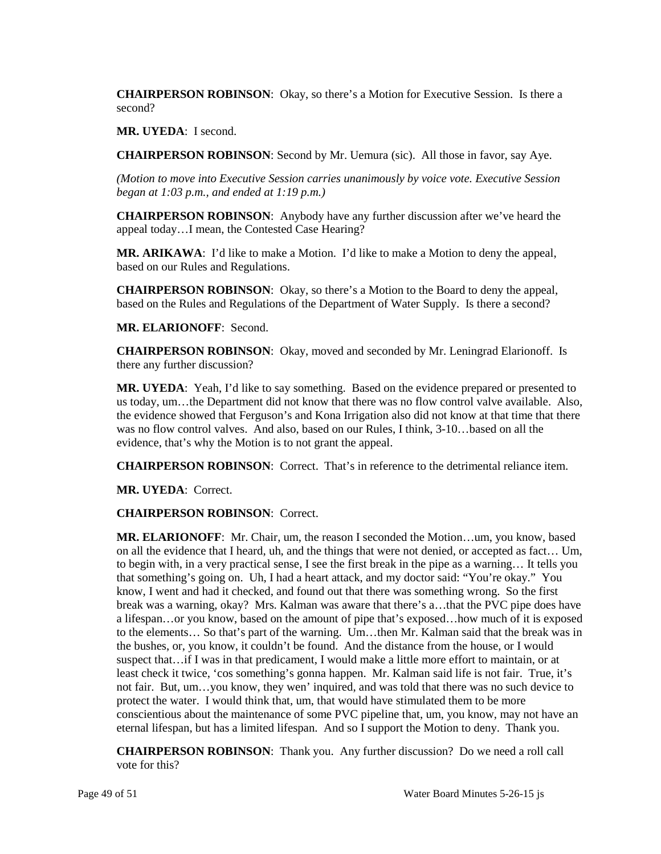**CHAIRPERSON ROBINSON**: Okay, so there's a Motion for Executive Session. Is there a second?

**MR. UYEDA**: I second.

**CHAIRPERSON ROBINSON**: Second by Mr. Uemura (sic). All those in favor, say Aye.

*(Motion to move into Executive Session carries unanimously by voice vote. Executive Session began at 1:03 p.m., and ended at 1:19 p.m.)* 

 appeal today…I mean, the Contested Case Hearing? **CHAIRPERSON ROBINSON**: Anybody have any further discussion after we've heard the

**MR. ARIKAWA**: I'd like to make a Motion. I'd like to make a Motion to deny the appeal, based on our Rules and Regulations.

**CHAIRPERSON ROBINSON**: Okay, so there's a Motion to the Board to deny the appeal, based on the Rules and Regulations of the Department of Water Supply. Is there a second?

#### **MR. ELARIONOFF**: Second.

**CHAIRPERSON ROBINSON**: Okay, moved and seconded by Mr. Leningrad Elarionoff. Is there any further discussion?

 evidence, that's why the Motion is to not grant the appeal. **MR. UYEDA**: Yeah, I'd like to say something. Based on the evidence prepared or presented to us today, um…the Department did not know that there was no flow control valve available. Also, the evidence showed that Ferguson's and Kona Irrigation also did not know at that time that there was no flow control valves. And also, based on our Rules, I think, 3-10…based on all the

**CHAIRPERSON ROBINSON**: Correct. That's in reference to the detrimental reliance item.

**MR. UYEDA**: Correct.

## **CHAIRPERSON ROBINSON**: Correct.

 on all the evidence that I heard, uh, and the things that were not denied, or accepted as fact… Um, know, I went and had it checked, and found out that there was something wrong. So the first a lifespan…or you know, based on the amount of pipe that's exposed…how much of it is exposed to the elements… So that's part of the warning. Um…then Mr. Kalman said that the break was in least check it twice, 'cos something's gonna happen. Mr. Kalman said life is not fair. True, it's protect the water. I would think that, um, that would have stimulated them to be more **MR. ELARIONOFF**: Mr. Chair, um, the reason I seconded the Motion…um, you know, based to begin with, in a very practical sense, I see the first break in the pipe as a warning… It tells you that something's going on. Uh, I had a heart attack, and my doctor said: "You're okay." You break was a warning, okay? Mrs. Kalman was aware that there's a…that the PVC pipe does have the bushes, or, you know, it couldn't be found. And the distance from the house, or I would suspect that…if I was in that predicament, I would make a little more effort to maintain, or at not fair. But, um…you know, they wen' inquired, and was told that there was no such device to conscientious about the maintenance of some PVC pipeline that, um, you know, may not have an eternal lifespan, but has a limited lifespan. And so I support the Motion to deny. Thank you.

 **CHAIRPERSON ROBINSON**: Thank you. Any further discussion? Do we need a roll call vote for this?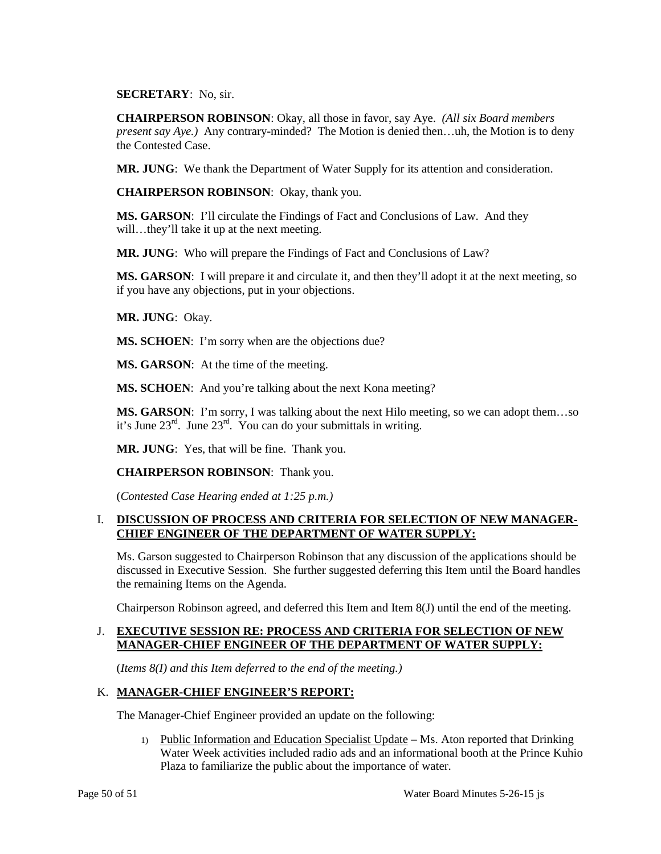#### **SECRETARY**: No, sir.

 **CHAIRPERSON ROBINSON**: Okay, all those in favor, say Aye. *(All six Board members present say Aye.)* Any contrary-minded? The Motion is denied then…uh, the Motion is to deny the Contested Case.

**MR. JUNG**: We thank the Department of Water Supply for its attention and consideration.

**CHAIRPERSON ROBINSON**: Okay, thank you.

 **MS. GARSON**: I'll circulate the Findings of Fact and Conclusions of Law. And they will...they'll take it up at the next meeting.

**MR. JUNG**: Who will prepare the Findings of Fact and Conclusions of Law?

 **MS. GARSON**: I will prepare it and circulate it, and then they'll adopt it at the next meeting, so if you have any objections, put in your objections.

**MR. JUNG**: Okay.

**MS. SCHOEN:** I'm sorry when are the objections due?

**MS. GARSON**: At the time of the meeting.

MS. SCHOEN: And you're talking about the next Kona meeting?

 **MS. GARSON**: I'm sorry, I was talking about the next Hilo meeting, so we can adopt them…so it's June  $23^{\text{rd}}$ . June  $23^{\text{rd}}$ . You can do your submittals in writing.

**MR. JUNG**: Yes, that will be fine. Thank you.

**CHAIRPERSON ROBINSON**: Thank you.

(*Contested Case Hearing ended at 1:25 p.m.)*

#### **I. DISCUSSION OF PROCESS AND CRITERIA FOR SELECTION OF NEW MANAGER-CHIEF ENGINEER OF THE DEPARTMENT OF WATER SUPPLY:**

 Ms. Garson suggested to Chairperson Robinson that any discussion of the applications should be discussed in Executive Session. She further suggested deferring this Item until the Board handles the remaining Items on the Agenda.

Chairperson Robinson agreed, and deferred this Item and Item 8(J) until the end of the meeting.

# J. **EXECUTIVE SESSION RE: PROCESS AND CRITERIA FOR SELECTION OF NEW MANAGER-CHIEF ENGINEER OF THE DEPARTMENT OF WATER SUPPLY:**

(*Items 8(I) and this Item deferred to the end of the meeting.)* 

## K. **MANAGER-CHIEF ENGINEER'S REPORT:**

The Manager-Chief Engineer provided an update on the following:

1) Public Information and Education Specialist Update - Ms. Aton reported that Drinking Water Week activities included radio ads and an informational booth at the Prince Kuhio Plaza to familiarize the public about the importance of water.